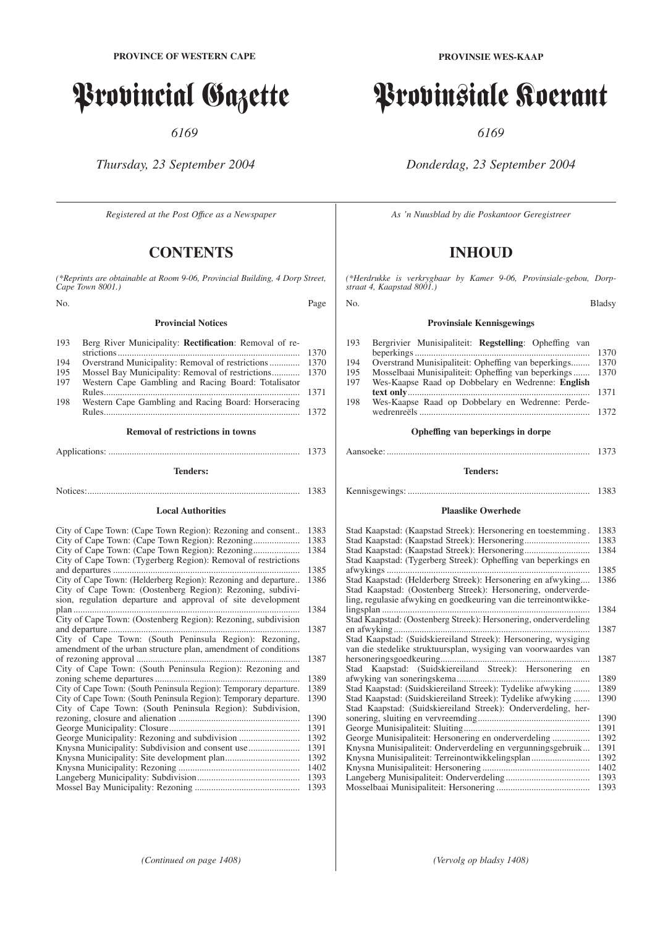# Provincial Gazette

*6169*

*Thursday, 23 September 2004*

*Registered at the Post Offıce as a Newspaper*

# **CONTENTS**

*(\*Reprints are obtainable at Room 9-06, Provincial Building, 4 Dorp Street, Cape Town 8001.)*

No. Page

#### **Provincial Notices**

| 193 | Berg River Municipality: <b>Rectification</b> : Removal of re- |      |
|-----|----------------------------------------------------------------|------|
|     |                                                                | 1370 |
| 194 |                                                                |      |
| 195 |                                                                |      |
| 197 | Western Cape Gambling and Racing Board: Totalisator            |      |
|     |                                                                | 1371 |
| 198 | Western Cape Gambling and Racing Board: Horseracing            |      |
|     |                                                                | 1372 |

#### **Removal of restrictions in towns**

## Applications: .................................................................................. 1373 **Tenders:**

Notices:........................................................................................... 1383

#### **Local Authorities**

| City of Cape Town: (Cape Town Region): Rezoning and consent       | 1383<br>1383 |
|-------------------------------------------------------------------|--------------|
| City of Cape Town: (Cape Town Region): Rezoning                   | 1384         |
| City of Cape Town: (Tygerberg Region): Removal of restrictions    |              |
|                                                                   | 1385         |
| City of Cape Town: (Helderberg Region): Rezoning and departure    | 1386         |
| City of Cape Town: (Oostenberg Region): Rezoning, subdivi-        |              |
| sion, regulation departure and approval of site development       |              |
|                                                                   | 1384         |
| City of Cape Town: (Oostenberg Region): Rezoning, subdivision     |              |
|                                                                   | 1387         |
| City of Cape Town: (South Peninsula Region): Rezoning,            |              |
| amendment of the urban structure plan, amendment of conditions    |              |
|                                                                   | 1387         |
| City of Cape Town: (South Peninsula Region): Rezoning and         |              |
|                                                                   | 1389         |
| City of Cape Town: (South Peninsula Region): Temporary departure. | 1389         |
| City of Cape Town: (South Peninsula Region): Temporary departure. | 1390         |
| City of Cape Town: (South Peninsula Region): Subdivision,         |              |
|                                                                   | 1390         |
|                                                                   | 1391         |
|                                                                   | 1392         |
| Knysna Municipality: Subdivision and consent use                  | 1391         |
|                                                                   | 1392         |
|                                                                   | 1402         |
|                                                                   | 1393         |
|                                                                   | 1393         |

# Provinsiale Koerant

*6169*

*Donderdag, 23 September 2004*

*As 'n Nuusblad by die Poskantoor Geregistreer*

# **INHOUD**

*(\*Herdrukke is verkrygbaar by Kamer 9-06, Provinsiale-gebou, Dorpstraat 4, Kaapstad 8001.)*

#### No. Bladsy

#### **Provinsiale Kennisgewings**

| 193 | Bergrivier Munisipaliteit: Regstelling: Opheffing van |      |
|-----|-------------------------------------------------------|------|
|     |                                                       | 1370 |
| 194 | Overstrand Munisipaliteit: Opheffing van beperkings   | 1370 |
| 195 | Mosselbaai Munisipaliteit: Opheffing van beperkings   | 1370 |
| 197 | Wes-Kaapse Raad op Dobbelary en Wedrenne: English     |      |
|     |                                                       | 1371 |
| 198 | Wes-Kaapse Raad op Dobbelary en Wedrenne: Perde-      |      |
|     |                                                       | 1372 |
|     | Opheffing van beperkings in dorpe                     |      |

### Aansoeke: ....................................................................................... 1373

#### **Tenders:**

Kennisgewings: .............................................................................. 1383

#### **Plaaslike Owerhede**

| Stad Kaapstad: (Kaapstad Streek): Hersonering en toestemming.    | 1383 |
|------------------------------------------------------------------|------|
|                                                                  | 1383 |
| Stad Kaapstad: (Kaapstad Streek): Hersonering                    | 1384 |
| Stad Kaapstad: (Tygerberg Streek): Opheffing van beperkings en   |      |
|                                                                  | 1385 |
| Stad Kaapstad: (Helderberg Streek): Hersonering en afwyking      | 1386 |
| Stad Kaapstad: (Oostenberg Streek): Hersonering, onderverde-     |      |
| ling, regulasie afwyking en goedkeuring van die terreinontwikke- |      |
|                                                                  | 1384 |
| Stad Kaapstad: (Oostenberg Streek): Hersonering, onderverdeling  |      |
|                                                                  | 1387 |
| Stad Kaapstad: (Suidskiereiland Streek): Hersonering, wysiging   |      |
| van die stedelike struktuursplan, wysiging van voorwaardes van   |      |
|                                                                  | 1387 |
| Stad Kaapstad: (Suidskiereiland Streek): Hersonering en          |      |
|                                                                  | 1389 |
| Stad Kaapstad: (Suidskiereiland Streek): Tydelike afwyking       | 1389 |
| Stad Kaapstad: (Suidskiereiland Streek): Tydelike afwyking       | 1390 |
| Stad Kaapstad: (Suidskiereiland Streek): Onderverdeling, her-    |      |
|                                                                  | 1390 |
|                                                                  | 1391 |
|                                                                  | 1392 |
| Knysna Munisipaliteit: Onderverdeling en vergunningsgebruik      | 1391 |
| Knysna Munisipaliteit: Terreinontwikkelingsplan                  | 1392 |
|                                                                  | 1402 |
|                                                                  | 1393 |
|                                                                  | 1393 |
|                                                                  |      |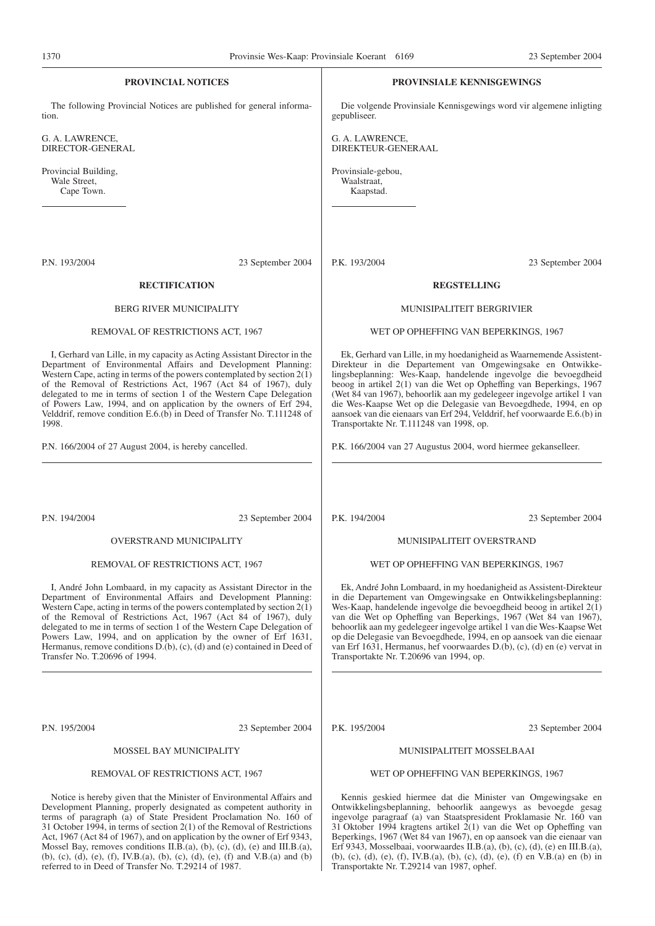| 1 <i>51</i> 0                                                                                                                                                                                                                                                                                                                                                                                                                                                            |                                                                          | FLOVINSIC WCS-Kaap. FLOVINSIAIC KOCTAIN 0109   | $23$ September $200+$                                                                                                                                                                                                                                                                                                                                                                                                                                                                                              |
|--------------------------------------------------------------------------------------------------------------------------------------------------------------------------------------------------------------------------------------------------------------------------------------------------------------------------------------------------------------------------------------------------------------------------------------------------------------------------|--------------------------------------------------------------------------|------------------------------------------------|--------------------------------------------------------------------------------------------------------------------------------------------------------------------------------------------------------------------------------------------------------------------------------------------------------------------------------------------------------------------------------------------------------------------------------------------------------------------------------------------------------------------|
| <b>PROVINCIAL NOTICES</b>                                                                                                                                                                                                                                                                                                                                                                                                                                                |                                                                          |                                                | <b>PROVINSIALE KENNISGEWINGS</b>                                                                                                                                                                                                                                                                                                                                                                                                                                                                                   |
| tion.                                                                                                                                                                                                                                                                                                                                                                                                                                                                    | The following Provincial Notices are published for general informa-      | gepubliseer.                                   | Die volgende Provinsiale Kennisgewings word vir algemene inligting                                                                                                                                                                                                                                                                                                                                                                                                                                                 |
| G. A. LAWRENCE,<br>DIRECTOR-GENERAL                                                                                                                                                                                                                                                                                                                                                                                                                                      |                                                                          | G. A. LAWRENCE,<br>DIREKTEUR-GENERAAL          |                                                                                                                                                                                                                                                                                                                                                                                                                                                                                                                    |
| Provincial Building,<br>Wale Street,<br>Cape Town.                                                                                                                                                                                                                                                                                                                                                                                                                       |                                                                          | Provinsiale-gebou,<br>Waalstraat,<br>Kaapstad. |                                                                                                                                                                                                                                                                                                                                                                                                                                                                                                                    |
| P.N. 193/2004                                                                                                                                                                                                                                                                                                                                                                                                                                                            | 23 September 2004                                                        | P.K. 193/2004                                  | 23 September 2004                                                                                                                                                                                                                                                                                                                                                                                                                                                                                                  |
| <b>RECTIFICATION</b>                                                                                                                                                                                                                                                                                                                                                                                                                                                     |                                                                          |                                                | <b>REGSTELLING</b>                                                                                                                                                                                                                                                                                                                                                                                                                                                                                                 |
| <b>BERG RIVER MUNICIPALITY</b>                                                                                                                                                                                                                                                                                                                                                                                                                                           |                                                                          |                                                | MUNISIPALITEIT BERGRIVIER                                                                                                                                                                                                                                                                                                                                                                                                                                                                                          |
| REMOVAL OF RESTRICTIONS ACT, 1967                                                                                                                                                                                                                                                                                                                                                                                                                                        |                                                                          |                                                | WET OP OPHEFFING VAN BEPERKINGS, 1967                                                                                                                                                                                                                                                                                                                                                                                                                                                                              |
| Department of Environmental Affairs and Development Planning:<br>Western Cape, acting in terms of the powers contemplated by section $2(1)$<br>of the Removal of Restrictions Act, 1967 (Act 84 of 1967), duly<br>delegated to me in terms of section 1 of the Western Cape Delegation<br>of Powers Law, 1994, and on application by the owners of Erf 294,<br>Velddrif, remove condition E.6.(b) in Deed of Transfer No. T.111248 of<br>1998.                           | I, Gerhard van Lille, in my capacity as Acting Assistant Director in the | Transportakte Nr. T.111248 van 1998, op.       | Ek, Gerhard van Lille, in my hoedanigheid as Waarnemende Assistent-<br>Direkteur in die Departement van Omgewingsake en Ontwikke-<br>lingsbeplanning: Wes-Kaap, handelende ingevolge die bevoegdheid<br>beoog in artikel 2(1) van die Wet op Opheffing van Beperkings, 1967<br>(Wet 84 van 1967), behoorlik aan my gedelegeer ingevolge artikel 1 van<br>die Wes-Kaapse Wet op die Delegasie van Bevoegdhede, 1994, en op<br>aansoek van die eienaars van Erf 294, Velddrif, hef voorwaarde E.6.(b) in             |
| P.N. 166/2004 of 27 August 2004, is hereby cancelled.                                                                                                                                                                                                                                                                                                                                                                                                                    |                                                                          |                                                | P.K. 166/2004 van 27 Augustus 2004, word hiermee gekanselleer.                                                                                                                                                                                                                                                                                                                                                                                                                                                     |
| P.N. 194/2004                                                                                                                                                                                                                                                                                                                                                                                                                                                            | 23 September 2004                                                        | P.K. 194/2004                                  | 23 September 2004                                                                                                                                                                                                                                                                                                                                                                                                                                                                                                  |
| <b>OVERSTRAND MUNICIPALITY</b>                                                                                                                                                                                                                                                                                                                                                                                                                                           |                                                                          |                                                | MUNISIPALITEIT OVERSTRAND                                                                                                                                                                                                                                                                                                                                                                                                                                                                                          |
| REMOVAL OF RESTRICTIONS ACT, 1967                                                                                                                                                                                                                                                                                                                                                                                                                                        |                                                                          |                                                | WET OP OPHEFFING VAN BEPERKINGS, 1967                                                                                                                                                                                                                                                                                                                                                                                                                                                                              |
| Department of Environmental Affairs and Development Planning:<br>Western Cape, acting in terms of the powers contemplated by section $2(1)$<br>of the Removal of Restrictions Act, 1967 (Act 84 of 1967), duly<br>delegated to me in terms of section 1 of the Western Cape Delegation of<br>Powers Law, 1994, and on application by the owner of Erf 1631,<br>Hermanus, remove conditions D.(b), (c), (d) and (e) contained in Deed of<br>Transfer No. T.20696 of 1994. | I, André John Lombaard, in my capacity as Assistant Director in the      | Transportakte Nr. T.20696 van 1994, op.        | Ek, André John Lombaard, in my hoedanigheid as Assistent-Direkteur<br>in die Departement van Omgewingsake en Ontwikkelingsbeplanning:<br>Wes-Kaap, handelende ingevolge die bevoegdheid beoog in artikel $2(1)$<br>van die Wet op Opheffing van Beperkings, 1967 (Wet 84 van 1967),<br>behoorlik aan my gedelegeer ingevolge artikel 1 van die Wes-Kaapse Wet<br>op die Delegasie van Bevoegdhede, 1994, en op aansoek van die eienaar<br>van Erf 1631, Hermanus, het voorwaardes D.(b), (c), (d) en (e) vervat in |
| P.N. 195/2004                                                                                                                                                                                                                                                                                                                                                                                                                                                            | 23 September 2004                                                        | P.K. 195/2004                                  | 23 September 2004                                                                                                                                                                                                                                                                                                                                                                                                                                                                                                  |
| MOSSEL BAY MUNICIPALITY                                                                                                                                                                                                                                                                                                                                                                                                                                                  |                                                                          |                                                | MUNISIPALITEIT MOSSELBAAI                                                                                                                                                                                                                                                                                                                                                                                                                                                                                          |

REMOVAL OF RESTRICTIONS ACT, 1967

Notice is hereby given that the Minister of Environmental Affairs and Development Planning, properly designated as competent authority in terms of paragraph (a) of State President Proclamation No. 160 of 31 October 1994, in terms of section 2(1) of the Removal of Restrictions Act, 1967 (Act 84 of 1967), and on application by the owner of Erf 9343, Mossel Bay, removes conditions II.B.(a), (b), (c), (d), (e) and III.B.(a), (b), (c), (d), (e), (f), IV.B.(a), (b), (c), (d), (e), (f) and V.B.(a) and (b) referred to in Deed of Transfer No. T.29214 of 1987.

#### WET OP OPHEFFING VAN BEPERKINGS, 1967

Kennis geskied hiermee dat die Minister van Omgewingsake en Ontwikkelingsbeplanning, behoorlik aangewys as bevoegde gesag ingevolge paragraaf (a) van Staatspresident Proklamasie Nr. 160 van 31 Oktober 1994 kragtens artikel 2(1) van die Wet op Opheffing van Beperkings, 1967 (Wet 84 van 1967), en op aansoek van die eienaar van Erf 9343, Mosselbaai, voorwaardes II.B.(a), (b), (c), (d), (e) en III.B.(a), (b), (c), (d), (e), (f), IV.B.(a), (b), (c), (d), (e), (f) en V.B.(a) en (b) in Transportakte Nr. T.29214 van 1987, ophef.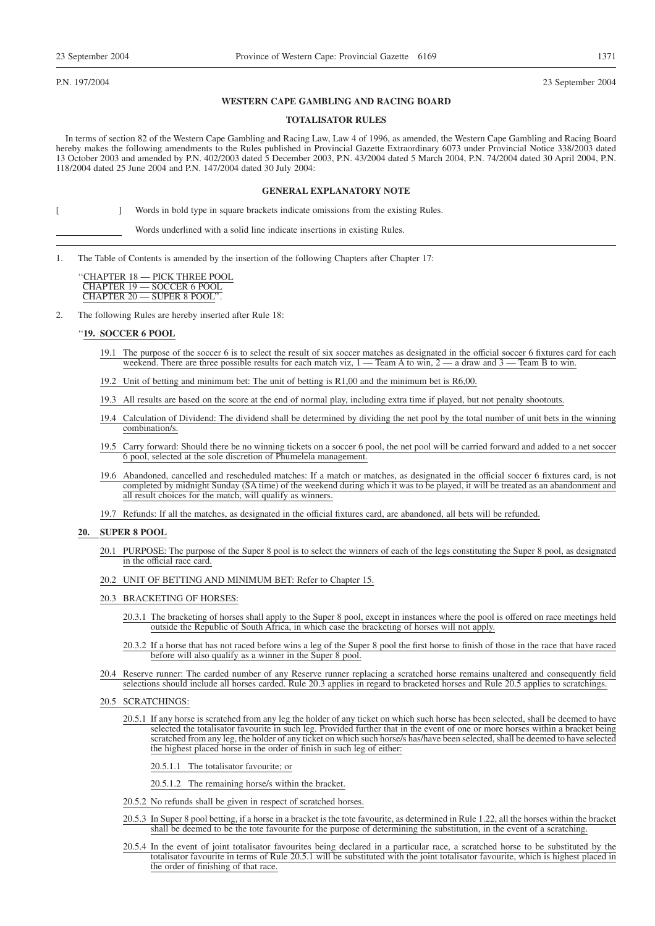P.N. 197/2004 23 September 2004

#### **WESTERN CAPE GAMBLING AND RACING BOARD**

#### **TOTALISATOR RULES**

In terms of section 82 of the Western Cape Gambling and Racing Law, Law 4 of 1996, as amended, the Western Cape Gambling and Racing Board hereby makes the following amendments to the Rules published in Provincial Gazette Extraordinary 6073 under Provincial Notice 338/2003 dated 13 October 2003 and amended by P.N. 402/2003 dated 5 December 2003, P.N. 43/2004 dated 5 March 2004, P.N. 74/2004 dated 30 April 2004, P.N. 118/2004 dated 25 June 2004 and P.N. 147/2004 dated 30 July 2004:

#### **GENERAL EXPLANATORY NOTE**

[ ] Words in bold type in square brackets indicate omissions from the existing Rules.

Words underlined with a solid line indicate insertions in existing Rules.

1. The Table of Contents is amended by the insertion of the following Chapters after Chapter 17:

''CHAPTER 18 — PICK THREE POOL CHAPTER 19 — SOCCER 6 POOL CHAPTER 20 — SUPER 8 POOL''.

2. The following Rules are hereby inserted after Rule 18:

#### ''**19. SOCCER 6 POOL**

- 19.1 The purpose of the soccer 6 is to select the result of six soccer matches as designated in the official soccer 6 fixtures card for each weekend. There are three possible results for each match viz,  $1 -$  Team A to win,  $2 -$  a draw and  $3 -$  Team B to win.
- 19.2 Unit of betting and minimum bet: The unit of betting is R1,00 and the minimum bet is R6,00.
- 19.3 All results are based on the score at the end of normal play, including extra time if played, but not penalty shootouts.
- 19.4 Calculation of Dividend: The dividend shall be determined by dividing the net pool by the total number of unit bets in the winning combination/s.
- 19.5 Carry forward: Should there be no winning tickets on a soccer 6 pool, the net pool will be carried forward and added to a net soccer 6 pool, selected at the sole discretion of Phumelela management.
- 19.6 Abandoned, cancelled and rescheduled matches: If a match or matches, as designated in the official soccer 6 fixtures card, is not completed by midnight Sunday (SA time) of the weekend during which it was to be played, it will be treated as an abandonment and all result choices for the match, will qualify as winners.
- 19.7 Refunds: If all the matches, as designated in the official fixtures card, are abandoned, all bets will be refunded.

#### **20. SUPER 8 POOL**

- 20.1 PURPOSE: The purpose of the Super 8 pool is to select the winners of each of the legs constituting the Super 8 pool, as designated in the official race card.
- 20.2 UNIT OF BETTING AND MINIMUM BET: Refer to Chapter 15.
- 20.3 BRACKETING OF HORSES:
	- 20.3.1 The bracketing of horses shall apply to the Super 8 pool, except in instances where the pool is offered on race meetings held outside the Republic of South Africa, in which case the bracketing of horses will not apply.
	- 20.3.2 If a horse that has not raced before wins a leg of the Super 8 pool the first horse to finish of those in the race that have raced before will also qualify as a winner in the Super 8 pool.
- 20.4 Reserve runner: The carded number of any Reserve runner replacing a scratched horse remains unaltered and consequently field selections should include all horses carded. Rule 20.3 applies in regard to bracketed horses and Rule 20.5 applies to scratchings.
- 20.5 SCRATCHINGS:
	- 20.5.1 If any horse is scratched from any leg the holder of any ticket on which such horse has been selected, shall be deemed to have selected the totalisator favourite in such leg. Provided further that in the event of one or more horses within a bracket being scratched from any leg, the holder of any ticket on which such horse/s has/have been selected, shall be deemed to have selected the highest placed horse in the order of finish in such leg of either:

20.5.1.1 The totalisator favourite; or

20.5.1.2 The remaining horse/s within the bracket.

- 20.5.2 No refunds shall be given in respect of scratched horses.
- 20.5.3 In Super 8 pool betting, if a horse in a bracket is the tote favourite, as determined in Rule 1.22, all the horses within the bracket shall be deemed to be the tote favourite for the purpose of determining the substitution, in the event of a scratching.
- 20.5.4 In the event of joint totalisator favourites being declared in a particular race, a scratched horse to be substituted by the totalisator favourite in terms of Rule 20.5.1 will be substituted with the joint totalisator favourite, which is highest placed in the order of finishing of that race.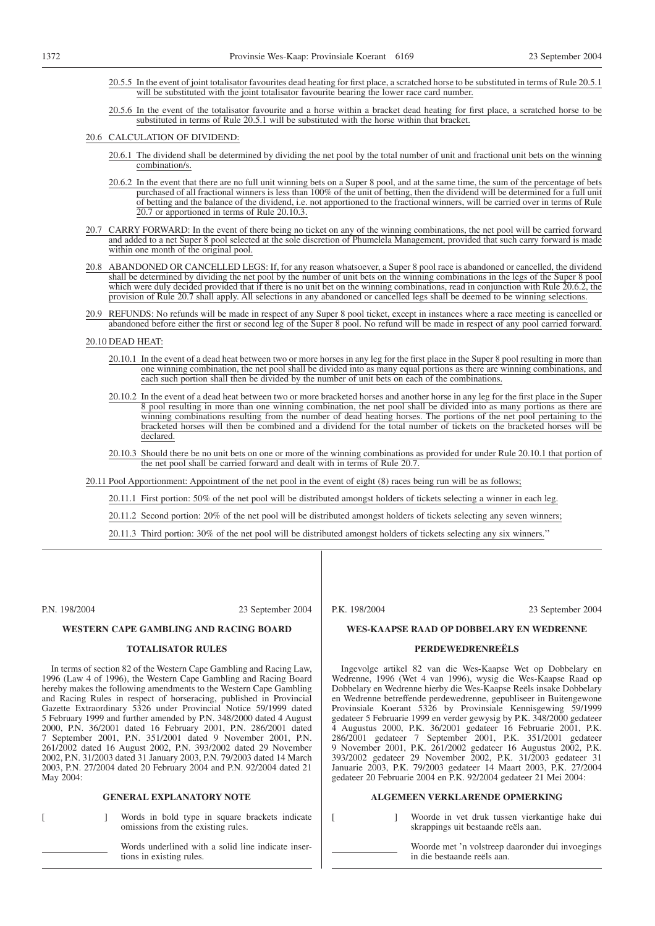- 20.5.5 In the event of joint totalisator favourites dead heating for first place, a scratched horse to be substituted in terms of Rule 20.5.1 will be substituted with the joint totalisator favourite bearing the lower race card number.
- 20.5.6 In the event of the totalisator favourite and a horse within a bracket dead heating for first place, a scratched horse to be substituted in terms of Rule 20.5.1 will be substituted with the horse within that bracket.

#### 20.6 CALCULATION OF DIVIDEND:

- 20.6.1 The dividend shall be determined by dividing the net pool by the total number of unit and fractional unit bets on the winning combination/s.
- 20.6.2 In the event that there are no full unit winning bets on a Super 8 pool, and at the same time, the sum of the percentage of bets purchased of all fractional winners is less than 100% of the unit of betting, then the dividend will be determined for a full unit of betting and the balance of the dividend, i.e. not apportioned to the fractional winners, will be carried over in terms of Rule 20.7 or apportioned in terms of Rule 20.10.3.
- 20.7 CARRY FORWARD: In the event of there being no ticket on any of the winning combinations, the net pool will be carried forward and added to a net Super 8 pool selected at the sole discretion of Phumelela Management, provided that such carry forward is made within one month of the original pool.
- 20.8 ABANDONED OR CANCELLED LEGS: If, for any reason whatsoever, a Super 8 pool race is abandoned or cancelled, the dividend shall be determined by dividing the net pool by the number of unit bets on the winning combinations in the legs of the Super 8 pool which were duly decided provided that if there is no unit bet on the winning combinations, read in conjunction with Rule 20.6.2, the provision of Rule 20.7 shall apply. All selections in any abandoned or cancelled legs shall be deemed to be winning selections.
- 20.9 REFUNDS: No refunds will be made in respect of any Super 8 pool ticket, except in instances where a race meeting is cancelled or abandoned before either the first or second leg of the Super 8 pool. No refund will be made in respect of any pool carried forward.

#### 20.10 DEAD HEAT:

- 20.10.1 In the event of a dead heat between two or more horses in any leg for the first place in the Super 8 pool resulting in more than one winning combination, the net pool shall be divided into as many equal portions as there are winning combinations, and each such portion shall then be divided by the number of unit bets on each of the combinations.
- 20.10.2 In the event of a dead heat between two or more bracketed horses and another horse in any leg for the first place in the Super 8 pool resulting in more than one winning combination, the net pool shall be divided into as many portions as there are winning combinations resulting from the number of dead heating horses. The portions of the net pool pertaining to the bracketed horses will then be combined and a dividend for the total number of tickets on the bracketed horses will be declared.
- 20.10.3 Should there be no unit bets on one or more of the winning combinations as provided for under Rule 20.10.1 that portion of the net pool shall be carried forward and dealt with in terms of Rule 20.7.

20.11 Pool Apportionment: Appointment of the net pool in the event of eight (8) races being run will be as follows;

20.11.1 First portion: 50% of the net pool will be distributed amongst holders of tickets selecting a winner in each leg.

20.11.2 Second portion: 20% of the net pool will be distributed amongst holders of tickets selecting any seven winners;

20.11.3 Third portion: 30% of the net pool will be distributed amongst holders of tickets selecting any six winners.''

P.N. 198/2004 23 September 2004

P.K. 198/2004 23 September 2004

#### **WES-KAAPSE RAAD OP DOBBELARY EN WEDRENNE**

#### **PERDEWEDRENREËLS**

Ingevolge artikel 82 van die Wes-Kaapse Wet op Dobbelary en Wedrenne, 1996 (Wet 4 van 1996), wysig die Wes-Kaapse Raad op Dobbelary en Wedrenne hierby die Wes-Kaapse Reëls insake Dobbelary en Wedrenne betreffende perdewedrenne, gepubliseer in Buitengewone Provinsiale Koerant 5326 by Provinsiale Kennisgewing 59/1999 gedateer 5 Februarie 1999 en verder gewysig by P.K. 348/2000 gedateer 4 Augustus 2000, P.K. 36/2001 gedateer 16 Februarie 2001, P.K. 286/2001 gedateer 7 September 2001, P.K. 351/2001 gedateer 9 November 2001, P.K. 261/2002 gedateer 16 Augustus 2002, P.K. 393/2002 gedateer 29 November 2002, P.K. 31/2003 gedateer 31 Januarie 2003, P.K. 79/2003 gedateer 14 Maart 2003, P.K. 27/2004 gedateer 20 Februarie 2004 en P.K. 92/2004 gedateer 21 Mei 2004:

#### **ALGEMEEN VERKLARENDE OPMERKING**

- [ ] Woorde in vet druk tussen vierkantige hake dui skrappings uit bestaande reëls aan.
	- Woorde met 'n volstreep daaronder dui invoegings in die bestaande reëls aan.

#### **WESTERN CAPE GAMBLING AND RACING BOARD**

## **TOTALISATOR RULES**

In terms of section 82 of the Western Cape Gambling and Racing Law, 1996 (Law 4 of 1996), the Western Cape Gambling and Racing Board hereby makes the following amendments to the Western Cape Gambling and Racing Rules in respect of horseracing, published in Provincial Gazette Extraordinary 5326 under Provincial Notice 59/1999 dated 5 February 1999 and further amended by P.N. 348/2000 dated 4 August 2000, P.N. 36/2001 dated 16 February 2001, P.N. 286/2001 dated 7 September 2001, P.N. 351/2001 dated 9 November 2001, P.N. 261/2002 dated 16 August 2002, P.N. 393/2002 dated 29 November 2002, P.N. 31/2003 dated 31 January 2003, P.N. 79/2003 dated 14 March 2003, P.N. 27/2004 dated 20 February 2004 and P.N. 92/2004 dated 21 May 2004:

#### **GENERAL EXPLANATORY NOTE**

[ ] Words in bold type in square brackets indicate omissions from the existing rules.

> Words underlined with a solid line indicate insertions in existing rules.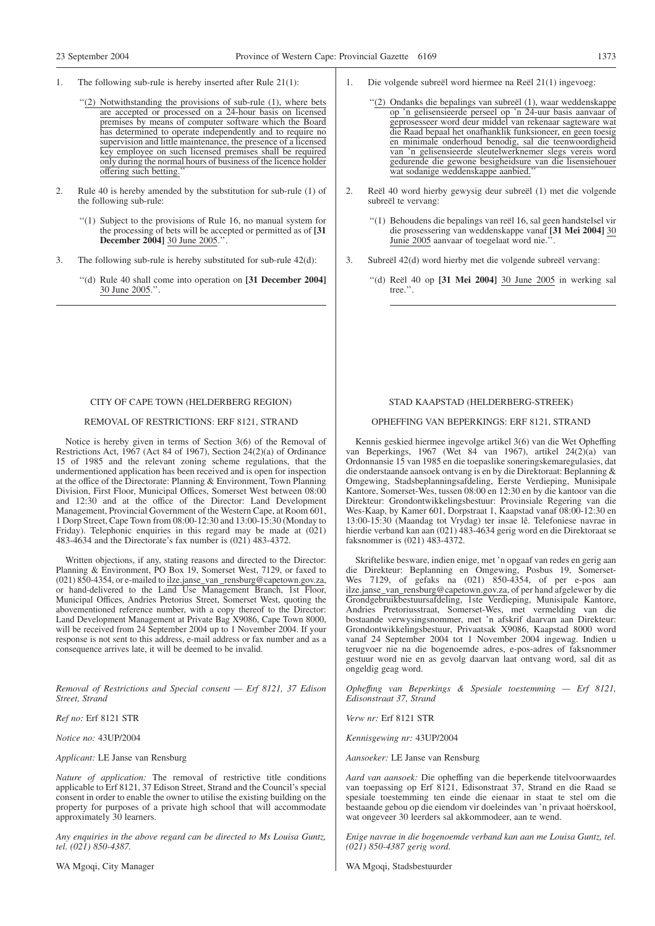- 1. The following sub-rule is hereby inserted after Rule 21(1):
	- "(2) Notwithstanding the provisions of sub-rule (1), where bets are accepted or processed on a 24-hour basis on licensed premises by means of computer software which the Board has determined to operate independently and to require no supervision and little maintenance, the presence of a licensed key employee on such licensed premises shall be required only during the normal hours of business of the licence holder offering such betting.''
- 2. Rule 40 is hereby amended by the substitution for sub-rule (1) of the following sub-rule:
	- ''(1) Subject to the provisions of Rule 16, no manual system for the processing of bets will be accepted or permitted as of **[31 December 2004]** 30 June 2005.''.
- 3. The following sub-rule is hereby substituted for sub-rule 42(d):
	- ''(d) Rule 40 shall come into operation on **[31 December 2004]** 30 June 2005.''.
- 1. Die volgende subreël word hiermee na Reël 21(1) ingevoeg:
	- ''(2) Ondanks die bepalings van subreël (1), waar weddenskappe op 'n gelisensieerde perseel op 'n 24-uur basis aanvaar of geprosesseer word deur middel van rekenaar sagteware wat die Raad bepaal het onafhanklik funksioneer, en geen toesig en minimale onderhoud benodig, sal die teenwoordigheid van 'n gelisensieerde sleutelwerknemer slegs vereis word gedurende die gewone besigheidsure van die lisensiehouer wat sodanige weddenskappe aanbied.
- 2. Reël 40 word hierby gewysig deur subreël (1) met die volgende subreël te vervang:
	- ''(1) Behoudens die bepalings van reël 16, sal geen handstelsel vir die prosessering van weddenskappe vanaf **[31 Mei 2004]** 30 Junie 2005 aanvaar of toegelaat word nie.''.
- 3. Subreël 42(d) word hierby met die volgende subreël vervang:
	- ''(d) Reël 40 op **[31 Mei 2004]** 30 June 2005 in werking sal tree.''.

#### CITY OF CAPE TOWN (HELDERBERG REGION)

#### REMOVAL OF RESTRICTIONS: ERF 8121, STRAND

Notice is hereby given in terms of Section 3(6) of the Removal of Restrictions Act, 1967 (Act 84 of 1967), Section 24(2)(a) of Ordinance 15 of 1985 and the relevant zoning scheme regulations, that the undermentioned application has been received and is open for inspection at the office of the Directorate: Planning & Environment, Town Planning Division, First Floor, Municipal Offices, Somerset West between 08:00 and 12:30 and at the office of the Director: Land Development Management, Provincial Government of the Western Cape, at Room 601, 1 Dorp Street, Cape Town from 08:00-12:30 and 13:00-15:30 (Monday to Friday). Telephonic enquiries in this regard may be made at (021) 483-4634 and the Directorate's fax number is (021) 483-4372.

Written objections, if any, stating reasons and directed to the Director: Planning & Environment, PO Box 19, Somerset West, 7129, or faxed to (021) 850-4354, or e-mailed to ilze.janse\_van \_rensburg@capetown.gov.za, or hand-delivered to the Land Use Management Branch, 1st Floor, Municipal Offices, Andries Pretorius Street, Somerset West, quoting the abovementioned reference number, with a copy thereof to the Director: Land Development Management at Private Bag X9086, Cape Town 8000, will be received from 24 September 2004 up to 1 November 2004. If your response is not sent to this address, e-mail address or fax number and as a consequence arrives late, it will be deemed to be invalid.

*Removal of Restrictions and Special consent — Erf 8121, 37 Edison Street, Strand*

*Ref no:* Erf 8121 STR

*Notice no:* 43UP/2004

*Applicant:* LE Janse van Rensburg

*Nature of application:* The removal of restrictive title conditions applicable to Erf 8121, 37 Edison Street, Strand and the Council's special consent in order to enable the owner to utilise the existing building on the property for purposes of a private high school that will accommodate approximately 30 learners.

*Any enquiries in the above regard can be directed to Ms Louisa Guntz, tel. (021) 850-4387.*

WA Mgoqi, City Manager

#### STAD KAAPSTAD (HELDERBERG-STREEK)

#### OPHEFFING VAN BEPERKINGS: ERF 8121, STRAND

Kennis geskied hiermee ingevolge artikel 3(6) van die Wet Opheffing van Beperkings, 1967 (Wet 84 van 1967), artikel 24(2)(a) van Ordonnansie 15 van 1985 en die toepaslike soneringskemaregulasies, dat die onderstaande aansoek ontvang is en by die Direktoraat: Beplanning & Omgewing, Stadsbeplanningsafdeling, Eerste Verdieping, Munisipale Kantore, Somerset-Wes, tussen 08:00 en 12:30 en by die kantoor van die Direkteur: Grondontwikkelingsbestuur: Provinsiale Regering van die Wes-Kaap, by Kamer 601, Dorpstraat 1, Kaapstad vanaf 08:00-12:30 en 13:00-15:30 (Maandag tot Vrydag) ter insae lê. Telefoniese navrae in hierdie verband kan aan (021) 483-4634 gerig word en die Direktoraat se faksnommer is (021) 483-4372.

Skriftelike besware, indien enige, met 'n opgaaf van redes en gerig aan die Direkteur: Beplanning en Omgewing, Posbus 19, Somerset-Wes 7129, of gefaks na (021) 850-4354, of per e-pos aan ilze.janse\_van\_rensburg@capetown.gov.za, of per hand afgelewer by die Grondgebruikbestuursafdeling, 1ste Verdieping, Munisipale Kantore, Andries Pretoriusstraat, Somerset-Wes, met vermelding van die bostaande verwysingsnommer, met 'n afskrif daarvan aan Direkteur: Grondontwikkelingsbestuur, Privaatsak X9086, Kaapstad 8000 word vanaf 24 September 2004 tot 1 November 2004 ingewag. Indien u terugvoer nie na die bogenoemde adres, e-pos-adres of faksnommer gestuur word nie en as gevolg daarvan laat ontvang word, sal dit as ongeldig geag word.

*Opheffıng van Beperkings & Spesiale toestemming — Erf 8121, Edisonstraat 37, Strand*

*Verw nr:* Erf 8121 STR

*Kennisgewing nr:* 43UP/2004

*Aansoeker:* LE Janse van Rensburg

*Aard van aansoek:* Die opheffing van die beperkende titelvoorwaardes van toepassing op Erf 8121, Edisonstraat 37, Strand en die Raad se spesiale toestemming ten einde die eienaar in staat te stel om die bestaande gebou op die eiendom vir doeleindes van 'n privaat hoërskool, wat ongeveer 30 leerders sal akkommodeer, aan te wend.

*Enige navrae in die bogenoemde verband kan aan me Louisa Guntz, tel. (021) 850-4387 gerig word.*

WA Mgoqi, Stadsbestuurder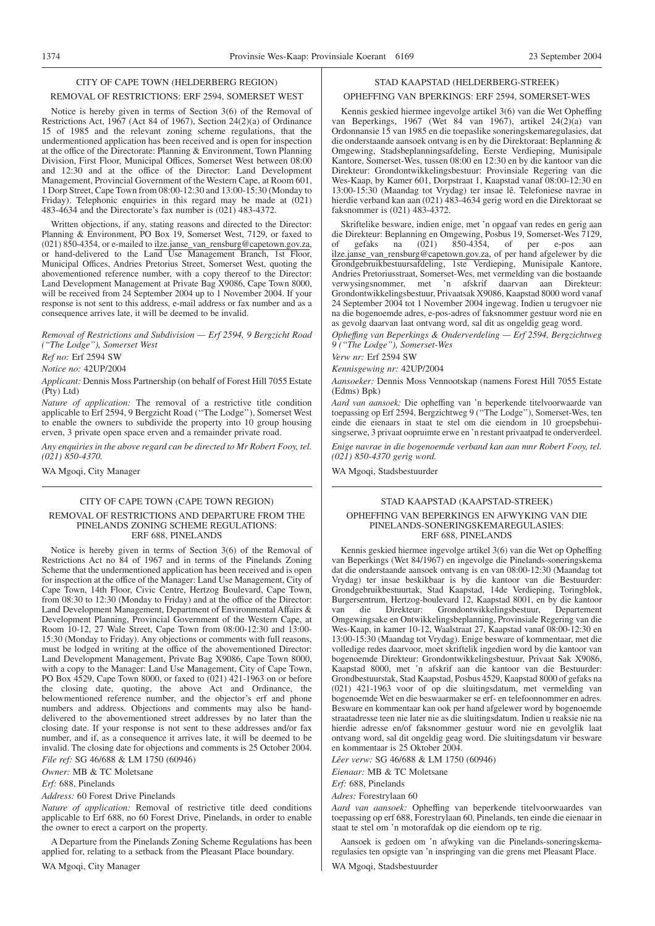### CITY OF CAPE TOWN (HELDERBERG REGION)

#### REMOVAL OF RESTRICTIONS: ERF 2594, SOMERSET WEST

Notice is hereby given in terms of Section 3(6) of the Removal of Restrictions Act, 1967 (Act 84 of 1967), Section 24(2)(a) of Ordinance 15 of 1985 and the relevant zoning scheme regulations, that the undermentioned application has been received and is open for inspection at the office of the Directorate: Planning & Environment, Town Planning Division, First Floor, Municipal Offices, Somerset West between 08:00 and 12:30 and at the office of the Director: Land Development Management, Provincial Government of the Western Cape, at Room 601, 1 Dorp Street, Cape Town from 08:00-12:30 and 13:00-15:30 (Monday to Friday). Telephonic enquiries in this regard may be made at (021) 483-4634 and the Directorate's fax number is (021) 483-4372.

Written objections, if any, stating reasons and directed to the Director: Planning & Environment, PO Box 19, Somerset West, 7129, or faxed to (021) 850-4354, or e-mailed to ilze.janse\_van\_rensburg@capetown.gov.za, or hand-delivered to the Land Use Management Branch, 1st Floor, Municipal Offices, Andries Pretorius Street, Somerset West, quoting the abovementioned reference number, with a copy thereof to the Director: Land Development Management at Private Bag X9086, Cape Town 8000, will be received from 24 September 2004 up to 1 November 2004. If your response is not sent to this address, e-mail address or fax number and as a consequence arrives late, it will be deemed to be invalid.

*Removal of Restrictions and Subdivision — Erf 2594, 9 Bergzicht Road (''The Lodge''), Somerset West*

*Ref no:* Erf 2594 SW

*Notice no:* 42UP/2004

*Applicant:* Dennis Moss Partnership (on behalf of Forest Hill 7055 Estate (Pty) Ltd)

*Nature of application:* The removal of a restrictive title condition applicable to Erf 2594, 9 Bergzicht Road (''The Lodge''), Somerset West to enable the owners to subdivide the property into 10 group housing erven, 3 private open space erven and a remainder private road.

*Any enquiries in the above regard can be directed to Mr Robert Fooy, tel. (021) 850-4370.*

WA Mgoqi, City Manager

#### CITY OF CAPE TOWN (CAPE TOWN REGION)

#### REMOVAL OF RESTRICTIONS AND DEPARTURE FROM THE PINELANDS ZONING SCHEME REGULATIONS: ERF 688, PINELANDS

Notice is hereby given in terms of Section 3(6) of the Removal of Restrictions Act no 84 of 1967 and in terms of the Pinelands Zoning Scheme that the undermentioned application has been received and is open for inspection at the office of the Manager: Land Use Management, City of Cape Town, 14th Floor, Civic Centre, Hertzog Boulevard, Cape Town, from 08:30 to 12:30 (Monday to Friday) and at the office of the Director: Land Development Management, Department of Environmental Affairs & Development Planning, Provincial Government of the Western Cape, at Room 10-12, 27 Wale Street, Cape Town from 08:00-12:30 and 13:00- 15:30 (Monday to Friday). Any objections or comments with full reasons, must be lodged in writing at the office of the abovementioned Director: Land Development Management, Private Bag X9086, Cape Town 8000, with a copy to the Manager: Land Use Management, City of Cape Town, PO Box 4529, Cape Town 8000, or faxed to (021) 421-1963 on or before the closing date, quoting, the above Act and Ordinance, the belowmentioned reference number, and the objector's erf and phone numbers and address. Objections and comments may also be handdelivered to the abovementioned street addresses by no later than the closing date. If your response is not sent to these addresses and/or fax number, and if, as a consequence it arrives late, it will be deemed to be invalid. The closing date for objections and comments is 25 October 2004.

*File ref:* SG 46/688 & LM 1750 (60946)

*Owner:* MB & TC Moletsane *Erf:* 688, Pinelands

#### *Address:* 60 Forest Drive Pinelands

*Nature of application:* Removal of restrictive title deed conditions applicable to Erf 688, no 60 Forest Drive, Pinelands, in order to enable the owner to erect a carport on the property.

A Departure from the Pinelands Zoning Scheme Regulations has been applied for, relating to a setback from the Pleasant Place boundary. WA Mgoqi, City Manager

#### STAD KAAPSTAD (HELDERBERG-STREEK)

#### OPHEFFING VAN BPERKINGS: ERF 2594, SOMERSET-WES

Kennis geskied hiermee ingevolge artikel 3(6) van die Wet Opheffing van Beperkings, 1967 (Wet 84 van 1967), artikel 24(2)(a) van Ordonnansie 15 van 1985 en die toepaslike soneringskemaregulasies, dat die onderstaande aansoek ontvang is en by die Direktoraat: Beplanning & Omgewing, Stadsbeplanningsafdeling, Eerste Verdieping, Munisipale Kantore, Somerset-Wes, tussen 08:00 en 12:30 en by die kantoor van die Direkteur: Grondontwikkelingsbestuur: Provinsiale Regering van die Wes-Kaap, by Kamer 601, Dorpstraat 1, Kaapstad vanaf 08:00-12:30 en 13:00-15:30 (Maandag tot Vrydag) ter insae lê. Telefoniese navrae in hierdie verband kan aan (021) 483-4634 gerig word en die Direktoraat se faksnommer is (021) 483-4372.

Skriftelike besware, indien enige, met 'n opgaaf van redes en gerig aan die Direkteur: Beplanning en Omgewing, Posbus 19, Somerset-Wes 7129, of gefaks na  $(0.021)$   $850-4354$ , of per e-pos aan ilze.janse\_van\_rensburg@capetown.gov.za, of per hand afgelewer by die Grondgebruikbestuursafdeling, 1ste Verdieping, Munisipale Kantore, Andries Pretoriusstraat, Somerset-Wes, met vermelding van die bostaande verwysingsnommer, met 'n afskrif daarvan aan Direkteur: Grondontwikkelingsbestuur, Privaatsak X9086, Kaapstad 8000 word vanaf 24 September 2004 tot 1 November 2004 ingewag. Indien u terugvoer nie na die bogenoemde adres, e-pos-adres of faksnommer gestuur word nie en as gevolg daarvan laat ontvang word, sal dit as ongeldig geag word.

*Opheffıng van Beperkings & Onderverdeling — Erf 2594, Bergzichtweg 9 (''The Lodge''), Somerset-Wes*

*Verw nr:* Erf 2594 SW

*Kennisgewing nr:* 42UP/2004

*Aansoeker:* Dennis Moss Vennootskap (namens Forest Hill 7055 Estate (Edms) Bpk)

*Aard van aansoek:* Die opheffing van 'n beperkende titelvoorwaarde van toepassing op Erf 2594, Bergzichtweg 9 (''The Lodge''), Somerset-Wes, ten einde die eienaars in staat te stel om die eiendom in 10 groepsbehuisingserwe, 3 privaat oopruimte erwe en 'n restant privaatpad te onderverdeel.

*Enige navrae in die bogenoemde verband kan aan mnr Robert Fooy, tel. (021) 850-4370 gerig word.*

WA Mgoqi, Stadsbestuurder

#### STAD KAAPSTAD (KAAPSTAD-STREEK)

#### OPHEFFING VAN BEPERKINGS EN AFWYKING VAN DIE PINELANDS-SONERINGSKEMAREGULASIES: ERF 688, PINELANDS

Kennis geskied hiermee ingevolge artikel 3(6) van die Wet op Opheffing van Beperkings (Wet 84/1967) en ingevolge die Pinelands-soneringskema dat die onderstaande aansoek ontvang is en van 08:00-12:30 (Maandag tot Vrydag) ter insae beskikbaar is by die kantoor van die Bestuurder: Grondgebruikbestuurtak, Stad Kaapstad, 14de Verdieping, Toringblok, Burgersentrum, Hertzog-boulevard 12, Kaapstad 8001, en by die kantoor van die Direkteur: Grondontwikkelingsbestuur, Departement Omgewingsake en Ontwikkelingsbeplanning, Provinsiale Regering van die Wes-Kaap, in kamer 10-12, Waalstraat 27, Kaapstad vanaf 08:00-12:30 en 13:00-15:30 (Maandag tot Vrydag). Enige besware of kommentaar, met die volledige redes daarvoor, moet skriftelik ingedien word by die kantoor van bogenoemde Direkteur: Grondontwikkelingsbestuur, Privaat Sak X9086, Kaapstad 8000, met 'n afskrif aan die kantoor van die Bestuurder: Grondbestuurstak, Stad Kaapstad, Posbus 4529, Kaapstad 8000 of gefaks na (021) 421-1963 voor of op die sluitingsdatum, met vermelding van bogenoemde Wet en die beswaarmaker se erf- en telefoonnommer en adres. Besware en kommentaar kan ook per hand afgelewer word by bogenoemde straatadresse teen nie later nie as die sluitingsdatum. Indien u reaksie nie na hierdie adresse en/of faksnommer gestuur word nie en gevolglik laat ontvang word, sal dit ongeldig geag word. Die sluitingsdatum vir besware en kommentaar is 25 Oktober 2004.

*Lêer verw:* SG 46/688 & LM 1750 (60946)

*Eienaar:* MB & TC Moletsane

*Erf:* 688, Pinelands

*Adres:* Forestrylaan 60

*Aard van aansoek:* Opheffing van beperkende titelvoorwaardes van toepassing op erf 688, Forestrylaan 60, Pinelands, ten einde die eienaar in staat te stel om 'n motorafdak op die eiendom op te rig.

Aansoek is gedoen om 'n afwyking van die Pinelands-soneringskemaregulasies ten opsigte van 'n inspringing van die grens met Pleasant Place. WA Mgoqi, Stadsbestuurder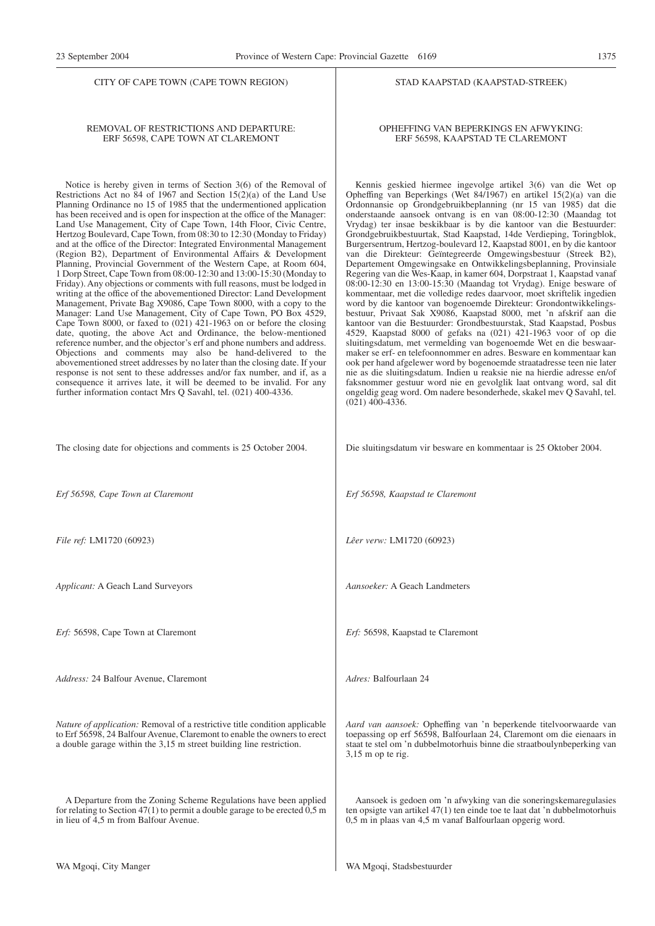#### REMOVAL OF RESTRICTIONS AND DEPARTURE: ERF 56598, CAPE TOWN AT CLAREMONT

Notice is hereby given in terms of Section 3(6) of the Removal of Restrictions Act no 84 of 1967 and Section 15(2)(a) of the Land Use Planning Ordinance no 15 of 1985 that the undermentioned application has been received and is open for inspection at the office of the Manager: Land Use Management, City of Cape Town, 14th Floor, Civic Centre, Hertzog Boulevard, Cape Town, from 08:30 to 12:30 (Monday to Friday) and at the office of the Director: Integrated Environmental Management (Region B2), Department of Environmental Affairs & Development Planning, Provincial Government of the Western Cape, at Room 604, 1 Dorp Street, Cape Town from 08:00-12:30 and 13:00-15:30 (Monday to Friday). Any objections or comments with full reasons, must be lodged in writing at the office of the abovementioned Director: Land Development Management, Private Bag X9086, Cape Town 8000, with a copy to the Manager: Land Use Management, City of Cape Town, PO Box 4529, Cape Town 8000, or faxed to  $(021)$  421-1963 on or before the closing date, quoting, the above Act and Ordinance, the below-mentioned reference number, and the objector's erf and phone numbers and address. Objections and comments may also be hand-delivered to the abovementioned street addresses by no later than the closing date. If your response is not sent to these addresses and/or fax number, and if, as a consequence it arrives late, it will be deemed to be invalid. For any further information contact Mrs Q Savahl, tel. (021) 400-4336.

#### The closing date for objections and comments is 25 October 2004.

*Erf 56598, Cape Town at Claremont*

*File ref:* LM1720 (60923)

*Applicant:* A Geach Land Surveyors

*Erf:* 56598, Cape Town at Claremont

*Address:* 24 Balfour Avenue, Claremont

*Nature of application:* Removal of a restrictive title condition applicable to Erf 56598, 24 Balfour Avenue, Claremont to enable the owners to erect a double garage within the 3,15 m street building line restriction.

A Departure from the Zoning Scheme Regulations have been applied for relating to Section  $47(1)$  to permit a double garage to be erected  $0,5$  m in lieu of 4,5 m from Balfour Avenue.

#### STAD KAAPSTAD (KAAPSTAD-STREEK)

#### OPHEFFING VAN BEPERKINGS EN AFWYKING: ERF 56598, KAAPSTAD TE CLAREMONT

Kennis geskied hiermee ingevolge artikel 3(6) van die Wet op Opheffing van Beperkings (Wet 84/1967) en artikel 15(2)(a) van die Ordonnansie op Grondgebruikbeplanning (nr 15 van 1985) dat die onderstaande aansoek ontvang is en van 08:00-12:30 (Maandag tot Vrydag) ter insae beskikbaar is by die kantoor van die Bestuurder: Grondgebruikbestuurtak, Stad Kaapstad, 14de Verdieping, Toringblok, Burgersentrum, Hertzog-boulevard 12, Kaapstad 8001, en by die kantoor van die Direkteur: Geïntegreerde Omgewingsbestuur (Streek B2), Departement Omgewingsake en Ontwikkelingsbeplanning, Provinsiale Regering van die Wes-Kaap, in kamer 604, Dorpstraat 1, Kaapstad vanaf 08:00-12:30 en 13:00-15:30 (Maandag tot Vrydag). Enige besware of kommentaar, met die volledige redes daarvoor, moet skriftelik ingedien word by die kantoor van bogenoemde Direkteur: Grondontwikkelingsbestuur, Privaat Sak X9086, Kaapstad 8000, met 'n afskrif aan die kantoor van die Bestuurder: Grondbestuurstak, Stad Kaapstad, Posbus 4529, Kaapstad 8000 of gefaks na (021) 421-1963 voor of op die sluitingsdatum, met vermelding van bogenoemde Wet en die beswaarmaker se erf- en telefoonnommer en adres. Besware en kommentaar kan ook per hand afgelewer word by bogenoemde straatadresse teen nie later nie as die sluitingsdatum. Indien u reaksie nie na hierdie adresse en/of faksnommer gestuur word nie en gevolglik laat ontvang word, sal dit ongeldig geag word. Om nadere besonderhede, skakel mev Q Savahl, tel.  $(021)$  400-4336.

Die sluitingsdatum vir besware en kommentaar is 25 Oktober 2004.

*Erf 56598, Kaapstad te Claremont*

*Lêer verw:* LM1720 (60923)

*Aansoeker:* A Geach Landmeters

*Erf:* 56598, Kaapstad te Claremont

*Adres:* Balfourlaan 24

*Aard van aansoek:* Opheffing van 'n beperkende titelvoorwaarde van toepassing op erf 56598, Balfourlaan 24, Claremont om die eienaars in staat te stel om 'n dubbelmotorhuis binne die straatboulynbeperking van 3,15 m op te rig.

Aansoek is gedoen om 'n afwyking van die soneringskemaregulasies ten opsigte van artikel 47(1) ten einde toe te laat dat 'n dubbelmotorhuis 0,5 m in plaas van 4,5 m vanaf Balfourlaan opgerig word.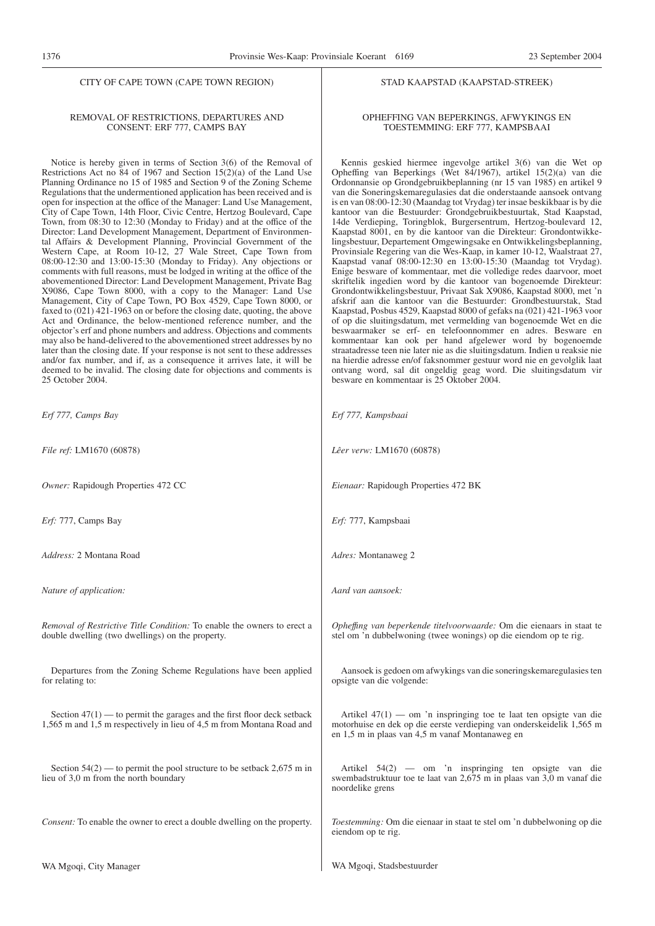#### REMOVAL OF RESTRICTIONS, DEPARTURES AND CONSENT: ERF 777, CAMPS BAY

Notice is hereby given in terms of Section 3(6) of the Removal of Restrictions Act no  $84$  of 1967 and Section 15(2)(a) of the Land Use Planning Ordinance no 15 of 1985 and Section 9 of the Zoning Scheme Regulations that the undermentioned application has been received and is open for inspection at the office of the Manager: Land Use Management, City of Cape Town, 14th Floor, Civic Centre, Hertzog Boulevard, Cape Town, from 08:30 to 12:30 (Monday to Friday) and at the office of the Director: Land Development Management, Department of Environmental Affairs & Development Planning, Provincial Government of the Western Cape, at Room 10-12, 27 Wale Street, Cape Town from 08:00-12:30 and 13:00-15:30 (Monday to Friday). Any objections or comments with full reasons, must be lodged in writing at the office of the abovementioned Director: Land Development Management, Private Bag X9086, Cape Town 8000, with a copy to the Manager: Land Use Management, City of Cape Town, PO Box 4529, Cape Town 8000, or faxed to (021) 421-1963 on or before the closing date, quoting, the above Act and Ordinance, the below-mentioned reference number, and the objector's erf and phone numbers and address. Objections and comments may also be hand-delivered to the abovementioned street addresses by no later than the closing date. If your response is not sent to these addresses and/or fax number, and if, as a consequence it arrives late, it will be deemed to be invalid. The closing date for objections and comments is 25 October 2004.

*Erf 777, Camps Bay*

*File ref:* LM1670 (60878)

*Owner:* Rapidough Properties 472 CC

*Erf:* 777, Camps Bay

*Address:* 2 Montana Road

*Nature of application:*

*Removal of Restrictive Title Condition:* To enable the owners to erect a double dwelling (two dwellings) on the property.

Departures from the Zoning Scheme Regulations have been applied for relating to:

Section  $47(1)$  — to permit the garages and the first floor deck setback 1,565 m and 1,5 m respectively in lieu of 4,5 m from Montana Road and

Section  $54(2)$  — to permit the pool structure to be setback 2,675 m in lieu of 3,0 m from the north boundary

*Consent:* To enable the owner to erect a double dwelling on the property.

#### STAD KAAPSTAD (KAAPSTAD-STREEK)

#### OPHEFFING VAN BEPERKINGS, AFWYKINGS EN TOESTEMMING: ERF 777, KAMPSBAAI

Kennis geskied hiermee ingevolge artikel 3(6) van die Wet op Opheffing van Beperkings (Wet 84/1967), artikel 15(2)(a) van die Ordonnansie op Grondgebruikbeplanning (nr 15 van 1985) en artikel 9 van die Soneringskemaregulasies dat die onderstaande aansoek ontvang is en van 08:00-12:30 (Maandag tot Vrydag) ter insae beskikbaar is by die kantoor van die Bestuurder: Grondgebruikbestuurtak, Stad Kaapstad, 14de Verdieping, Toringblok, Burgersentrum, Hertzog-boulevard 12, Kaapstad 8001, en by die kantoor van die Direkteur: Grondontwikkelingsbestuur, Departement Omgewingsake en Ontwikkelingsbeplanning, Provinsiale Regering van die Wes-Kaap, in kamer 10-12, Waalstraat 27, Kaapstad vanaf 08:00-12:30 en 13:00-15:30 (Maandag tot Vrydag). Enige besware of kommentaar, met die volledige redes daarvoor, moet skriftelik ingedien word by die kantoor van bogenoemde Direkteur: Grondontwikkelingsbestuur, Privaat Sak X9086, Kaapstad 8000, met 'n afskrif aan die kantoor van die Bestuurder: Grondbestuurstak, Stad Kaapstad, Posbus 4529, Kaapstad 8000 of gefaks na (021) 421-1963 voor of op die sluitingsdatum, met vermelding van bogenoemde Wet en die beswaarmaker se erf- en telefoonnommer en adres. Besware en kommentaar kan ook per hand afgelewer word by bogenoemde straatadresse teen nie later nie as die sluitingsdatum. Indien u reaksie nie na hierdie adresse en/of faksnommer gestuur word nie en gevolglik laat ontvang word, sal dit ongeldig geag word. Die sluitingsdatum vir besware en kommentaar is 25 Oktober 2004.

*Erf 777, Kampsbaai Lêer verw:* LM1670 (60878) *Eienaar:* Rapidough Properties 472 BK *Erf:* 777, Kampsbaai *Adres:* Montanaweg 2 *Aard van aansoek: Opheffıng van beperkende titelvoorwaarde:* Om die eienaars in staat te stel om 'n dubbelwoning (twee wonings) op die eiendom op te rig. Aansoek is gedoen om afwykings van die soneringskemaregulasies ten opsigte van die volgende: Artikel  $47(1)$  — om 'n inspringing toe te laat ten opsigte van die motorhuise en dek op die eerste verdieping van onderskeidelik 1,565 m en 1,5 m in plaas van 4,5 m vanaf Montanaweg en Artikel 54(2) — om 'n inspringing ten opsigte van die swembadstruktuur toe te laat van 2,675 m in plaas van 3,0 m vanaf die noordelike grens

*Toestemming:* Om die eienaar in staat te stel om 'n dubbelwoning op die eiendom op te rig.

WA Mgoqi, Stadsbestuurder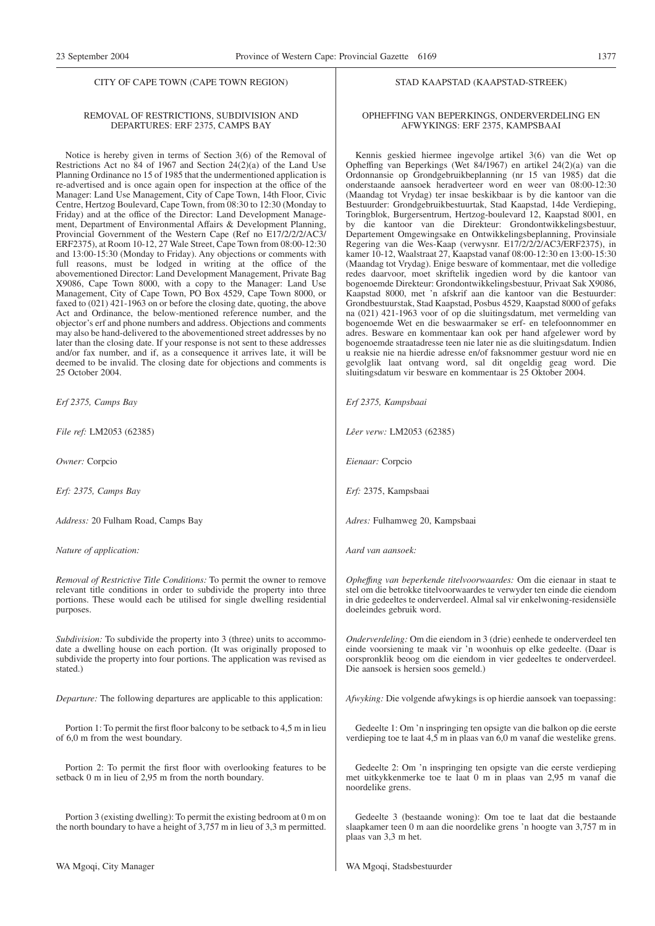#### REMOVAL OF RESTRICTIONS, SUBDIVISION AND DEPARTURES: ERF 2375, CAMPS BAY

Notice is hereby given in terms of Section 3(6) of the Removal of Restrictions Act no 84 of 1967 and Section 24(2)(a) of the Land Use Planning Ordinance no 15 of 1985 that the undermentioned application is re-advertised and is once again open for inspection at the office of the Manager: Land Use Management, City of Cape Town, 14th Floor, Civic Centre, Hertzog Boulevard, Cape Town, from 08:30 to 12:30 (Monday to Friday) and at the office of the Director: Land Development Management, Department of Environmental Affairs & Development Planning, Provincial Government of the Western Cape (Ref no E17/2/2/2/AC3/ ERF2375), at Room 10-12, 27 Wale Street, Cape Town from 08:00-12:30 and 13:00-15:30 (Monday to Friday). Any objections or comments with full reasons, must be lodged in writing at the office of the abovementioned Director: Land Development Management, Private Bag X9086, Cape Town 8000, with a copy to the Manager: Land Use Management, City of Cape Town, PO Box 4529, Cape Town 8000, or faxed to (021) 421-1963 on or before the closing date, quoting, the above Act and Ordinance, the below-mentioned reference number, and the objector's erf and phone numbers and address. Objections and comments may also be hand-delivered to the abovementioned street addresses by no later than the closing date. If your response is not sent to these addresses and/or fax number, and if, as a consequence it arrives late, it will be deemed to be invalid. The closing date for objections and comments is 25 October 2004.

*Erf 2375, Camps Bay*

*File ref:* LM2053 (62385)

*Owner:* Corpcio

*Erf: 2375, Camps Bay*

*Address:* 20 Fulham Road, Camps Bay

*Nature of application:*

*Removal of Restrictive Title Conditions:* To permit the owner to remove relevant title conditions in order to subdivide the property into three portions. These would each be utilised for single dwelling residential purposes.

*Subdivision:* To subdivide the property into 3 (three) units to accommodate a dwelling house on each portion. (It was originally proposed to subdivide the property into four portions. The application was revised as stated.)

*Departure:* The following departures are applicable to this application:

Portion 1: To permit the first floor balcony to be setback to 4,5 m in lieu of 6,0 m from the west boundary.

Portion 2: To permit the first floor with overlooking features to be setback 0 m in lieu of 2,95 m from the north boundary.

Portion 3 (existing dwelling): To permit the existing bedroom at 0 m on the north boundary to have a height of 3,757 m in lieu of 3,3 m permitted.

#### STAD KAAPSTAD (KAAPSTAD-STREEK)

#### OPHEFFING VAN BEPERKINGS, ONDERVERDELING EN AFWYKINGS: ERF 2375, KAMPSBAAI

Kennis geskied hiermee ingevolge artikel 3(6) van die Wet op Opheffing van Beperkings (Wet 84/1967) en artikel 24(2)(a) van die Ordonnansie op Grondgebruikbeplanning (nr 15 van 1985) dat die onderstaande aansoek heradverteer word en weer van 08:00-12:30 (Maandag tot Vrydag) ter insae beskikbaar is by die kantoor van die Bestuurder: Grondgebruikbestuurtak, Stad Kaapstad, 14de Verdieping, Toringblok, Burgersentrum, Hertzog-boulevard 12, Kaapstad 8001, en by die kantoor van die Direkteur: Grondontwikkelingsbestuur, Departement Omgewingsake en Ontwikkelingsbeplanning, Provinsiale Regering van die Wes-Kaap (verwysnr. E17/2/2/2/AC3/ERF2375), in kamer 10-12, Waalstraat 27, Kaapstad vanaf 08:00-12:30 en 13:00-15:30 (Maandag tot Vrydag). Enige besware of kommentaar, met die volledige redes daarvoor, moet skriftelik ingedien word by die kantoor van bogenoemde Direkteur: Grondontwikkelingsbestuur, Privaat Sak X9086, Kaapstad 8000, met 'n afskrif aan die kantoor van die Bestuurder: Grondbestuurstak, Stad Kaapstad, Posbus 4529, Kaapstad 8000 of gefaks na (021) 421-1963 voor of op die sluitingsdatum, met vermelding van bogenoemde Wet en die beswaarmaker se erf- en telefoonnommer en adres. Besware en kommentaar kan ook per hand afgelewer word by bogenoemde straatadresse teen nie later nie as die sluitingsdatum. Indien u reaksie nie na hierdie adresse en/of faksnommer gestuur word nie en gevolglik laat ontvang word, sal dit ongeldig geag word. Die sluitingsdatum vir besware en kommentaar is 25 Oktober 2004.

*Erf 2375, Kampsbaai*

*Lêer verw:* LM2053 (62385)

*Eienaar:* Corpcio

*Erf:* 2375, Kampsbaai

*Adres:* Fulhamweg 20, Kampsbaai

*Aard van aansoek:*

*Opheffıng van beperkende titelvoorwaardes:* Om die eienaar in staat te stel om die betrokke titelvoorwaardes te verwyder ten einde die eiendom in drie gedeeltes te onderverdeel. Almal sal vir enkelwoning-residensiële doeleindes gebruik word.

*Onderverdeling:* Om die eiendom in 3 (drie) eenhede te onderverdeel ten einde voorsiening te maak vir 'n woonhuis op elke gedeelte. (Daar is oorspronklik beoog om die eiendom in vier gedeeltes te onderverdeel. Die aansoek is hersien soos gemeld.)

*Afwyking:* Die volgende afwykings is op hierdie aansoek van toepassing:

Gedeelte 1: Om 'n inspringing ten opsigte van die balkon op die eerste verdieping toe te laat  $4,5$  m in plaas van  $6,0$  m vanaf die westelike grens.

Gedeelte 2: Om 'n inspringing ten opsigte van die eerste verdieping met uitkykkenmerke toe te laat 0 m in plaas van 2,95 m vanaf die noordelike grens.

Gedeelte 3 (bestaande woning): Om toe te laat dat die bestaande slaapkamer teen 0 m aan die noordelike grens 'n hoogte van 3,757 m in plaas van 3,3 m het.

WA Mgoqi, Stadsbestuurder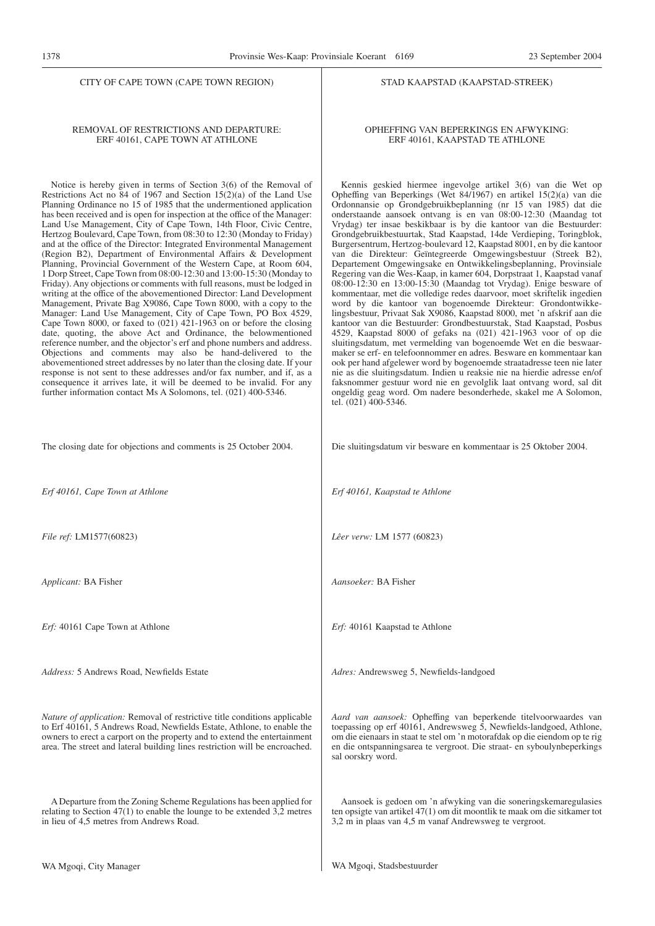#### REMOVAL OF RESTRICTIONS AND DEPARTURE: ERF 40161, CAPE TOWN AT ATHLONE

Notice is hereby given in terms of Section 3(6) of the Removal of Restrictions Act no 84 of 1967 and Section 15(2)(a) of the Land Use Planning Ordinance no 15 of 1985 that the undermentioned application has been received and is open for inspection at the office of the Manager: Land Use Management, City of Cape Town, 14th Floor, Civic Centre, Hertzog Boulevard, Cape Town, from 08:30 to 12:30 (Monday to Friday) and at the office of the Director: Integrated Environmental Management (Region B2), Department of Environmental Affairs & Development Planning, Provincial Government of the Western Cape, at Room 604, 1 Dorp Street, Cape Town from 08:00-12:30 and 13:00-15:30 (Monday to Friday). Any objections or comments with full reasons, must be lodged in writing at the office of the abovementioned Director: Land Development Management, Private Bag X9086, Cape Town 8000, with a copy to the Manager: Land Use Management, City of Cape Town, PO Box 4529, Cape Town 8000, or faxed to  $(021)$  421-1963 on or before the closing date, quoting, the above Act and Ordinance, the belowmentioned reference number, and the objector's erf and phone numbers and address. Objections and comments may also be hand-delivered to the abovementioned street addresses by no later than the closing date. If your response is not sent to these addresses and/or fax number, and if, as a consequence it arrives late, it will be deemed to be invalid. For any further information contact Ms A Solomons, tel. (021) 400-5346.

#### The closing date for objections and comments is 25 October 2004.

*Erf 40161, Cape Town at Athlone*

*File ref:* LM1577(60823)

*Applicant:* BA Fisher

*Erf:* 40161 Cape Town at Athlone

*Address:* 5 Andrews Road, Newfields Estate

*Nature of application:* Removal of restrictive title conditions applicable to Erf 40161, 5 Andrews Road, Newfields Estate, Athlone, to enable the owners to erect a carport on the property and to extend the entertainment area. The street and lateral building lines restriction will be encroached.

A Departure from the Zoning Scheme Regulations has been applied for relating to Section 47(1) to enable the lounge to be extended 3,2 metres in lieu of 4,5 metres from Andrews Road.

*Adres:* Andrewsweg 5, Newfields-landgoed

*Aard van aansoek:* Opheffing van beperkende titelvoorwaardes van toepassing op erf 40161, Andrewsweg 5, Newfields-landgoed, Athlone, om die eienaars in staat te stel om 'n motorafdak op die eiendom op te rig en die ontspanningsarea te vergroot. Die straat- en syboulynbeperkings sal oorskry word.

Aansoek is gedoen om 'n afwyking van die soneringskemaregulasies ten opsigte van artikel 47(1) om dit moontlik te maak om die sitkamer tot 3,2 m in plaas van 4,5 m vanaf Andrewsweg te vergroot.

WA Mgoqi, Stadsbestuurder

#### STAD KAAPSTAD (KAAPSTAD-STREEK)

#### OPHEFFING VAN BEPERKINGS EN AFWYKING: ERF 40161, KAAPSTAD TE ATHLONE

Kennis geskied hiermee ingevolge artikel 3(6) van die Wet op Opheffing van Beperkings (Wet 84/1967) en artikel 15(2)(a) van die Ordonnansie op Grondgebruikbeplanning (nr 15 van 1985) dat die onderstaande aansoek ontvang is en van 08:00-12:30 (Maandag tot Vrydag) ter insae beskikbaar is by die kantoor van die Bestuurder: Grondgebruikbestuurtak, Stad Kaapstad, 14de Verdieping, Toringblok, Burgersentrum, Hertzog-boulevard 12, Kaapstad 8001, en by die kantoor van die Direkteur: Geïntegreerde Omgewingsbestuur (Streek B2), Departement Omgewingsake en Ontwikkelingsbeplanning, Provinsiale Regering van die Wes-Kaap, in kamer 604, Dorpstraat 1, Kaapstad vanaf 08:00-12:30 en 13:00-15:30 (Maandag tot Vrydag). Enige besware of kommentaar, met die volledige redes daarvoor, moet skriftelik ingedien word by die kantoor van bogenoemde Direkteur: Grondontwikkelingsbestuur, Privaat Sak X9086, Kaapstad 8000, met 'n afskrif aan die kantoor van die Bestuurder: Grondbestuurstak, Stad Kaapstad, Posbus 4529, Kaapstad 8000 of gefaks na (021) 421-1963 voor of op die sluitingsdatum, met vermelding van bogenoemde Wet en die beswaarmaker se erf- en telefoonnommer en adres. Besware en kommentaar kan ook per hand afgelewer word by bogenoemde straatadresse teen nie later nie as die sluitingsdatum. Indien u reaksie nie na hierdie adresse en/of faksnommer gestuur word nie en gevolglik laat ontvang word, sal dit ongeldig geag word. Om nadere besonderhede, skakel me A Solomon, tel. (021) 400-5346.

Die sluitingsdatum vir besware en kommentaar is 25 Oktober 2004.

*Erf 40161, Kaapstad te Athlone*

*Lêer verw:* LM 1577 (60823)

*Erf:* 40161 Kaapstad te Athlone

*Aansoeker:* BA Fisher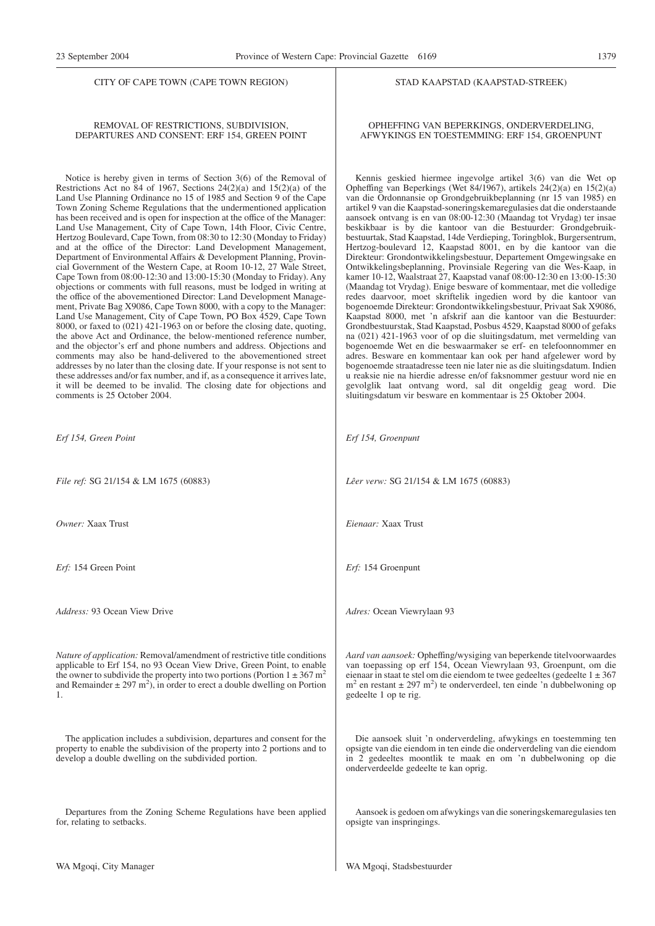#### REMOVAL OF RESTRICTIONS, SUBDIVISION, DEPARTURES AND CONSENT: ERF 154, GREEN POINT

Notice is hereby given in terms of Section 3(6) of the Removal of Restrictions Act no 84 of 1967, Sections  $24(2)(a)$  and  $15(2)(a)$  of the Land Use Planning Ordinance no 15 of 1985 and Section 9 of the Cape Town Zoning Scheme Regulations that the undermentioned application has been received and is open for inspection at the office of the Manager: Land Use Management, City of Cape Town, 14th Floor, Civic Centre, Hertzog Boulevard, Cape Town, from 08:30 to 12:30 (Monday to Friday) and at the office of the Director: Land Development Management, Department of Environmental Affairs & Development Planning, Provincial Government of the Western Cape, at Room 10-12, 27 Wale Street, Cape Town from 08:00-12:30 and 13:00-15:30 (Monday to Friday). Any objections or comments with full reasons, must be lodged in writing at the office of the abovementioned Director: Land Development Management, Private Bag X9086, Cape Town 8000, with a copy to the Manager: Land Use Management, City of Cape Town, PO Box 4529, Cape Town 8000, or faxed to (021) 421-1963 on or before the closing date, quoting, the above Act and Ordinance, the below-mentioned reference number, and the objector's erf and phone numbers and address. Objections and comments may also be hand-delivered to the abovementioned street addresses by no later than the closing date. If your response is not sent to these addresses and/or fax number, and if, as a consequence it arrives late, it will be deemed to be invalid. The closing date for objections and comments is 25 October 2004.

*Erf 154, Green Point*

*File ref:* SG 21/154 & LM 1675 (60883)

*Owner:* Xaax Trust

*Erf:* 154 Green Point

*Address:* 93 Ocean View Drive

*Nature of application:* Removal/amendment of restrictive title conditions applicable to Erf 154, no 93 Ocean View Drive, Green Point, to enable the owner to subdivide the property into two portions (Portion  $1 \pm 367$  m<sup>2</sup> and Remainder  $\pm 297$  m<sup>2</sup>), in order to erect a double dwelling on Portion 1.

The application includes a subdivision, departures and consent for the property to enable the subdivision of the property into 2 portions and to develop a double dwelling on the subdivided portion.

Departures from the Zoning Scheme Regulations have been applied for, relating to setbacks.

#### STAD KAAPSTAD (KAAPSTAD-STREEK)

#### OPHEFFING VAN BEPERKINGS, ONDERVERDELING, AFWYKINGS EN TOESTEMMING: ERF 154, GROENPUNT

Kennis geskied hiermee ingevolge artikel 3(6) van die Wet op Opheffing van Beperkings (Wet 84/1967), artikels 24(2)(a) en 15(2)(a) van die Ordonnansie op Grondgebruikbeplanning (nr 15 van 1985) en artikel 9 van die Kaapstad-soneringskemaregulasies dat die onderstaande aansoek ontvang is en van 08:00-12:30 (Maandag tot Vrydag) ter insae beskikbaar is by die kantoor van die Bestuurder: Grondgebruikbestuurtak, Stad Kaapstad, 14de Verdieping, Toringblok, Burgersentrum, Hertzog-boulevard 12, Kaapstad 8001, en by die kantoor van die Direkteur: Grondontwikkelingsbestuur, Departement Omgewingsake en Ontwikkelingsbeplanning, Provinsiale Regering van die Wes-Kaap, in kamer 10-12, Waalstraat 27, Kaapstad vanaf 08:00-12:30 en 13:00-15:30 (Maandag tot Vrydag). Enige besware of kommentaar, met die volledige redes daarvoor, moet skriftelik ingedien word by die kantoor van bogenoemde Direkteur: Grondontwikkelingsbestuur, Privaat Sak X9086, Kaapstad 8000, met 'n afskrif aan die kantoor van die Bestuurder: Grondbestuurstak, Stad Kaapstad, Posbus 4529, Kaapstad 8000 of gefaks na (021) 421-1963 voor of op die sluitingsdatum, met vermelding van bogenoemde Wet en die beswaarmaker se erf- en telefoonnommer en adres. Besware en kommentaar kan ook per hand afgelewer word by bogenoemde straatadresse teen nie later nie as die sluitingsdatum. Indien u reaksie nie na hierdie adresse en/of faksnommer gestuur word nie en gevolglik laat ontvang word, sal dit ongeldig geag word. Die sluitingsdatum vir besware en kommentaar is 25 Oktober 2004.

*Erf 154, Groenpunt*

*Lêer verw:* SG 21/154 & LM 1675 (60883)

*Eienaar:* Xaax Trust

*Erf:* 154 Groenpunt

*Adres:* Ocean Viewrylaan 93

*Aard van aansoek:* Opheffing/wysiging van beperkende titelvoorwaardes van toepassing op erf 154, Ocean Viewrylaan 93, Groenpunt, om die eienaar in staat te stel om die eiendom te twee gedeeltes (gedeelte  $1 \pm 367$  $m<sup>2</sup>$  en restant  $\pm$  297 m<sup>2</sup>) te onderverdeel, ten einde 'n dubbelwoning op gedeelte 1 op te rig.

Die aansoek sluit 'n onderverdeling, afwykings en toestemming ten opsigte van die eiendom in ten einde die onderverdeling van die eiendom in 2 gedeeltes moontlik te maak en om 'n dubbelwoning op die onderverdeelde gedeelte te kan oprig.

Aansoek is gedoen om afwykings van die soneringskemaregulasies ten opsigte van inspringings.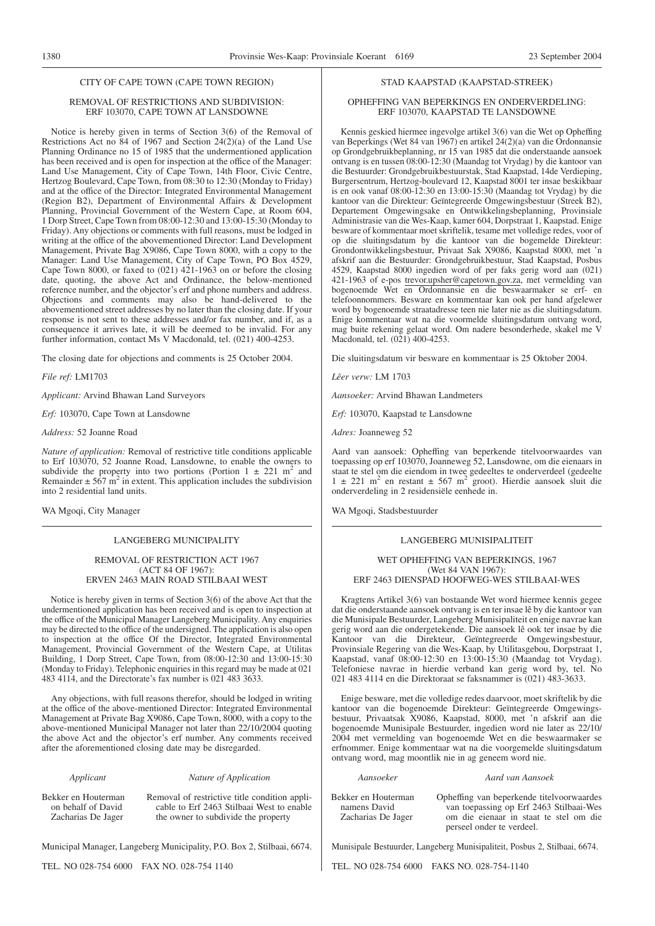#### REMOVAL OF RESTRICTIONS AND SUBDIVISION: ERF 103070, CAPE TOWN AT LANSDOWNE

Notice is hereby given in terms of Section 3(6) of the Removal of Restrictions Act no  $\overline{84}$  of 1967 and Section 24(2)(a) of the Land Use Planning Ordinance no 15 of 1985 that the undermentioned application has been received and is open for inspection at the office of the Manager: Land Use Management, City of Cape Town, 14th Floor, Civic Centre, Hertzog Boulevard, Cape Town, from 08:30 to 12:30 (Monday to Friday) and at the office of the Director: Integrated Environmental Management (Region B2), Department of Environmental Affairs & Development Planning, Provincial Government of the Western Cape, at Room 604, 1 Dorp Street, Cape Town from 08:00-12:30 and 13:00-15:30 (Monday to Friday). Any objections or comments with full reasons, must be lodged in writing at the office of the abovementioned Director: Land Development Management, Private Bag X9086, Cape Town 8000, with a copy to the Manager: Land Use Management, City of Cape Town, PO Box 4529, Cape Town 8000, or faxed to (021) 421-1963 on or before the closing date, quoting, the above Act and Ordinance, the below-mentioned reference number, and the objector's erf and phone numbers and address. Objections and comments may also be hand-delivered to the abovementioned street addresses by no later than the closing date. If your response is not sent to these addresses and/or fax number, and if, as a consequence it arrives late, it will be deemed to be invalid. For any further information, contact Ms V Macdonald, tel. (021) 400-4253.

The closing date for objections and comments is 25 October 2004.

*File ref:* LM1703

*Applicant:* Arvind Bhawan Land Surveyors

*Erf:* 103070, Cape Town at Lansdowne

*Address:* 52 Joanne Road

*Nature of application:* Removal of restrictive title conditions applicable to Erf 103070, 52 Joanne Road, Lansdowne, to enable the owners to subdivide the property into two portions (Portion  $1 \pm 221$  m<sup>2</sup> and Remainder  $\pm$  567 m<sup>2</sup> in extent. This application includes the subdivision into 2 residential land units.

WA Mgoqi, City Manager

#### LANGEBERG MUNICIPALITY

#### REMOVAL OF RESTRICTION ACT 1967 (ACT 84 OF 1967): ERVEN 2463 MAIN ROAD STILBAAI WEST

Notice is hereby given in terms of Section 3(6) of the above Act that the undermentioned application has been received and is open to inspection at the office of the Municipal Manager Langeberg Municipality. Any enquiries may be directed to the office of the undersigned. The application is also open to inspection at the office Of the Director, Integrated Environmental Management, Provincial Government of the Western Cape, at Utilitas Building, 1 Dorp Street, Cape Town, from 08:00-12:30 and 13:00-15:30 (Monday to Friday). Telephonic enquiries in this regard may be made at 021 483 4114, and the Directorate's fax number is 021 483 3633.

Any objections, with full reasons therefor, should be lodged in writing at the office of the above-mentioned Director: Integrated Environmental Management at Private Bag X9086, Cape Town, 8000, with a copy to the above-mentioned Municipal Manager not later than 22/10/2004 quoting the above Act and the objector's erf number. Any comments received after the aforementioned closing date may be disregarded.

#### *Applicant Nature of Application*

Bekker en Houterman on behalf of David Zacharias De Jager

Removal of restrictive title condition applicable to Erf 2463 Stilbaai West to enable the owner to subdivide the property

Municipal Manager, Langeberg Municipality, P.O. Box 2, Stilbaai, 6674.

TEL. NO 028-754 6000 FAX NO. 028-754 1140

#### STAD KAAPSTAD (KAAPSTAD-STREEK)

#### OPHEFFING VAN BEPERKINGS EN ONDERVERDELING: ERF 103070, KAAPSTAD TE LANSDOWNE

Kennis geskied hiermee ingevolge artikel 3(6) van die Wet op Opheffing van Beperkings (Wet 84 van 1967) en artikel 24(2)(a) van die Ordonnansie op Grondgebruikbeplanning, nr 15 van 1985 dat die onderstaande aansoek ontvang is en tussen 08:00-12:30 (Maandag tot Vrydag) by die kantoor van die Bestuurder: Grondgebruikbestuurstak, Stad Kaapstad, 14de Verdieping, Burgersentrum, Hertzog-boulevard 12, Kaapstad 8001 ter insae beskikbaar is en ook vanaf 08:00-12:30 en 13:00-15:30 (Maandag tot Vrydag) by die kantoor van die Direkteur: Geïntegreerde Omgewingsbestuur (Streek B2), Departement Omgewingsake en Ontwikkelingsbeplanning, Provinsiale Administrasie van die Wes-Kaap, kamer 604, Dorpstraat 1, Kaapstad. Enige besware of kommentaar moet skriftelik, tesame met volledige redes, voor of op die sluitingsdatum by die kantoor van die bogemelde Direkteur: Grondontwikkelingsbestuur, Privaat Sak X9086, Kaapstad 8000, met 'n afskrif aan die Bestuurder: Grondgebruikbestuur, Stad Kaapstad, Posbus 4529, Kaapstad 8000 ingedien word of per faks gerig word aan (021) 421-1963 of e-pos trevor.upsher@capetown.gov.za, met vermelding van bogenoemde Wet en Ordonnansie en die beswaarmaker se erf- en telefoonnommers. Besware en kommentaar kan ook per hand afgelewer word by bogenoemde straatadresse teen nie later nie as die sluitingsdatum. Enige kommentaar wat na die voormelde sluitingsdatum ontvang word, mag buite rekening gelaat word. Om nadere besonderhede, skakel me V Macdonald, tel. (021) 400-4253.

Die sluitingsdatum vir besware en kommentaar is 25 Oktober 2004.

*Lêer verw:* LM 1703

*Aansoeker:* Arvind Bhawan Landmeters

*Erf:* 103070, Kaapstad te Lansdowne

*Adres:* Joanneweg 52

Aard van aansoek: Opheffing van beperkende titelvoorwaardes van toepassing op erf 103070, Joanneweg 52, Lansdowne, om die eienaars in staat te stel om die eiendom in twee gedeeltes te onderverdeel (gedeelte 1 ± 221 m<sup>2</sup> en restant ± 567 m<sup>2</sup> groot). Hierdie aansoek sluit die onderverdeling in 2 residensiële eenhede in.

WA Mgoqi, Stadsbestuurder

#### LANGEBERG MUNISIPALITEIT

#### WET OPHEFFING VAN BEPERKINGS, 1967 (Wet 84 VAN 1967): ERF 2463 DIENSPAD HOOFWEG-WES STILBAAI-WES

Kragtens Artikel 3(6) van bostaande Wet word hiermee kennis gegee dat die onderstaande aansoek ontvang is en ter insae lê by die kantoor van die Munisipale Bestuurder, Langeberg Munisipaliteit en enige navrae kan gerig word aan die ondergetekende. Die aansoek lê ook ter insae by die Kantoor van die Direkteur, Geïntegreerde Omgewingsbestuur, Provinsiale Regering van die Wes-Kaap, by Utilitasgebou, Dorpstraat 1, Kaapstad, vanaf 08:00-12:30 en 13:00-15:30 (Maandag tot Vrydag). Telefoniese navrae in hierdie verband kan gerig word by, tel. No 021 483 4114 en die Direktoraat se faksnammer is (021) 483-3633.

Enige besware, met die volledige redes daarvoor, moet skriftelik by die kantoor van die bogenoemde Direkteur: Geïntegreerde Omgewingsbestuur, Privaatsak X9086, Kaapstad, 8000, met 'n afskrif aan die bogenoemde Munisipale Bestuurder, ingedien word nie later as 22/10/ 2004 met vermelding van bogenoemde Wet en die beswaarmaker se erfnommer. Enige kommentaar wat na die voorgemelde sluitingsdatum ontvang word, mag moontlik nie in ag geneem word nie.

#### *Aansoeker Aard van Aansoek*

Bekker en Houterman namens David Zacharias De Jager Opheffing van beperkende titelvoorwaardes

van toepassing op Erf 2463 Stilbaai-Wes om die eienaar in staat te stel om die perseel onder te verdeel.

Munisipale Bestuurder, Langeberg Munisipaliteit, Posbus 2, Stilbaai, 6674.

TEL. NO 028-754 6000 FAKS NO. 028-754-1140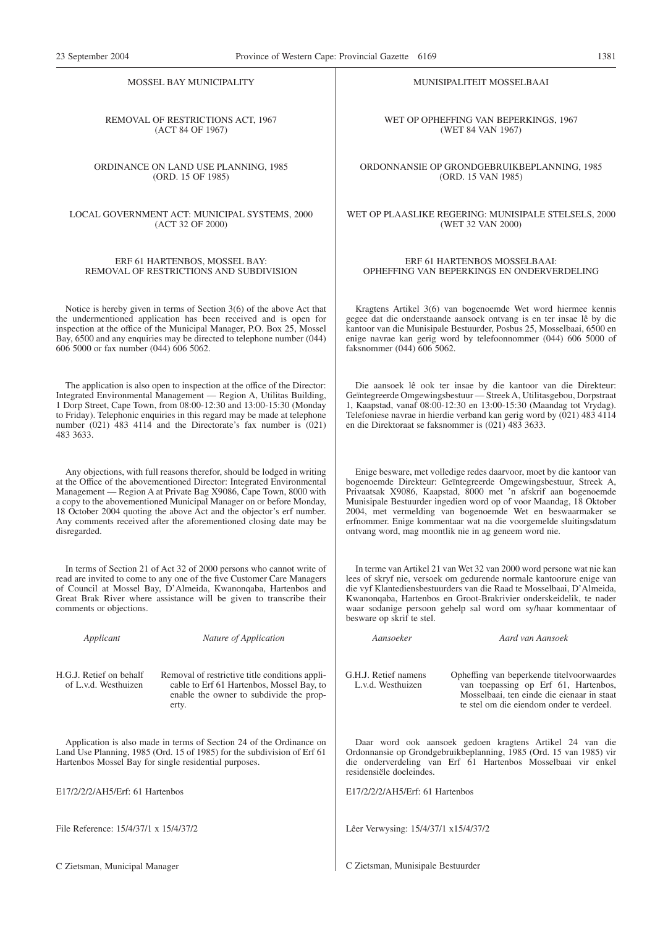MOSSEL BAY MUNICIPALITY

REMOVAL OF RESTRICTIONS ACT, 1967 (ACT 84 OF 1967)

ORDINANCE ON LAND USE PLANNING, 1985 (ORD. 15 OF 1985)

LOCAL GOVERNMENT ACT: MUNICIPAL SYSTEMS, 2000 (ACT 32 OF 2000)

#### ERF 61 HARTENBOS, MOSSEL BAY: REMOVAL OF RESTRICTIONS AND SUBDIVISION

Notice is hereby given in terms of Section 3(6) of the above Act that the undermentioned application has been received and is open for inspection at the office of the Municipal Manager, P.O. Box 25, Mossel Bay, 6500 and any enquiries may be directed to telephone number (044) 606 5000 or fax number (044) 606 5062.

The application is also open to inspection at the office of the Director: Integrated Environmental Management — Region A, Utilitas Building, 1 Dorp Street, Cape Town, from 08:00-12:30 and 13:00-15:30 (Monday to Friday). Telephonic enquiries in this regard may be made at telephone number (021) 483 4114 and the Directorate's fax number is (021) 483 3633.

Any objections, with full reasons therefor, should be lodged in writing at the Office of the abovementioned Director: Integrated Environmental Management — Region A at Private Bag X9086, Cape Town, 8000 with a copy to the abovementioned Municipal Manager on or before Monday, 18 October 2004 quoting the above Act and the objector's erf number. Any comments received after the aforementioned closing date may be disregarded.

In terms of Section 21 of Act 32 of 2000 persons who cannot write of read are invited to come to any one of the five Customer Care Managers of Council at Mossel Bay, D'Almeida, Kwanonqaba, Hartenbos and Great Brak River where assistance will be given to transcribe their comments or objections.

*Applicant Nature of Application*

H.G.J. Retief on behalf of L.v.d. Westhuizen

Removal of restrictive title conditions applicable to Erf 61 Hartenbos, Mossel Bay, to enable the owner to subdivide the property.

Application is also made in terms of Section 24 of the Ordinance on Land Use Planning, 1985 (Ord. 15 of 1985) for the subdivision of Erf 61 Hartenbos Mossel Bay for single residential purposes.

E17/2/2/2/AH5/Erf: 61 Hartenbos

File Reference: 15/4/37/1 x 15/4/37/2

C Zietsman, Municipal Manager

MUNISIPALITEIT MOSSELBAAI

WET OP OPHEFFING VAN BEPERKINGS, 1967 (WET 84 VAN 1967)

ORDONNANSIE OP GRONDGEBRUIKBEPLANNING, 1985 (ORD. 15 VAN 1985)

WET OP PLAASLIKE REGERING: MUNISIPALE STELSELS, 2000 (WET 32 VAN 2000)

#### ERF 61 HARTENBOS MOSSELBAAI: OPHEFFING VAN BEPERKINGS EN ONDERVERDELING

Kragtens Artikel 3(6) van bogenoemde Wet word hiermee kennis gegee dat die onderstaande aansoek ontvang is en ter insae lê by die kantoor van die Munisipale Bestuurder, Posbus 25, Mosselbaai, 6500 en enige navrae kan gerig word by telefoonnommer (044) 606 5000 of faksnommer (044) 606 5062.

Die aansoek lê ook ter insae by die kantoor van die Direkteur: Geïntegreerde Omgewingsbestuur — Streek A, Utilitasgebou, Dorpstraat 1, Kaapstad, vanaf 08:00-12:30 en 13:00-15:30 (Maandag tot Vrydag). Telefoniese navrae in hierdie verband kan gerig word by (021) 483 4114 en die Direktoraat se faksnommer is (021) 483 3633.

Enige besware, met volledige redes daarvoor, moet by die kantoor van bogenoemde Direkteur: Geïntegreerde Omgewingsbestuur, Streek A, Privaatsak X9086, Kaapstad, 8000 met 'n afskrif aan bogenoemde Munisipale Bestuurder ingedien word op of voor Maandag, 18 Oktober 2004, met vermelding van bogenoemde Wet en beswaarmaker se erfnommer. Enige kommentaar wat na die voorgemelde sluitingsdatum ontvang word, mag moontlik nie in ag geneem word nie.

In terme van Artikel 21 van Wet 32 van 2000 word persone wat nie kan lees of skryf nie, versoek om gedurende normale kantoorure enige van die vyf Klantediensbestuurders van die Raad te Mosselbaai, D'Almeida, Kwanonqaba, Hartenbos en Groot-Brakrivier onderskeidelik, te nader waar sodanige persoon gehelp sal word om sy/haar kommentaar of besware op skrif te stel.

*Aansoeker Aard van Aansoek*

G.H.J. Retief namens L.v.d. Westhuizen

Opheffing van beperkende titelvoorwaardes van toepassing op Erf 61, Hartenbos, Mosselbaai, ten einde die eienaar in staat te stel om die eiendom onder te verdeel.

Daar word ook aansoek gedoen kragtens Artikel 24 van die Ordonnansie op Grondgebruikbeplanning, 1985 (Ord. 15 van 1985) vir die onderverdeling van Erf 61 Hartenbos Mosselbaai vir enkel residensiële doeleindes.

E17/2/2/2/AH5/Erf: 61 Hartenbos

Lêer Verwysing: 15/4/37/1 x15/4/37/2

C Zietsman, Munisipale Bestuurder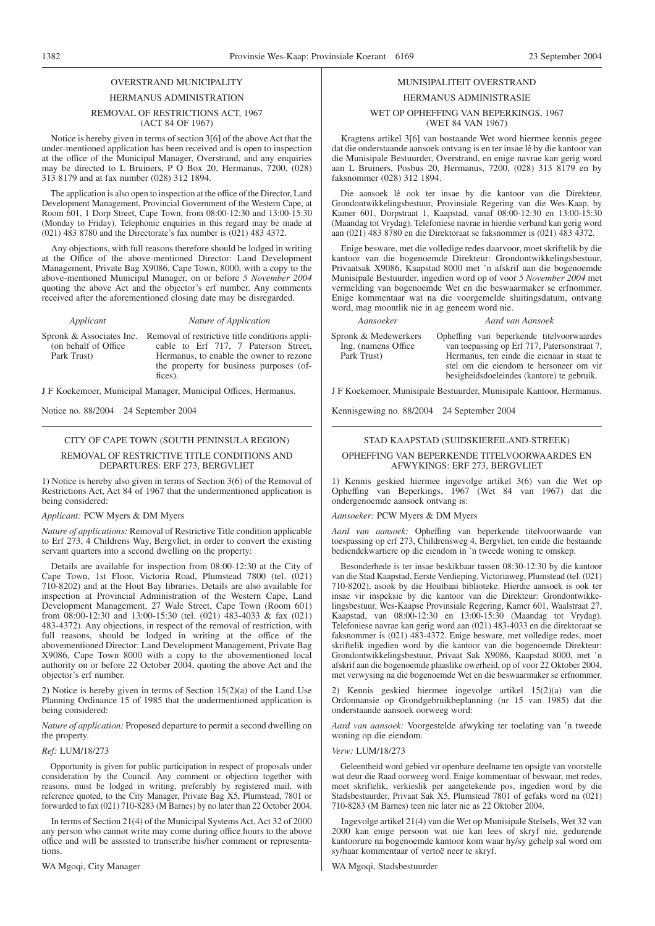## OVERSTRAND MUNICIPALITY

### HERMANUS ADMINISTRATION

#### REMOVAL OF RESTRICTIONS ACT, 1967 (ACT 84 OF 1967)

Notice is hereby given in terms of section 3[6] of the above Act that the under-mentioned application has been received and is open to inspection at the office of the Municipal Manager, Overstrand, and any enquiries may be directed to L Bruiners, P O Box 20, Hermanus, 7200, (028) 313 8179 and at fax number (028) 312 1894.

The application is also open to inspection at the office of the Director, Land Development Management, Provincial Government of the Western Cape, at Room 601, 1 Dorp Street, Cape Town, from 08:00-12:30 and 13:00-15:30 (Monday to Friday). Telephonic enquiries in this regard may be made at (021) 483 8780 and the Directorate's fax number is (021) 483 4372.

Any objections, with full reasons therefore should be lodged in writing at the Office of the above-mentioned Director: Land Development Management, Private Bag X9086, Cape Town, 8000, with a copy to the above-mentioned Municipal Manager, on or before *5 November 2004* quoting the above Act and the objector's erf number. Any comments received after the aforementioned closing date may be disregarded.

(on behalf of Office Park Trust)

*Applicant Nature of Application*

Spronk & Associates Inc. Removal of restrictive title conditions applicable to Erf 717, 7 Paterson Street, Hermanus, to enable the owner to rezone the property for business purposes (offices).

J F Koekemoer, Municipal Manager, Municipal Offices, Hermanus.

Notice no. 88/2004 24 September 2004

#### CITY OF CAPE TOWN (SOUTH PENINSULA REGION) REMOVAL OF RESTRICTIVE TITLE CONDITIONS AND DEPARTURES: ERF 273, BERGVLIET

1) Notice is hereby also given in terms of Section 3(6) of the Removal of Restrictions Act, Act 84 of 1967 that the undermentioned application is being considered:

#### *Applicant:* PCW Myers & DM Myers

*Nature of applications:* Removal of Restrictive Title condition applicable to Erf 273, 4 Childrens Way, Bergvliet, in order to convert the existing servant quarters into a second dwelling on the property:

Details are available for inspection from 08:00-12:30 at the City of Cape Town, 1st Floor, Victoria Road, Plumstead 7800 (tel. (021) 710-8202) and at the Hout Bay libraries. Details are also available for inspection at Provincial Administration of the Western Cape, Land Development Management, 27 Wale Street, Cape Town (Room 601) from 08:00-12:30 and 13:00-15:30 (tel. (021) 483-4033 & fax (021) 483-4372). Any objections, in respect of the removal of restriction, with full reasons, should be lodged in writing at the office of the abovementioned Director: Land Development Management, Private Bag X9086, Cape Town 8000 with a copy to the abovementioned local authority on or before 22 October 2004, quoting the above Act and the objector's erf number.

2) Notice is hereby given in terms of Section 15(2)(a) of the Land Use Planning Ordinance 15 of 1985 that the undermentioned application is being considered:

*Nature of application:* Proposed departure to permit a second dwelling on the property.

#### *Ref:* LUM/18/273

Opportunity is given for public participation in respect of proposals under consideration by the Council. Any comment or objection together with reasons, must be lodged in writing, preferably by registered mail, with reference quoted, to the City Manager, Private Bag X5, Plumstead, 7801 or forwarded to fax (021) 710-8283 (M Barnes) by no later than 22 October 2004.

In terms of Section 21(4) of the Municipal Systems Act, Act 32 of 2000 any person who cannot write may come during office hours to the above office and will be assisted to transcribe his/her comment or representations.

WA Mgoqi, City Manager

## MUNISIPALITEIT OVERSTRAND

#### HERMANUS ADMINISTRASIE

#### WET OP OPHEFFING VAN BEPERKINGS, 1967 (WET 84 VAN 1967)

Kragtens artikel 3[6] van bostaande Wet word hiermee kennis gegee dat die onderstaande aansoek ontvang is en ter insae lê by die kantoor van die Munisipale Bestuurder, Overstrand, en enige navrae kan gerig word aan L Bruiners, Posbus 20, Hermanus, 7200, (028) 313 8179 en by faksnommer (028) 312 1894.

Die aansoek lê ook ter insae by die kantoor van die Direkteur, Grondontwikkelingsbestuur, Provinsiale Regering van die Wes-Kaap, by Kamer 601, Dorpstraat 1, Kaapstad, vanaf 08:00-12:30 en 13:00-15:30 (Maandag tot Vrydag). Telefoniese navrae in hierdie verband kan gerig word aan (021) 483 8780 en die Direktoraat se faksnommer is (021) 483 4372.

Enige besware, met die volledige redes daarvoor, moet skriftelik by die kantoor van die bogenoemde Direkteur: Grondontwikkelingsbestuur, Privaatsak X9086, Kaapstad 8000 met 'n afskrif aan die bogenoemde Munisipale Bestuurder, ingedien word op of voor *5 November 2004* met vermelding van bogenoemde Wet en die beswaarmaker se erfnommer. Enige kommentaar wat na die voorgemelde sluitingsdatum, ontvang word, mag moontlik nie in ag geneem word nie.

#### *Aansoeker Aard van Aansoek*

Spronk & Medewerkers Ing. (namens Office Park Trust)

Opheffing van beperkende titelvoorwaardes van toepassing op Erf 717, Patersonstraat 7, Hermanus, ten einde die eienaar in staat te stel om die eiendom te hersoneer om vir besigheidsdoeleindes (kantore) te gebruik.

J F Koekemoer, Munisipale Bestuurder, Munisipale Kantoor, Hermanus.

Kennisgewing no. 88/2004 24 September 2004

#### STAD KAAPSTAD (SUIDSKIEREILAND-STREEK)

#### OPHEFFING VAN BEPERKENDE TITELVOORWAARDES EN AFWYKINGS: ERF 273, BERGVLIET

1) Kennis geskied hiermee ingevolge artikel 3(6) van die Wet op Opheffing van Beperkings, 1967 (Wet 84 van 1967) dat die ondergenoemde aansoek ontvang is:

#### *Aansoeker:* PCW Myers & DM Myers

*Aard van aansoek:* Opheffing van beperkende titelvoorwaarde van toespassing op erf 273, Childrensweg 4, Bergvliet, ten einde die bestaande bediendekwartiere op die eiendom in 'n tweede woning te omskep.

Besonderhede is ter insae beskikbaar tussen 08:30-12:30 by die kantoor van die Stad Kaapstad, Eerste Verdieping, Victoriaweg, Plumstead (tel. (021) 710-8202), asook by die Houtbaai biblioteke. Hierdie aansoek is ook ter insae vir inspeksie by die kantoor van die Direkteur: Grondontwikkelingsbestuur, Wes-Kaapse Provinsiale Regering, Kamer 601, Waalstraat 27, Kaapstad, van 08:00-12:30 en 13:00-15:30 (Maandag tot Vrydag). Telefoniese navrae kan gerig word aan (021) 483-4033 en die direktoraat se faksnommer is (021) 483-4372. Enige besware, met volledige redes, moet skriftelik ingedien word by die kantoor van die bogenoemde Direkteur: Grondontwikkelingsbestuur, Privaat Sak X9086, Kaapstad 8000, met 'n afskrif aan die bogenoemde plaaslike owerheid, op of voor 22 Oktober 2004, met verwysing na die bogenoemde Wet en die beswaarmaker se erfnommer.

2) Kennis geskied hiermee ingevolge artikel 15(2)(a) van die Ordonnansie op Grondgebruikbeplanning (nr 15 van 1985) dat die onderstaande aansoek oorweeg word:

*Aard van aansoek:* Voorgestelde afwyking ter toelating van 'n tweede woning op die eiendom.

#### *Verw:* LUM/18/273

Geleentheid word gebied vir openbare deelname ten opsigte van voorstelle wat deur die Raad oorweeg word. Enige kommentaar of beswaar, met redes, moet skriftelik, verkieslik per aangetekende pos, ingedien word by die Stadsbestuurder, Privaat Sak X5, Plumstead 7801 of gefaks word na (021) 710-8283 (M Barnes) teen nie later nie as 22 Oktober 2004.

Ingevolge artikel 21(4) van die Wet op Munisipale Stelsels, Wet 32 van 2000 kan enige persoon wat nie kan lees of skryf nie, gedurende kantoorure na bogenoemde kantoor kom waar hy/sy gehelp sal word om sy/haar kommentaar of vertoë neer te skryf.

WA Mgoqi, Stadsbestuurder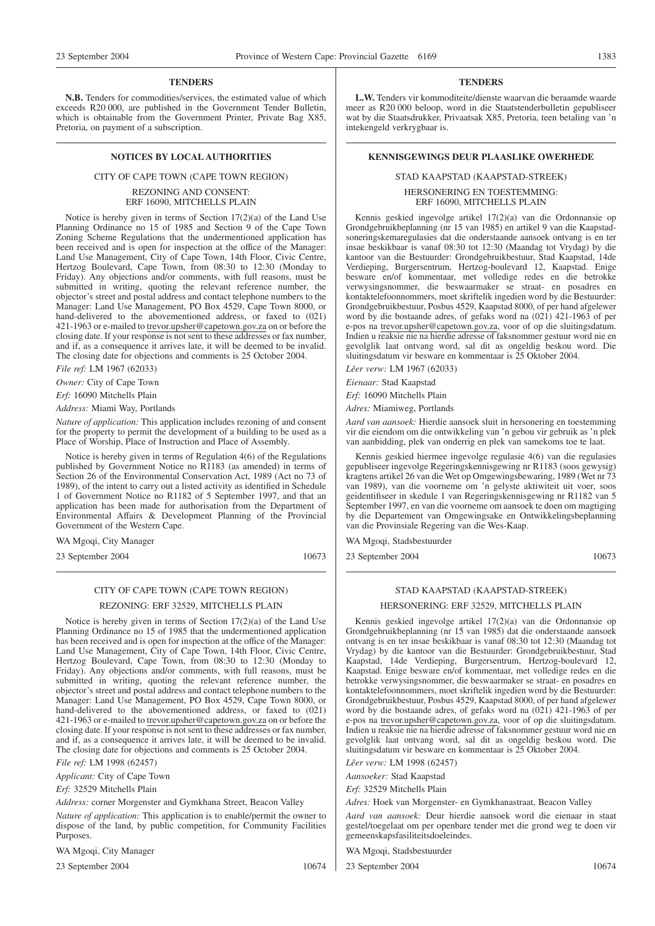#### **TENDERS**

**N.B.** Tenders for commodities/services, the estimated value of which exceeds R20 000, are published in the Government Tender Bulletin, which is obtainable from the Government Printer, Private Bag X85, Pretoria, on payment of a subscription.

#### CITY OF CAPE TOWN (CAPE TOWN REGION)

#### REZONING AND CONSENT: ERF 16090, MITCHELLS PLAIN

Notice is hereby given in terms of Section 17(2)(a) of the Land Use Planning Ordinance no 15 of 1985 and Section 9 of the Cape Town Zoning Scheme Regulations that the undermentioned application has been received and is open for inspection at the office of the Manager: Land Use Management, City of Cape Town, 14th Floor, Civic Centre, Hertzog Boulevard, Cape Town, from 08:30 to 12:30 (Monday to Friday). Any objections and/or comments, with full reasons, must be submitted in writing, quoting the relevant reference number, the objector's street and postal address and contact telephone numbers to the Manager: Land Use Management, PO Box 4529, Cape Town 8000, or hand-delivered to the abovementioned address, or faxed to (021) 421-1963 or e-mailed to trevor.upsher@capetown.gov.za on or before the closing date. If your response is not sent to these addresses or fax number, and if, as a consequence it arrives late, it will be deemed to be invalid. The closing date for objections and comments is 25 October 2004.

*File ref:* LM 1967 (62033)

*Owner:* City of Cape Town *Erf:* 16090 Mitchells Plain

*Address:* Miami Way, Portlands

*Nature of application:* This application includes rezoning of and consent for the property to permit the development of a building to be used as a Place of Worship, Place of Instruction and Place of Assembly.

Notice is hereby given in terms of Regulation 4(6) of the Regulations published by Government Notice no R1183 (as amended) in terms of Section 26 of the Environmental Conservation Act, 1989 (Act no 73 of 1989), of the intent to carry out a listed activity as identified in Schedule 1 of Government Notice no R1182 of 5 September 1997, and that an application has been made for authorisation from the Department of Environmental Affairs & Development Planning of the Provincial Government of the Western Cape.

WA Mgoqi, City Manager

23 September 2004 10673

### CITY OF CAPE TOWN (CAPE TOWN REGION)

#### REZONING: ERF 32529, MITCHELLS PLAIN

Notice is hereby given in terms of Section 17(2)(a) of the Land Use Planning Ordinance no 15 of 1985 that the undermentioned application has been received and is open for inspection at the office of the Manager: Land Use Management, City of Cape Town, 14th Floor, Civic Centre, Hertzog Boulevard, Cape Town, from 08:30 to 12:30 (Monday to Friday). Any objections and/or comments, with full reasons, must be submitted in writing, quoting the relevant reference number, the objector's street and postal address and contact telephone numbers to the Manager: Land Use Management, PO Box 4529, Cape Town 8000, or hand-delivered to the abovementioned address, or faxed to (021) 421-1963 or e-mailed to trevor.upsher@capetown.gov.za on or before the closing date. If your response is not sent to these addresses or fax number, and if, as a consequence it arrives late, it will be deemed to be invalid. The closing date for objections and comments is 25 October 2004.

*File ref:* LM 1998 (62457)

*Applicant:* City of Cape Town

*Erf:* 32529 Mitchells Plain

*Address:* corner Morgenster and Gymkhana Street, Beacon Valley

*Nature of application:* This application is to enable/permit the owner to dispose of the land, by public competition, for Community Facilities Purposes.

WA Mgoqi, City Manager

23 September 2004 10674

#### **TENDERS**

**L.W.** Tenders vir kommoditeite/dienste waarvan die beraamde waarde meer as R20 000 beloop, word in die Staatstenderbulletin gepubliseer wat by die Staatsdrukker, Privaatsak X85, Pretoria, teen betaling van 'n intekengeld verkrygbaar is.

#### **NOTICES BY LOCAL AUTHORITIES EXERCISE ASSESSED ASSESSED AT A RENNISGEWINGS DEUR PLAASLIKE OWERHEDE**

#### STAD KAAPSTAD (KAAPSTAD-STREEK)

HERSONERING EN TOESTEMMING: ERF 16090, MITCHELLS PLAIN

Kennis geskied ingevolge artikel 17(2)(a) van die Ordonnansie op Grondgebruikbeplanning (nr 15 van 1985) en artikel 9 van die Kaapstadsoneringskemaregulasies dat die onderstaande aansoek ontvang is en ter insae beskikbaar is vanaf 08:30 tot 12:30 (Maandag tot Vrydag) by die kantoor van die Bestuurder: Grondgebruikbestuur, Stad Kaapstad, 14de Verdieping, Burgersentrum, Hertzog-boulevard 12, Kaapstad. Enige besware en/of kommentaar, met volledige redes en die betrokke verwysingsnommer, die beswaarmaker se straat- en posadres en kontaktelefoonnommers, moet skriftelik ingedien word by die Bestuurder: Grondgebruikbestuur, Posbus 4529, Kaapstad 8000, of per hand afgelewer word by die bostaande adres, of gefaks word na (021) 421-1963 of per e-pos na trevor.upsher@capetown.gov.za, voor of op die sluitingsdatum. Indien u reaksie nie na hierdie adresse of faksnommer gestuur word nie en gevolglik laat ontvang word, sal dit as ongeldig beskou word. Die sluitingsdatum vir besware en kommentaar is 25 Oktober 2004.

*Lêer verw:* LM 1967 (62033)

*Eienaar:* Stad Kaapstad

*Erf:* 16090 Mitchells Plain

*Adres:* Miamiweg, Portlands

*Aard van aansoek:* Hierdie aansoek sluit in hersonering en toestemming vir die eiendom om die ontwikkeling van 'n gebou vir gebruik as 'n plek van aanbidding, plek van onderrig en plek van samekoms toe te laat.

Kennis geskied hiermee ingevolge regulasie 4(6) van die regulasies gepubliseer ingevolge Regeringskennisgewing nr R1183 (soos gewysig) kragtens artikel 26 van die Wet op Omgewingsbewaring, 1989 (Wet nr 73 van 1989), van die voorneme om 'n gelyste aktiwiteit uit voer, soos geidentifiseer in skedule 1 van Regeringskennisgewing nr R1182 van 5 September 1997, en van die voorneme om aansoek te doen om magtiging by die Departement van Omgewingsake en Ontwikkelingsbeplanning van die Provinsiale Regering van die Wes-Kaap.

WA Mgoqi, Stadsbestuurder

23 September 2004 10673

#### STAD KAAPSTAD (KAAPSTAD-STREEK)

#### HERSONERING: ERF 32529, MITCHELLS PLAIN

Kennis geskied ingevolge artikel 17(2)(a) van die Ordonnansie op Grondgebruikbeplanning (nr 15 van 1985) dat die onderstaande aansoek ontvang is en ter insae beskikbaar is vanaf 08:30 tot 12:30 (Maandag tot Vrydag) by die kantoor van die Bestuurder: Grondgebruikbestuur, Stad Kaapstad, 14de Verdieping, Burgersentrum, Hertzog-boulevard 12, Kaapstad. Enige besware en/of kommentaar, met volledige redes en die betrokke verwysingsnommer, die beswaarmaker se straat- en posadres en kontaktelefoonnommers, moet skriftelik ingedien word by die Bestuurder: Grondgebruikbestuur, Posbus 4529, Kaapstad 8000, of per hand afgelewer word by die bostaande adres, of gefaks word na (021) 421-1963 of per e-pos na trevor.upsher@capetown.gov.za, voor of op die sluitingsdatum. Indien u reaksie nie na hierdie adresse of faksnommer gestuur word nie en gevolglik laat ontvang word, sal dit as ongeldig beskou word. Die sluitingsdatum vir besware en kommentaar is 25 Oktober 2004.

*Lêer verw:* LM 1998 (62457)

*Aansoeker:* Stad Kaapstad

*Erf:* 32529 Mitchells Plain

*Adres:* Hoek van Morgenster- en Gymkhanastraat, Beacon Valley

*Aard van aansoek:* Deur hierdie aansoek word die eienaar in staat gestel/toegelaat om per openbare tender met die grond weg te doen vir gemeenskapsfasiliteitsdoeleindes.

WA Mgoqi, Stadsbestuurder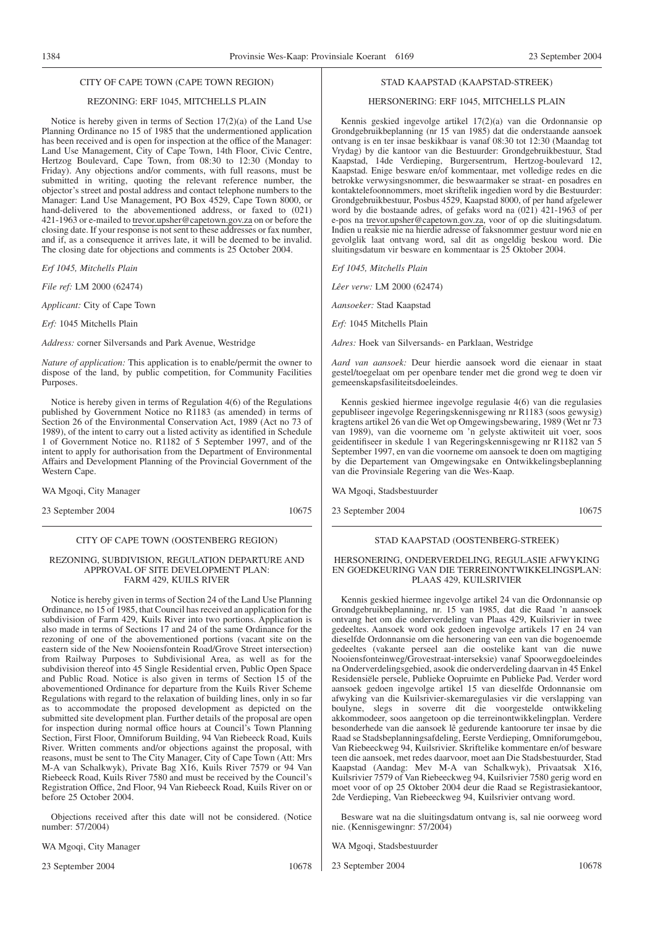### REZONING: ERF 1045, MITCHELLS PLAIN

Notice is hereby given in terms of Section 17(2)(a) of the Land Use Planning Ordinance no 15 of 1985 that the undermentioned application has been received and is open for inspection at the office of the Manager: Land Use Management, City of Cape Town, 14th Floor, Civic Centre, Hertzog Boulevard, Cape Town, from 08:30 to 12:30 (Monday to Friday). Any objections and/or comments, with full reasons, must be submitted in writing, quoting the relevant reference number, the objector's street and postal address and contact telephone numbers to the Manager: Land Use Management, PO Box 4529, Cape Town 8000, or hand-delivered to the abovementioned address, or faxed to (021) 421-1963 or e-mailed to trevor.upsher@capetown.gov.za on or before the closing date. If your response is not sent to these addresses or fax number, and if, as a consequence it arrives late, it will be deemed to be invalid. The closing date for objections and comments is 25 October 2004.

*Erf 1045, Mitchells Plain*

*File ref:* LM 2000 (62474)

*Applicant:* City of Cape Town

*Erf:* 1045 Mitchells Plain

*Address:* corner Silversands and Park Avenue, Westridge

*Nature of application:* This application is to enable/permit the owner to dispose of the land, by public competition, for Community Facilities Purposes.

Notice is hereby given in terms of Regulation 4(6) of the Regulations published by Government Notice no R1183 (as amended) in terms of Section 26 of the Environmental Conservation Act, 1989 (Act no 73 of 1989), of the intent to carry out a listed activity as identified in Schedule 1 of Government Notice no. R1182 of 5 September 1997, and of the intent to apply for authorisation from the Department of Environmental Affairs and Development Planning of the Provincial Government of the Western Cape.

WA Mgoqi, City Manager

23 September 2004 10675

#### CITY OF CAPE TOWN (OOSTENBERG REGION)

#### REZONING, SUBDIVISION, REGULATION DEPARTURE AND APPROVAL OF SITE DEVELOPMENT PLAN: FARM 429, KUILS RIVER

Notice is hereby given in terms of Section 24 of the Land Use Planning Ordinance, no 15 of 1985, that Council has received an application for the subdivision of Farm 429, Kuils River into two portions. Application is also made in terms of Sections 17 and 24 of the same Ordinance for the rezoning of one of the abovementioned portions (vacant site on the eastern side of the New Nooiensfontein Road/Grove Street intersection) from Railway Purposes to Subdivisional Area, as well as for the subdivision thereof into 45 Single Residential erven, Public Open Space and Public Road. Notice is also given in terms of Section 15 of the abovementioned Ordinance for departure from the Kuils River Scheme Regulations with regard to the relaxation of building lines, only in so far as to accommodate the proposed development as depicted on the submitted site development plan. Further details of the proposal are open for inspection during normal office hours at Council's Town Planning Section, First Floor, Omniforum Building, 94 Van Riebeeck Road, Kuils River. Written comments and/or objections against the proposal, with reasons, must be sent to The City Manager, City of Cape Town (Att: Mrs M-A van Schalkwyk), Private Bag X16, Kuils River 7579 or 94 Van Riebeeck Road, Kuils River 7580 and must be received by the Council's Registration Office, 2nd Floor, 94 Van Riebeeck Road, Kuils River on or before 25 October 2004.

Objections received after this date will not be considered. (Notice number: 57/2004)

WA Mgoqi, City Manager

23 September 2004 10678

#### STAD KAAPSTAD (KAAPSTAD-STREEK)

#### HERSONERING: ERF 1045, MITCHELLS PLAIN

Kennis geskied ingevolge artikel 17(2)(a) van die Ordonnansie op Grondgebruikbeplanning (nr 15 van 1985) dat die onderstaande aansoek ontvang is en ter insae beskikbaar is vanaf 08:30 tot 12:30 (Maandag tot Vrydag) by die kantoor van die Bestuurder: Grondgebruikbestuur, Stad Kaapstad, 14de Verdieping, Burgersentrum, Hertzog-boulevard 12, Kaapstad. Enige besware en/of kommentaar, met volledige redes en die betrokke verwysingsnommer, die beswaarmaker se straat- en posadres en kontaktelefoonnommers, moet skriftelik ingedien word by die Bestuurder: Grondgebruikbestuur, Posbus 4529, Kaapstad 8000, of per hand afgelewer word by die bostaande adres, of gefaks word na (021) 421-1963 of per e-pos na trevor.upsher@capetown.gov.za, voor of op die sluitingsdatum. Indien u reaksie nie na hierdie adresse of faksnommer gestuur word nie en gevolglik laat ontvang word, sal dit as ongeldig beskou word. Die sluitingsdatum vir besware en kommentaar is 25 Oktober 2004.

*Erf 1045, Mitchells Plain*

*Lêer verw:* LM 2000 (62474)

*Aansoeker:* Stad Kaapstad

*Erf:* 1045 Mitchells Plain

*Adres:* Hoek van Silversands- en Parklaan, Westridge

*Aard van aansoek:* Deur hierdie aansoek word die eienaar in staat gestel/toegelaat om per openbare tender met die grond weg te doen vir gemeenskapsfasiliteitsdoeleindes.

Kennis geskied hiermee ingevolge regulasie 4(6) van die regulasies gepubliseer ingevolge Regeringskennisgewing nr R1183 (soos gewysig) kragtens artikel 26 van die Wet op Omgewingsbewaring, 1989 (Wet nr 73 van 1989), van die voorneme om 'n gelyste aktiwiteit uit voer, soos geidentifiseer in skedule 1 van Regeringskennisgewing nr R1182 van 5 September 1997, en van die voorneme om aansoek te doen om magtiging by die Departement van Omgewingsake en Ontwikkelingsbeplanning van die Provinsiale Regering van die Wes-Kaap.

WA Mgoqi, Stadsbestuurder

23 September 2004 10675

#### STAD KAAPSTAD (OOSTENBERG-STREEK)

#### HERSONERING, ONDERVERDELING, REGULASIE AFWYKING EN GOEDKEURING VAN DIE TERREINONTWIKKELINGSPLAN: PLAAS 429, KUILSRIVIER

Kennis geskied hiermee ingevolge artikel 24 van die Ordonnansie op Grondgebruikbeplanning, nr. 15 van 1985, dat die Raad 'n aansoek ontvang het om die onderverdeling van Plaas 429, Kuilsrivier in twee gedeeltes. Aansoek word ook gedoen ingevolge artikels 17 en 24 van dieselfde Ordonnansie om die hersonering van een van die bogenoemde gedeeltes (vakante perseel aan die oostelike kant van die nuwe Nooiensfonteinweg/Grovestraat-interseksie) vanaf Spoorwegdoeleindes na Onderverdelingsgebied, asook die onderverdeling daarvan in 45 Enkel Residensiële persele, Publieke Oopruimte en Publieke Pad. Verder word aansoek gedoen ingevolge artikel 15 van dieselfde Ordonnansie om afwyking van die Kuilsrivier-skemaregulasies vir die verslapping van boulyne, slegs in soverre dit die voorgestelde ontwikkeling akkommodeer, soos aangetoon op die terreinontwikkelingplan. Verdere besonderhede van die aansoek lê gedurende kantoorure ter insae by die Raad se Stadsbeplanningsafdeling, Eerste Verdieping, Omniforumgebou, Van Riebeeckweg 94, Kuilsrivier. Skriftelike kommentare en/of besware teen die aansoek, met redes daarvoor, moet aan Die Stadsbestuurder, Stad Kaapstad (Aandag: Mev M-A van Schalkwyk), Privaatsak X16, Kuilsrivier 7579 of Van Riebeeckweg 94, Kuilsrivier 7580 gerig word en moet voor of op 25 Oktober 2004 deur die Raad se Registrasiekantoor, 2de Verdieping, Van Riebeeckweg 94, Kuilsrivier ontvang word.

Besware wat na die sluitingsdatum ontvang is, sal nie oorweeg word nie. (Kennisgewingnr: 57/2004)

WA Mgoqi, Stadsbestuurder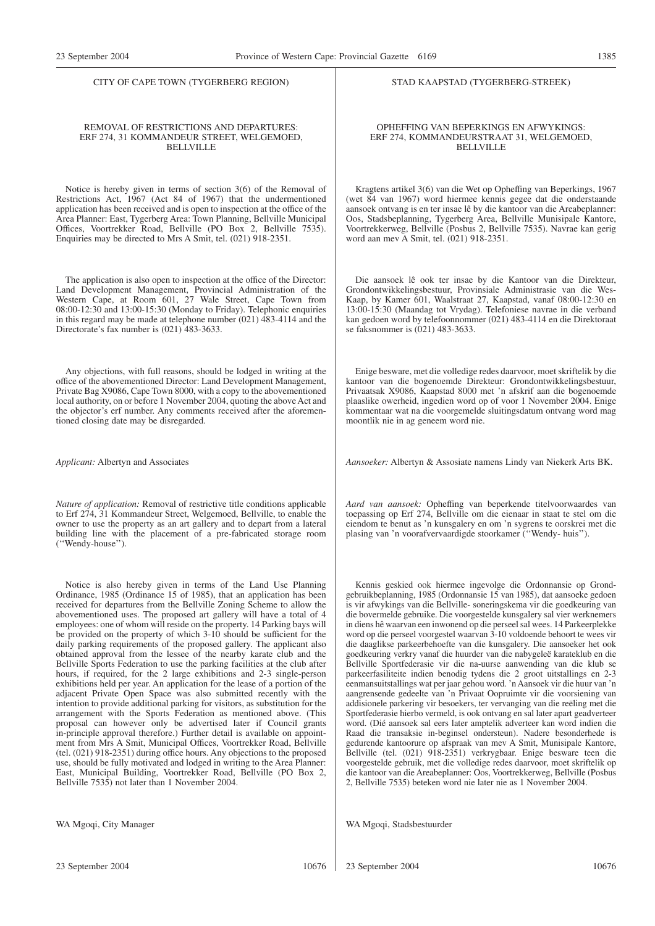CITY OF CAPE TOWN (TYGERBERG REGION)

#### REMOVAL OF RESTRICTIONS AND DEPARTURES: ERF 274, 31 KOMMANDEUR STREET, WELGEMOED, **BELLVILLE**

Notice is hereby given in terms of section 3(6) of the Removal of Restrictions Act, 1967 (Act 84 of 1967) that the undermentioned application has been received and is open to inspection at the office of the Area Planner: East, Tygerberg Area: Town Planning, Bellville Municipal Offices, Voortrekker Road, Bellville (PO Box 2, Bellville 7535). Enquiries may be directed to Mrs A Smit, tel. (021) 918-2351.

The application is also open to inspection at the office of the Director: Land Development Management, Provincial Administration of the Western Cape, at Room 601, 27 Wale Street, Cape Town from 08:00-12:30 and 13:00-15:30 (Monday to Friday). Telephonic enquiries in this regard may be made at telephone number (021) 483-4114 and the Directorate's fax number is (021) 483-3633.

Any objections, with full reasons, should be lodged in writing at the office of the abovementioned Director: Land Development Management, Private Bag X9086, Cape Town 8000, with a copy to the abovementioned local authority, on or before 1 November 2004, quoting the above Act and the objector's erf number. Any comments received after the aforementioned closing date may be disregarded.

*Applicant:* Albertyn and Associates

*Nature of application:* Removal of restrictive title conditions applicable to Erf 274, 31 Kommandeur Street, Welgemoed, Bellville, to enable the owner to use the property as an art gallery and to depart from a lateral building line with the placement of a pre-fabricated storage room (''Wendy-house'').

Notice is also hereby given in terms of the Land Use Planning Ordinance, 1985 (Ordinance 15 of 1985), that an application has been received for departures from the Bellville Zoning Scheme to allow the abovementioned uses. The proposed art gallery will have a total of 4 employees: one of whom will reside on the property. 14 Parking bays will be provided on the property of which 3-10 should be sufficient for the daily parking requirements of the proposed gallery. The applicant also obtained approval from the lessee of the nearby karate club and the Bellville Sports Federation to use the parking facilities at the club after hours, if required, for the 2 large exhibitions and 2-3 single-person exhibitions held per year. An application for the lease of a portion of the adjacent Private Open Space was also submitted recently with the intention to provide additional parking for visitors, as substitution for the arrangement with the Sports Federation as mentioned above. (This proposal can however only be advertised later if Council grants in-principle approval therefore.) Further detail is available on appointment from Mrs A Smit, Municipal Offices, Voortrekker Road, Bellville (tel. (021) 918-2351) during office hours. Any objections to the proposed use, should be fully motivated and lodged in writing to the Area Planner: East, Municipal Building, Voortrekker Road, Bellville (PO Box 2, Bellville 7535) not later than 1 November 2004.

WA Mgoqi, City Manager

#### STAD KAAPSTAD (TYGERBERG-STREEK)

#### OPHEFFING VAN BEPERKINGS EN AFWYKINGS: ERF 274, KOMMANDEURSTRAAT 31, WELGEMOED, BELLVILLE

Kragtens artikel 3(6) van die Wet op Opheffing van Beperkings, 1967 (wet 84 van 1967) word hiermee kennis gegee dat die onderstaande aansoek ontvang is en ter insae lê by die kantoor van die Areabeplanner: Oos, Stadsbeplanning, Tygerberg Area, Bellville Munisipale Kantore, Voortrekkerweg, Bellville (Posbus 2, Bellville 7535). Navrae kan gerig word aan mev A Smit, tel. (021) 918-2351.

Die aansoek lê ook ter insae by die Kantoor van die Direkteur, Grondontwikkelingsbestuur, Provinsiale Administrasie van die Wes-Kaap, by Kamer 601, Waalstraat 27, Kaapstad, vanaf 08:00-12:30 en 13:00-15:30 (Maandag tot Vrydag). Telefoniese navrae in die verband kan gedoen word by telefoonnommer (021) 483-4114 en die Direktoraat se faksnommer is (021) 483-3633.

Enige besware, met die volledige redes daarvoor, moet skriftelik by die kantoor van die bogenoemde Direkteur: Grondontwikkelingsbestuur, Privaatsak X9086, Kaapstad 8000 met 'n afskrif aan die bogenoemde plaaslike owerheid, ingedien word op of voor 1 November 2004. Enige kommentaar wat na die voorgemelde sluitingsdatum ontvang word mag moontlik nie in ag geneem word nie.

*Aansoeker:* Albertyn & Assosiate namens Lindy van Niekerk Arts BK.

*Aard van aansoek:* Opheffing van beperkende titelvoorwaardes van toepassing op Erf 274, Bellville om die eienaar in staat te stel om die eiendom te benut as 'n kunsgalery en om 'n sygrens te oorskrei met die plasing van 'n voorafvervaardigde stoorkamer (''Wendy- huis'').

Kennis geskied ook hiermee ingevolge die Ordonnansie op Grondgebruikbeplanning, 1985 (Ordonnansie 15 van 1985), dat aansoeke gedoen is vir afwykings van die Bellville- soneringskema vir die goedkeuring van die bovermelde gebruike. Die voorgestelde kunsgalery sal vier werknemers in diens hê waarvan een inwonend op die perseel sal wees. 14 Parkeerplekke word op die perseel voorgestel waarvan 3-10 voldoende behoort te wees vir die daaglikse parkeerbehoefte van die kunsgalery. Die aansoeker het ook goedkeuring verkry vanaf die huurder van die nabygeleë karateklub en die Bellville Sportfederasie vir die na-uurse aanwending van die klub se parkeerfasiliteite indien benodig tydens die 2 groot uitstallings en 2-3 eenmansuitstallings wat per jaar gehou word. 'n Aansoek vir die huur van 'n aangrensende gedeelte van 'n Privaat Oopruimte vir die voorsiening van addisionele parkering vir besoekers, ter vervanging van die reëling met die Sportfederasie hierbo vermeld, is ook ontvang en sal later apart geadverteer word. (Dié aansoek sal eers later amptelik adverteer kan word indien die Raad die transaksie in-beginsel ondersteun). Nadere besonderhede is gedurende kantoorure op afspraak van mev A Smit, Munisipale Kantore, Bellville (tel. (021) 918-2351) verkrygbaar. Enige besware teen die voorgestelde gebruik, met die volledige redes daarvoor, moet skriftelik op die kantoor van die Areabeplanner: Oos, Voortrekkerweg, Bellville (Posbus 2, Bellville 7535) beteken word nie later nie as 1 November 2004.

WA Mgoqi, Stadsbestuurder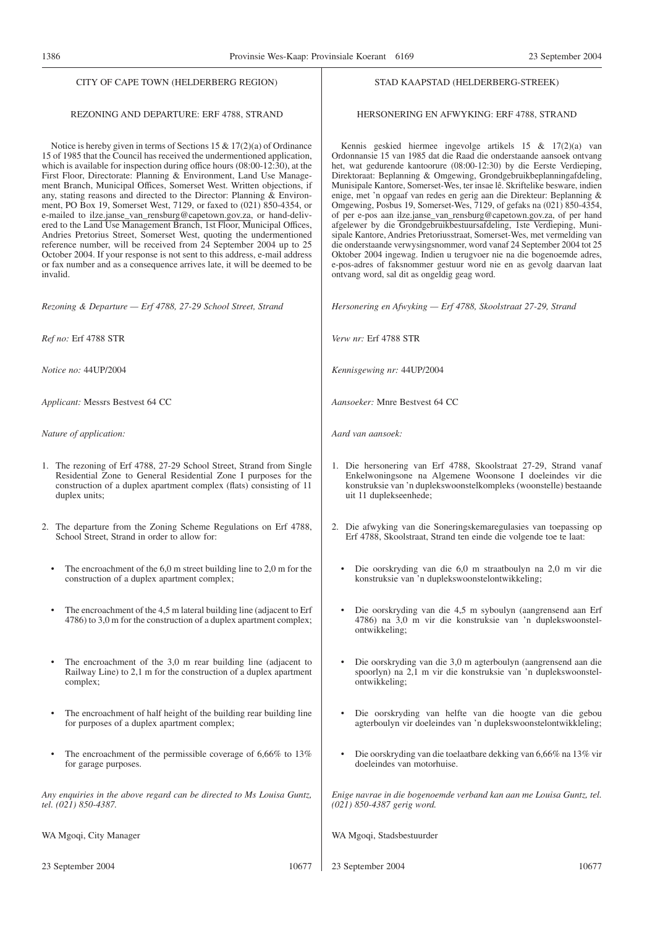#### CITY OF CAPE TOWN (HELDERBERG REGION)

## REZONING AND DEPARTURE: ERF 4788, STRAND

Notice is hereby given in terms of Sections 15 & 17(2)(a) of Ordinance 15 of 1985 that the Council has received the undermentioned application, which is available for inspection during office hours (08:00-12:30), at the First Floor, Directorate: Planning & Environment, Land Use Management Branch, Municipal Offices, Somerset West. Written objections, if any, stating reasons and directed to the Director: Planning & Environment, PO Box 19, Somerset West, 7129, or faxed to (021) 850-4354, or e-mailed to ilze.janse\_van\_rensburg@capetown.gov.za, or hand-delivered to the Land Use Management Branch, 1st Floor, Municipal Offices, Andries Pretorius Street, Somerset West, quoting the undermentioned reference number, will be received from 24 September 2004 up to 25 October 2004. If your response is not sent to this address, e-mail address or fax number and as a consequence arrives late, it will be deemed to be invalid.

*Rezoning & Departure — Erf 4788, 27-29 School Street, Strand*

*Ref no:* Erf 4788 STR

*Notice no:* 44UP/2004

*Applicant:* Messrs Bestvest 64 CC

*Nature of application:*

- 1. The rezoning of Erf 4788, 27-29 School Street, Strand from Single Residential Zone to General Residential Zone I purposes for the construction of a duplex apartment complex (flats) consisting of 11 duplex units:
- 2. The departure from the Zoning Scheme Regulations on Erf 4788, School Street, Strand in order to allow for:
	- The encroachment of the 6,0 m street building line to 2,0 m for the construction of a duplex apartment complex;
	- The encroachment of the 4,5 m lateral building line (adjacent to Erf 4786) to 3,0 m for the construction of a duplex apartment complex;
	- The encroachment of the 3,0 m rear building line (adjacent to Railway Line) to 2,1 m for the construction of a duplex apartment complex;
	- The encroachment of half height of the building rear building line for purposes of a duplex apartment complex;
	- The encroachment of the permissible coverage of  $6.66\%$  to  $13\%$ for garage purposes.

*Any enquiries in the above regard can be directed to Ms Louisa Guntz, tel. (021) 850-4387.*

WA Mgoqi, City Manager

23 September 2004 10677

#### STAD KAAPSTAD (HELDERBERG-STREEK)

#### HERSONERING EN AFWYKING: ERF 4788, STRAND

Kennis geskied hiermee ingevolge artikels 15 & 17(2)(a) van Ordonnansie 15 van 1985 dat die Raad die onderstaande aansoek ontvang het, wat gedurende kantoorure (08:00-12:30) by die Eerste Verdieping, Direktoraat: Beplanning & Omgewing, Grondgebruikbeplanningafdeling, Munisipale Kantore, Somerset-Wes, ter insae lê. Skriftelike besware, indien enige, met 'n opgaaf van redes en gerig aan die Direkteur: Beplanning & Omgewing, Posbus 19, Somerset-Wes, 7129, of gefaks na (021) 850-4354, of per e-pos aan ilze.janse\_van\_rensburg@capetown.gov.za, of per hand afgelewer by die Grondgebruikbestuursafdeling, 1ste Verdieping, Munisipale Kantore, Andries Pretoriusstraat, Somerset-Wes, met vermelding van die onderstaande verwysingsnommer, word vanaf 24 September 2004 tot 25 Oktober 2004 ingewag. Indien u terugvoer nie na die bogenoemde adres, e-pos-adres of faksnommer gestuur word nie en as gevolg daarvan laat ontvang word, sal dit as ongeldig geag word.

*Hersonering en Afwyking — Erf 4788, Skoolstraat 27-29, Strand*

*Verw nr:* Erf 4788 STR

*Kennisgewing nr:* 44UP/2004

*Aansoeker:* Mnre Bestvest 64 CC

*Aard van aansoek:*

- 1. Die hersonering van Erf 4788, Skoolstraat 27-29, Strand vanaf Enkelwoningsone na Algemene Woonsone I doeleindes vir die konstruksie van 'n duplekswoonstelkompleks (woonstelle) bestaande uit 11 duplekseenhede;
- 2. Die afwyking van die Soneringskemaregulasies van toepassing op Erf 4788, Skoolstraat, Strand ten einde die volgende toe te laat:
	- Die oorskryding van die 6,0 m straatboulyn na 2,0 m vir die konstruksie van 'n duplekswoonstelontwikkeling;
	- Die oorskryding van die 4,5 m syboulyn (aangrensend aan Erf 4786) na 3,0 m vir die konstruksie van 'n duplekswoonstelontwikkeling;
	- Die oorskryding van die 3,0 m agterboulyn (aangrensend aan die spoorlyn) na 2,1 m vir die konstruksie van 'n duplekswoonstelontwikkeling;
	- Die oorskryding van helfte van die hoogte van die gebou agterboulyn vir doeleindes van 'n duplekswoonstelontwikkleling;
	- Die oorskryding van die toelaatbare dekking van 6,66% na 13% vir doeleindes van motorhuise.

*Enige navrae in die bogenoemde verband kan aan me Louisa Guntz, tel. (021) 850-4387 gerig word.*

WA Mgoqi, Stadsbestuurder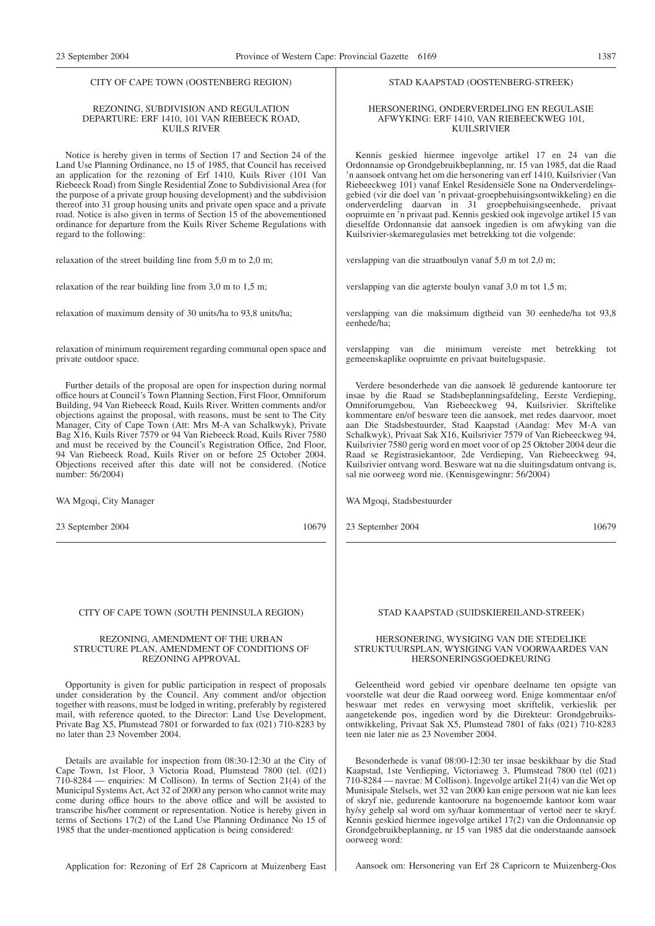#### CITY OF CAPE TOWN (OOSTENBERG REGION)

#### REZONING, SUBDIVISION AND REGULATION DEPARTURE: ERF 1410, 101 VAN RIEBEECK ROAD, KUILS RIVER

Notice is hereby given in terms of Section 17 and Section 24 of the Land Use Planning Ordinance, no 15 of 1985, that Council has received an application for the rezoning of Erf 1410, Kuils River (101 Van Riebeeck Road) from Single Residential Zone to Subdivisional Area (for the purpose of a private group housing development) and the subdivision thereof into 31 group housing units and private open space and a private road. Notice is also given in terms of Section 15 of the abovementioned ordinance for departure from the Kuils River Scheme Regulations with regard to the following:

relaxation of the street building line from 5,0 m to 2,0 m;

relaxation of the rear building line from 3,0 m to 1,5 m;

relaxation of maximum density of 30 units/ha to 93,8 units/ha;

relaxation of minimum requirement regarding communal open space and private outdoor space.

Further details of the proposal are open for inspection during normal office hours at Council's Town Planning Section, First Floor, Omniforum Building, 94 Van Riebeeck Road, Kuils River. Written comments and/or objections against the proposal, with reasons, must be sent to The City Manager, City of Cape Town (Att: Mrs M-A van Schalkwyk), Private Bag X16, Kuils River 7579 or 94 Van Riebeeck Road, Kuils River 7580 and must be received by the Council's Registration Office, 2nd Floor, 94 Van Riebeeck Road, Kuils River on or before 25 October 2004. Objections received after this date will not be considered. (Notice number: 56/2004)

WA Mgoqi, City Manager

23 September 2004 10679

#### CITY OF CAPE TOWN (SOUTH PENINSULA REGION)

#### REZONING, AMENDMENT OF THE URBAN STRUCTURE PLAN, AMENDMENT OF CONDITIONS OF REZONING APPROVAL

Opportunity is given for public participation in respect of proposals under consideration by the Council. Any comment and/or objection together with reasons, must be lodged in writing, preferably by registered mail, with reference quoted, to the Director: Land Use Development, Private Bag X5, Plumstead 7801 or forwarded to fax (021) 710-8283 by no later than 23 November 2004.

Details are available for inspection from 08:30-12:30 at the City of Cape Town, 1st Floor, 3 Victoria Road, Plumstead 7800 (tel. (021) 710-8284 — enquiries: M Collison). In terms of Section 21(4) of the Municipal Systems Act, Act 32 of 2000 any person who cannot write may come during office hours to the above office and will be assisted to transcribe his/her comment or representation. Notice is hereby given in terms of Sections 17(2) of the Land Use Planning Ordinance No 15 of 1985 that the under-mentioned application is being considered:

Application for: Rezoning of Erf 28 Capricorn at Muizenberg East

#### STAD KAAPSTAD (OOSTENBERG-STREEK)

#### HERSONERING, ONDERVERDELING EN REGULASIE AFWYKING: ERF 1410, VAN RIEBEECKWEG 101, KUILSRIVIER

Kennis geskied hiermee ingevolge artikel 17 en 24 van die Ordonnansie op Grondgebruikbeplanning, nr. 15 van 1985, dat die Raad 'n aansoek ontvang het om die hersonering van erf 1410, Kuilsrivier (Van Riebeeckweg 101) vanaf Enkel Residensiële Sone na Onderverdelingsgebied (vir die doel van 'n privaat-groepbehuisingsontwikkeling) en die onderverdeling daarvan in 31 groepbehuisingseenhede, privaat oopruimte en 'n privaat pad. Kennis geskied ook ingevolge artikel 15 van dieselfde Ordonnansie dat aansoek ingedien is om afwyking van die Kuilsrivier-skemaregulasies met betrekking tot die volgende:

verslapping van die straatboulyn vanaf 5,0 m tot 2,0 m;

verslapping van die agterste boulyn vanaf 3,0 m tot 1,5 m;

verslapping van die maksimum digtheid van 30 eenhede/ha tot 93,8 eenhede/ha;

verslapping van die minimum vereiste met betrekking tot gemeenskaplike oopruimte en privaat buitelugspasie.

Verdere besonderhede van die aansoek lê gedurende kantoorure ter insae by die Raad se Stadsbeplanningsafdeling, Eerste Verdieping, Omniforumgebou, Van Riebeeckweg 94, Kuilsrivier. Skriftelike kommentare en/of besware teen die aansoek, met redes daarvoor, moet aan Die Stadsbestuurder, Stad Kaapstad (Aandag: Mev M-A van Schalkwyk), Privaat Sak X16, Kuilsrivier 7579 of Van Riebeeckweg 94, Kuilsrivier 7580 gerig word en moet voor of op 25 Oktober 2004 deur die Raad se Registrasiekantoor, 2de Verdieping, Van Riebeeckweg 94, Kuilsrivier ontvang word. Besware wat na die sluitingsdatum ontvang is, sal nie oorweeg word nie. (Kennisgewingnr: 56/2004)

WA Mgoqi, Stadsbestuurder

23 September 2004 10679

#### STAD KAAPSTAD (SUIDSKIEREILAND-STREEK)

#### HERSONERING, WYSIGING VAN DIE STEDELIKE STRUKTUURSPLAN, WYSIGING VAN VOORWAARDES VAN HERSONERINGSGOEDKEURING

Geleentheid word gebied vir openbare deelname ten opsigte van voorstelle wat deur die Raad oorweeg word. Enige kommentaar en/of beswaar met redes en verwysing moet skriftelik, verkieslik per aangetekende pos, ingedien word by die Direkteur: Grondgebruiksontwikkeling, Privaat Sak X5, Plumstead 7801 of faks (021) 710-8283 teen nie later nie as 23 November 2004.

Besonderhede is vanaf 08:00-12:30 ter insae beskikbaar by die Stad Kaapstad, 1ste Verdieping, Victoriaweg 3, Plumstead 7800 (tel (021) 710-8284 — navrae: M Collison). Ingevolge artikel 21(4) van die Wet op Munisipale Stelsels, wet 32 van 2000 kan enige persoon wat nie kan lees of skryf nie, gedurende kantoorure na bogenoemde kantoor kom waar hy/sy gehelp sal word om sy/haar kommentaar of vertoë neer te skryf. Kennis geskied hiermee ingevolge artikel 17(2) van die Ordonnansie op Grondgebruikbeplanning, nr 15 van 1985 dat die onderstaande aansoek oorweeg word:

Aansoek om: Hersonering van Erf 28 Capricorn te Muizenberg-Oos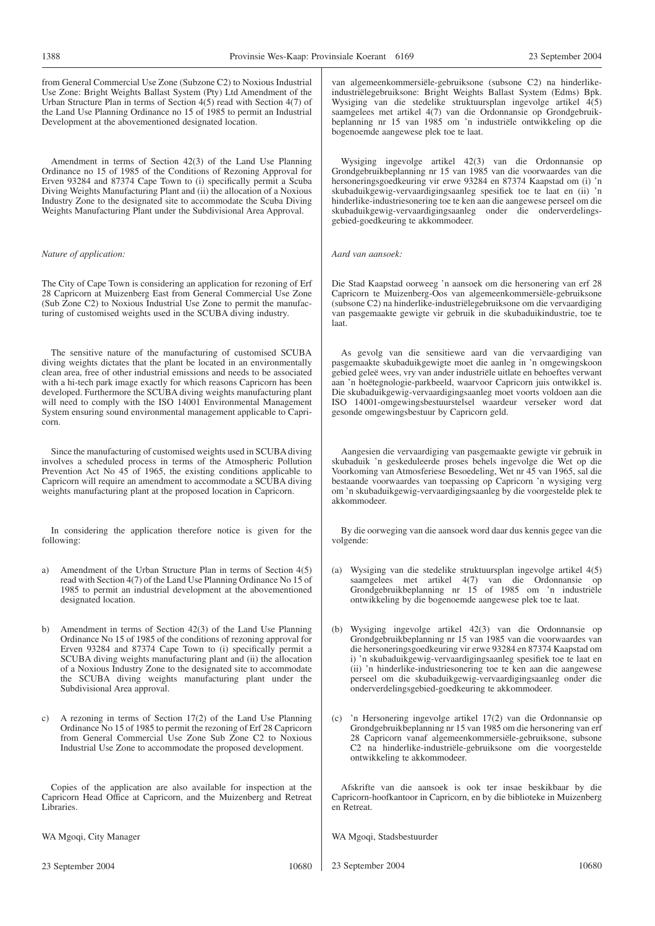23 September 2004

| from General Commercial Use Zone (Subzone C2) to Noxious Industrial<br>Use Zone: Bright Weights Ballast System (Pty) Ltd Amendment of the<br>Urban Structure Plan in terms of Section $4(5)$ read with Section $4(7)$ of<br>the Land Use Planning Ordinance no 15 of 1985 to permit an Industrial<br>Development at the abovementioned designated location.                                                                                                                                                               | van algemeenkommersiële-gebruiksone (subsone C2) na hinderlike-<br>industriëlegebruiksone: Bright Weights Ballast System (Edms) Bpk.<br>Wysiging van die stedelike struktuursplan ingevolge artikel 4(5)<br>saamgelees met artikel 4(7) van die Ordonnansie op Grondgebruik-<br>beplanning nr 15 van 1985 om 'n industriële ontwikkeling op die<br>bogenoemde aangewese plek toe te laat.                                                                                   |
|---------------------------------------------------------------------------------------------------------------------------------------------------------------------------------------------------------------------------------------------------------------------------------------------------------------------------------------------------------------------------------------------------------------------------------------------------------------------------------------------------------------------------|-----------------------------------------------------------------------------------------------------------------------------------------------------------------------------------------------------------------------------------------------------------------------------------------------------------------------------------------------------------------------------------------------------------------------------------------------------------------------------|
| Amendment in terms of Section 42(3) of the Land Use Planning<br>Ordinance no 15 of 1985 of the Conditions of Rezoning Approval for<br>Erven 93284 and 87374 Cape Town to (i) specifically permit a Scuba<br>Diving Weights Manufacturing Plant and (ii) the allocation of a Noxious<br>Industry Zone to the designated site to accommodate the Scuba Diving<br>Weights Manufacturing Plant under the Subdivisional Area Approval.                                                                                         | Wysiging ingevolge artikel 42(3) van die Ordonnansie op<br>Grondgebruikbeplanning nr 15 van 1985 van die voorwaardes van die<br>hersoneringsgoedkeuring vir erwe 93284 en 87374 Kaapstad om (i) 'n<br>skubaduikgewig-vervaardigingsaanleg spesifiek toe te laat en (ii) 'n<br>hinderlike-industries one ring to ete ken aan die aangewese perseel om die<br>skubaduikgewig-vervaardigingsaanleg onder die onderverdelings-<br>gebied-goedkeuring te akkommodeer.            |
| Nature of application:                                                                                                                                                                                                                                                                                                                                                                                                                                                                                                    | Aard van aansoek:                                                                                                                                                                                                                                                                                                                                                                                                                                                           |
| The City of Cape Town is considering an application for rezoning of Erf<br>28 Capricorn at Muizenberg East from General Commercial Use Zone<br>(Sub Zone C2) to Noxious Industrial Use Zone to permit the manufac-<br>turing of customised weights used in the SCUBA diving industry.                                                                                                                                                                                                                                     | Die Stad Kaapstad oorweeg 'n aansoek om die hersonering van erf 28<br>Capricorn te Muizenberg-Oos van algemeenkommersiële-gebruiksone<br>(subsone C2) na hinderlike-industriëlegebruiksone om die vervaardiging<br>van pasgemaakte gewigte vir gebruik in die skubaduikindustrie, toe te<br>laat.                                                                                                                                                                           |
| The sensitive nature of the manufacturing of customised SCUBA<br>diving weights dictates that the plant be located in an environmentally<br>clean area, free of other industrial emissions and needs to be associated<br>with a hi-tech park image exactly for which reasons Capricorn has been<br>developed. Furthermore the SCUBA diving weights manufacturing plant<br>will need to comply with the ISO 14001 Environmental Management<br>System ensuring sound environmental management applicable to Capri-<br>corn. | As gevolg van die sensitiewe aard van die vervaardiging van<br>pasgemaakte skubaduikgewigte moet die aanleg in 'n omgewingskoon<br>gebied geleë wees, vry van ander industriële uitlate en behoeftes verwant<br>aan 'n hoëtegnologie-parkbeeld, waarvoor Capricorn juis ontwikkel is.<br>Die skubaduikgewig-vervaardigingsaanleg moet voorts voldoen aan die<br>ISO 14001-omgewingsbestuurstelsel waardeur verseker word dat<br>gesonde omgewingsbestuur by Capricorn geld. |
| Since the manufacturing of customised weights used in SCUBA diving<br>involves a scheduled process in terms of the Atmospheric Pollution<br>Prevention Act No 45 of 1965, the existing conditions applicable to<br>Capricorn will require an amendment to accommodate a SCUBA diving<br>weights manufacturing plant at the proposed location in Capricorn.                                                                                                                                                                | Aangesien die vervaardiging van pasgemaakte gewigte vir gebruik in<br>skubaduik 'n geskeduleerde proses behels ingevolge die Wet op die<br>Voorkoming van Atmosferiese Besoedeling, Wet nr 45 van 1965, sal die<br>bestaande voorwaardes van toepassing op Capricorn 'n wysiging verg<br>om 'n skubaduikgewig-vervaardigingsaanleg by die voorgestelde plek te<br>akkommodeer.                                                                                              |
| In considering the application therefore notice is given for the<br>following:                                                                                                                                                                                                                                                                                                                                                                                                                                            | By die oorweging van die aansoek word daar dus kennis gegee van die<br>volgende:                                                                                                                                                                                                                                                                                                                                                                                            |
| Amendment of the Urban Structure Plan in terms of Section 4(5)<br>a)<br>read with Section 4(7) of the Land Use Planning Ordinance No 15 of<br>1985 to permit an industrial development at the abovementioned<br>designated location.                                                                                                                                                                                                                                                                                      | (a)<br>Wysiging van die stedelike struktuursplan ingevolge artikel 4(5)<br>saamgelees met artikel 4(7) van die Ordonnansie op<br>Grondgebruikbeplanning nr 15 of 1985 om 'n industriële<br>ontwikkeling by die bogenoemde aangewese plek toe te laat.                                                                                                                                                                                                                       |
| Amendment in terms of Section 42(3) of the Land Use Planning<br>b)<br>Ordinance No 15 of 1985 of the conditions of rezoning approval for<br>Erven 93284 and 87374 Cape Town to (i) specifically permit a<br>SCUBA diving weights manufacturing plant and (ii) the allocation<br>of a Noxious Industry Zone to the designated site to accommodate<br>the SCUBA diving weights manufacturing plant under the<br>Subdivisional Area approval.                                                                                | (b) Wysiging ingevolge artikel 42(3) van die Ordonnansie op<br>Grondgebruikbeplanning nr 15 van 1985 van die voorwaardes van<br>die hersoneringsgoedkeuring vir erwe 93284 en 87374 Kaapstad om<br>i) 'n skubaduikgewig-vervaardigingsaanleg spesifiek toe te laat en<br>(ii) 'n hinderlike-industriesonering toe te ken aan die aangewese<br>perseel om die skubaduikgewig-vervaardigingsaanleg onder die<br>onderverdelingsgebied-goedkeuring te akkommodeer.             |
| A rezoning in terms of Section 17(2) of the Land Use Planning<br>C)<br>Ordinance No 15 of 1985 to permit the rezoning of Erf 28 Capricorn<br>from General Commercial Use Zone Sub Zone C <sub>2</sub> to Noxious<br>Industrial Use Zone to accommodate the proposed development.                                                                                                                                                                                                                                          | 'n Hersonering ingevolge artikel 17(2) van die Ordonnansie op<br>(c)<br>Grondgebruikbeplanning nr 15 van 1985 om die hersonering van erf<br>28 Capricorn vanaf algemeenkommersiële-gebruiksone, subsone<br>C <sub>2</sub> na hinderlike-industriële-gebruiksone om die voorgestelde<br>ontwikkeling te akkommodeer.                                                                                                                                                         |
| Copies of the application are also available for inspection at the<br>Capricorn Head Office at Capricorn, and the Muizenberg and Retreat<br>Libraries.                                                                                                                                                                                                                                                                                                                                                                    | Afskrifte van die aansoek is ook ter insae beskikbaar by die<br>Capricorn-hoofkantoor in Capricorn, en by die biblioteke in Muizenberg<br>en Retreat.                                                                                                                                                                                                                                                                                                                       |
| WA Mgoqi, City Manager                                                                                                                                                                                                                                                                                                                                                                                                                                                                                                    | WA Mgoqi, Stadsbestuurder                                                                                                                                                                                                                                                                                                                                                                                                                                                   |
|                                                                                                                                                                                                                                                                                                                                                                                                                                                                                                                           |                                                                                                                                                                                                                                                                                                                                                                                                                                                                             |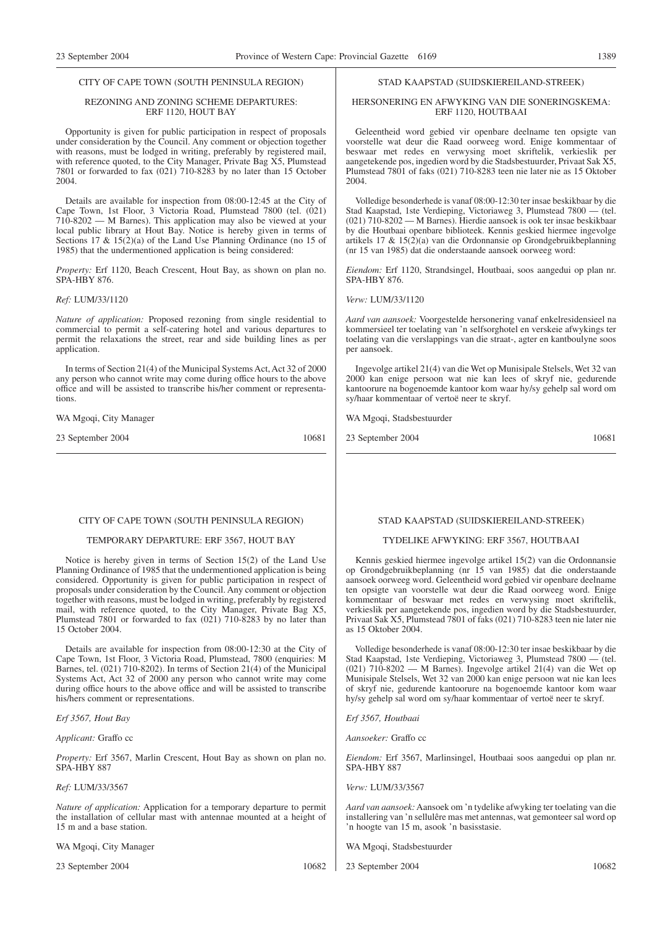#### CITY OF CAPE TOWN (SOUTH PENINSULA REGION)

#### REZONING AND ZONING SCHEME DEPARTURES: ERF 1120, HOUT BAY

Opportunity is given for public participation in respect of proposals under consideration by the Council. Any comment or objection together with reasons, must be lodged in writing, preferably by registered mail, with reference quoted, to the City Manager, Private Bag X5, Plumstead 7801 or forwarded to fax (021) 710-8283 by no later than 15 October 2004.

Details are available for inspection from 08:00-12:45 at the City of Cape Town, 1st Floor, 3 Victoria Road, Plumstead 7800 (tel. (021) 710-8202 — M Barnes). This application may also be viewed at your local public library at Hout Bay. Notice is hereby given in terms of Sections 17 & 15(2)(a) of the Land Use Planning Ordinance (no 15 of 1985) that the undermentioned application is being considered:

*Property:* Erf 1120, Beach Crescent, Hout Bay, as shown on plan no. SPA-HBY 876.

#### *Ref:* LUM/33/1120

*Nature of application:* Proposed rezoning from single residential to commercial to permit a self-catering hotel and various departures to permit the relaxations the street, rear and side building lines as per application.

In terms of Section 21(4) of the Municipal Systems Act, Act 32 of 2000 any person who cannot write may come during office hours to the above office and will be assisted to transcribe his/her comment or representations.

WA Mgoqi, City Manager

23 September 2004 10681

#### CITY OF CAPE TOWN (SOUTH PENINSULA REGION)

#### TEMPORARY DEPARTURE: ERF 3567, HOUT BAY

Notice is hereby given in terms of Section 15(2) of the Land Use Planning Ordinance of 1985 that the undermentioned application is being considered. Opportunity is given for public participation in respect of proposals under consideration by the Council. Any comment or objection together with reasons, must be lodged in writing, preferably by registered mail, with reference quoted, to the City Manager, Private Bag X5, Plumstead 7801 or forwarded to fax (021) 710-8283 by no later than 15 October 2004.

Details are available for inspection from 08:00-12:30 at the City of Cape Town, 1st Floor, 3 Victoria Road, Plumstead, 7800 (enquiries: M Barnes, tel. (021) 710-8202). In terms of Section 21(4) of the Municipal Systems Act, Act 32 of 2000 any person who cannot write may come during office hours to the above office and will be assisted to transcribe his/hers comment or representations.

#### *Erf 3567, Hout Bay*

*Applicant:* Graffo cc

*Property:* Erf 3567, Marlin Crescent, Hout Bay as shown on plan no. SPA-HBY 887

#### *Ref:* LUM/33/3567

*Nature of application:* Application for a temporary departure to permit the installation of cellular mast with antennae mounted at a height of 15 m and a base station.

WA Mgoqi, City Manager

23 September 2004 10682

# STAD KAAPSTAD (SUIDSKIEREILAND-STREEK)

#### HERSONERING EN AFWYKING VAN DIE SONERINGSKEMA: ERF 1120, HOUTBAAI

Geleentheid word gebied vir openbare deelname ten opsigte van voorstelle wat deur die Raad oorweeg word. Enige kommentaar of beswaar met redes en verwysing moet skriftelik, verkieslik per aangetekende pos, ingedien word by die Stadsbestuurder, Privaat Sak X5, Plumstead 7801 of faks (021) 710-8283 teen nie later nie as 15 Oktober 2004.

Volledige besonderhede is vanaf 08:00-12:30 ter insae beskikbaar by die Stad Kaapstad, 1ste Verdieping, Victoriaweg 3, Plumstead 7800 — (tel. (021) 710-8202 — M Barnes). Hierdie aansoek is ook ter insae beskikbaar by die Houtbaai openbare biblioteek. Kennis geskied hiermee ingevolge artikels 17 & 15(2)(a) van die Ordonnansie op Grondgebruikbeplanning (nr 15 van 1985) dat die onderstaande aansoek oorweeg word:

*Eiendom:* Erf 1120, Strandsingel, Houtbaai, soos aangedui op plan nr. SPA-HBY 876.

*Verw:* LUM/33/1120

*Aard van aansoek:* Voorgestelde hersonering vanaf enkelresidensieel na kommersieel ter toelating van 'n selfsorghotel en verskeie afwykings ter toelating van die verslappings van die straat-, agter en kantboulyne soos per aansoek.

Ingevolge artikel 21(4) van die Wet op Munisipale Stelsels, Wet 32 van 2000 kan enige persoon wat nie kan lees of skryf nie, gedurende kantoorure na bogenoemde kantoor kom waar hy/sy gehelp sal word om sy/haar kommentaar of vertoë neer te skryf.

WA Mgoqi, Stadsbestuurder

23 September 2004 10681

#### STAD KAAPSTAD (SUIDSKIEREILAND-STREEK)

#### TYDELIKE AFWYKING: ERF 3567, HOUTBAAI

Kennis geskied hiermee ingevolge artikel 15(2) van die Ordonnansie op Grondgebruikbeplanning (nr 15 van 1985) dat die onderstaande aansoek oorweeg word. Geleentheid word gebied vir openbare deelname ten opsigte van voorstelle wat deur die Raad oorweeg word. Enige kommentaar of beswaar met redes en verwysing moet skriftelik, verkieslik per aangetekende pos, ingedien word by die Stadsbestuurder, Privaat Sak X5, Plumstead 7801 of faks (021) 710-8283 teen nie later nie as 15 Oktober 2004.

Volledige besonderhede is vanaf 08:00-12:30 ter insae beskikbaar by die Stad Kaapstad, 1ste Verdieping, Victoriaweg 3, Plumstead 7800 — (tel. (021) 710-8202 — M Barnes). Ingevolge artikel 21(4) van die Wet op Munisipale Stelsels, Wet 32 van 2000 kan enige persoon wat nie kan lees of skryf nie, gedurende kantoorure na bogenoemde kantoor kom waar hy/sy gehelp sal word om sy/haar kommentaar of vertoë neer te skryf.

*Erf 3567, Houtbaai*

*Aansoeker:* Graffo cc

*Eiendom:* Erf 3567, Marlinsingel, Houtbaai soos aangedui op plan nr. SPA-HBY 887

*Verw:* LUM/33/3567

*Aard van aansoek:*Aansoek om 'n tydelike afwyking ter toelating van die installering van 'n sellulêre mas met antennas, wat gemonteer sal word op 'n hoogte van 15 m, asook 'n basisstasie.

WA Mgoqi, Stadsbestuurder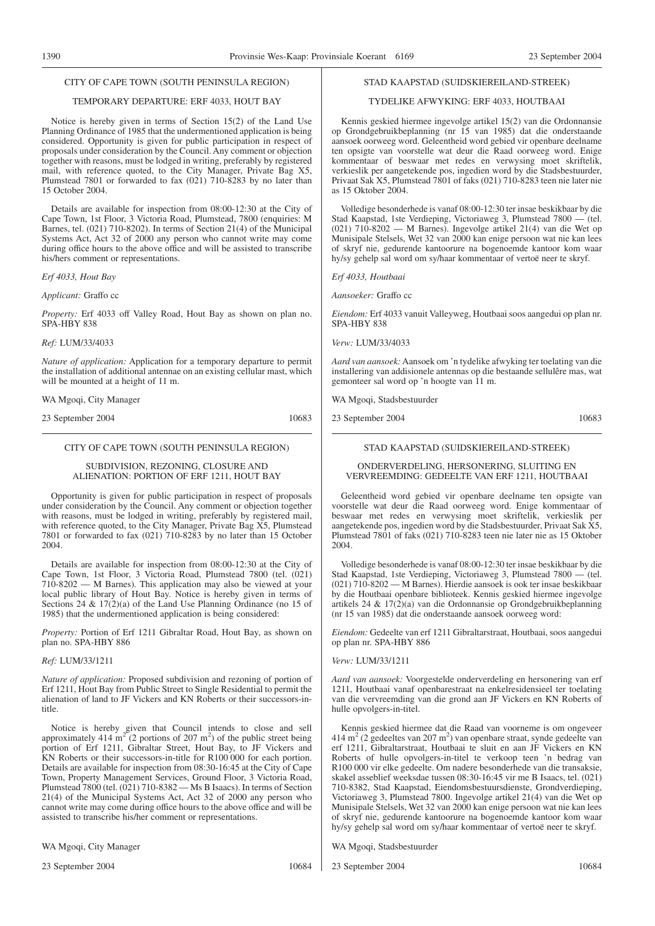#### CITY OF CAPE TOWN (SOUTH PENINSULA REGION)

## TEMPORARY DEPARTURE: ERF 4033, HOUT BAY

Notice is hereby given in terms of Section 15(2) of the Land Use Planning Ordinance of 1985 that the undermentioned application is being considered. Opportunity is given for public participation in respect of proposals under consideration by the Council. Any comment or objection together with reasons, must be lodged in writing, preferably by registered mail, with reference quoted, to the City Manager, Private Bag X5, Plumstead 7801 or forwarded to fax (021) 710-8283 by no later than 15 October 2004.

Details are available for inspection from 08:00-12:30 at the City of Cape Town, 1st Floor, 3 Victoria Road, Plumstead, 7800 (enquiries: M Barnes, tel. (021) 710-8202). In terms of Section 21(4) of the Municipal Systems Act, Act 32 of 2000 any person who cannot write may come during office hours to the above office and will be assisted to transcribe his/hers comment or representations.

*Erf 4033, Hout Bay*

*Applicant:* Graffo cc

*Property:* Erf 4033 off Valley Road, Hout Bay as shown on plan no. SPA-HBY 838

*Ref:* LUM/33/4033

*Nature of application:* Application for a temporary departure to permit the installation of additional antennae on an existing cellular mast, which will be mounted at a height of 11 m.

WA Mgoqi, City Manager

23 September 2004 10683

#### CITY OF CAPE TOWN (SOUTH PENINSULA REGION)

#### SUBDIVISION, REZONING, CLOSURE AND ALIENATION: PORTION OF ERF 1211, HOUT BAY

Opportunity is given for public participation in respect of proposals under consideration by the Council. Any comment or objection together with reasons, must be lodged in writing, preferably by registered mail, with reference quoted, to the City Manager, Private Bag X5, Plumstead 7801 or forwarded to fax (021) 710-8283 by no later than 15 October 2004.

Details are available for inspection from 08:00-12:30 at the City of Cape Town, 1st Floor, 3 Victoria Road, Plumstead 7800 (tel. (021) 710-8202 — M Barnes). This application may also be viewed at your local public library of Hout Bay. Notice is hereby given in terms of Sections 24 & 17(2)(a) of the Land Use Planning Ordinance (no 15 of 1985) that the undermentioned application is being considered:

*Property:* Portion of Erf 1211 Gibraltar Road, Hout Bay, as shown on plan no. SPA-HBY 886

#### *Ref:* LUM/33/1211

*Nature of application:* Proposed subdivision and rezoning of portion of Erf 1211, Hout Bay from Public Street to Single Residential to permit the alienation of land to JF Vickers and KN Roberts or their successors-intitle.

Notice is hereby given that Council intends to close and sell approximately 414 m<sup>2</sup> (2 portions of 207 m<sup>2</sup>) of the public street being portion of Erf 1211, Gibraltar Street, Hout Bay, to JF Vickers and KN Roberts or their successors-in-title for R100 000 for each portion. Details are available for inspection from 08:30-16:45 at the City of Cape Town, Property Management Services, Ground Floor, 3 Victoria Road, Plumstead 7800 (tel. (021) 710-8382 — Ms B Isaacs). In terms of Section 21(4) of the Municipal Systems Act, Act 32 of 2000 any person who cannot write may come during office hours to the above office and will be assisted to transcribe his/her comment or representations.

WA Mgoqi, City Manager

23 September 2004 10684

#### STAD KAAPSTAD (SUIDSKIEREILAND-STREEK)

#### TYDELIKE AFWYKING: ERF 4033, HOUTBAAI

Kennis geskied hiermee ingevolge artikel 15(2) van die Ordonnansie op Grondgebruikbeplanning (nr 15 van 1985) dat die onderstaande aansoek oorweeg word. Geleentheid word gebied vir openbare deelname ten opsigte van voorstelle wat deur die Raad oorweeg word. Enige kommentaar of beswaar met redes en verwysing moet skriftelik, verkieslik per aangetekende pos, ingedien word by die Stadsbestuurder, Privaat Sak X5, Plumstead 7801 of faks (021) 710-8283 teen nie later nie as 15 Oktober 2004.

Volledige besonderhede is vanaf 08:00-12:30 ter insae beskikbaar by die Stad Kaapstad, 1ste Verdieping, Victoriaweg 3, Plumstead 7800 — (tel. (021) 710-8202 — M Barnes). Ingevolge artikel 21(4) van die Wet op Munisipale Stelsels, Wet 32 van 2000 kan enige persoon wat nie kan lees of skryf nie, gedurende kantoorure na bogenoemde kantoor kom waar hy/sy gehelp sal word om sy/haar kommentaar of vertoë neer te skryf.

*Erf 4033, Houtbaai*

*Aansoeker:* Graffo cc

*Eiendom:* Erf 4033 vanuit Valleyweg, Houtbaai soos aangedui op plan nr. SPA-HBY 838

*Verw:* LUM/33/4033

*Aard van aansoek:*Aansoek om 'n tydelike afwyking ter toelating van die installering van addisionele antennas op die bestaande sellulêre mas, wat gemonteer sal word op 'n hoogte van 11 m.

WA Mgoqi, Stadsbestuurder

23 September 2004 10683

#### STAD KAAPSTAD (SUIDSKIEREILAND-STREEK)

#### ONDERVERDELING, HERSONERING, SLUITING EN VERVREEMDING: GEDEELTE VAN ERF 1211, HOUTBAAI

Geleentheid word gebied vir openbare deelname ten opsigte van voorstelle wat deur die Raad oorweeg word. Enige kommentaar of beswaar met redes en verwysing moet skriftelik, verkieslik per aangetekende pos, ingedien word by die Stadsbestuurder, Privaat Sak X5, Plumstead 7801 of faks (021) 710-8283 teen nie later nie as 15 Oktober 2004.

Volledige besonderhede is vanaf 08:00-12:30 ter insae beskikbaar by die Stad Kaapstad, 1ste Verdieping, Victoriaweg 3, Plumstead 7800 — (tel. (021) 710-8202 — M Barnes). Hierdie aansoek is ook ter insae beskikbaar by die Houtbaai openbare biblioteek. Kennis geskied hiermee ingevolge artikels 24 & 17(2)(a) van die Ordonnansie op Grondgebruikbeplanning (nr 15 van 1985) dat die onderstaande aansoek oorweeg word:

*Eiendom:* Gedeelte van erf 1211 Gibraltarstraat, Houtbaai, soos aangedui op plan nr. SPA-HBY 886

#### *Verw:* LUM/33/1211

*Aard van aansoek:* Voorgestelde onderverdeling en hersonering van erf 1211, Houtbaai vanaf openbarestraat na enkelresidensieel ter toelating van die vervreemding van die grond aan JF Vickers en KN Roberts of hulle opvolgers-in-titel.

Kennis geskied hiermee dat die Raad van voorneme is om ongeveer  $414 \text{ m}^2$  (2 gedeeltes van 207 m<sup>2</sup>) van openbare straat, synde gedeelte van erf 1211, Gibraltarstraat, Houtbaai te sluit en aan JF Vickers en KN Roberts of hulle opvolgers-in-titel te verkoop teen 'n bedrag van R100 000 vir elke gedeelte. Om nadere besonderhede van die transaksie, skakel asseblief weeksdae tussen 08:30-16:45 vir me B Isaacs, tel. (021) 710-8382, Stad Kaapstad, Eiendomsbestuursdienste, Grondverdieping, Victoriaweg 3, Plumstead 7800. Ingevolge artikel 21(4) van die Wet op Munisipale Stelsels, Wet 32 van 2000 kan enige persoon wat nie kan lees of skryf nie, gedurende kantoorure na bogenoemde kantoor kom waar hy/sy gehelp sal word om sy/haar kommentaar of vertoë neer te skryf.

WA Mgoqi, Stadsbestuurder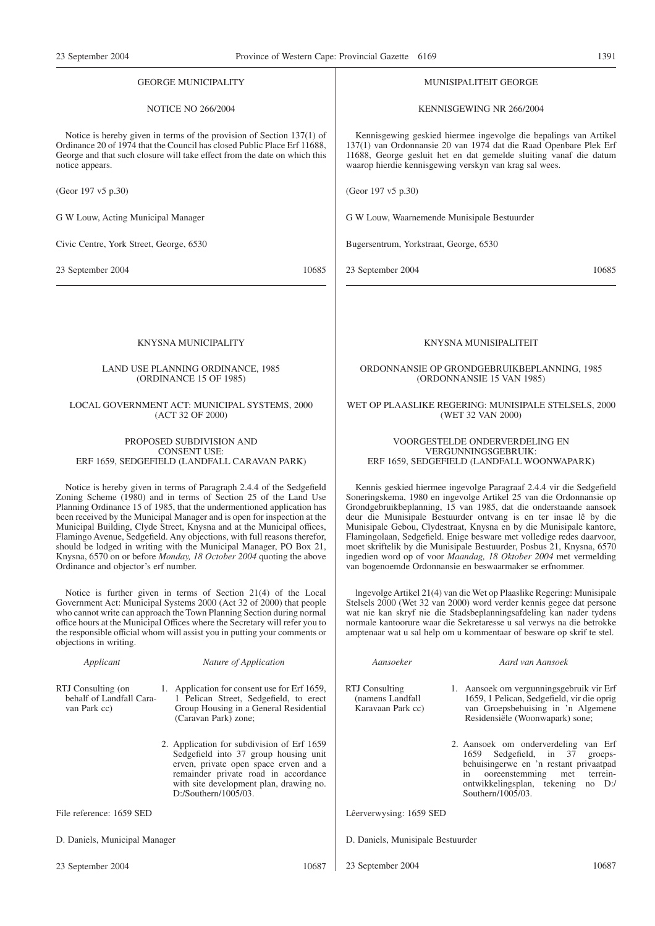#### GEORGE MUNICIPALITY

#### NOTICE NO 266/2004

Notice is hereby given in terms of the provision of Section 137(1) of Ordinance 20 of 1974 that the Council has closed Public Place Erf 11688, George and that such closure will take effect from the date on which this notice appears.

(Geor 197 v5 p.30)

G W Louw, Acting Municipal Manager

Civic Centre, York Street, George, 6530

23 September 2004 10685

#### KNYSNA MUNICIPALITY

#### LAND USE PLANNING ORDINANCE, 1985 (ORDINANCE 15 OF 1985)

#### LOCAL GOVERNMENT ACT: MUNICIPAL SYSTEMS, 2000 (ACT 32 OF 2000)

#### PROPOSED SUBDIVISION AND CONSENT USE: ERF 1659, SEDGEFIELD (LANDFALL CARAVAN PARK)

Notice is hereby given in terms of Paragraph 2.4.4 of the Sedgefield Zoning Scheme (1980) and in terms of Section 25 of the Land Use Planning Ordinance 15 of 1985, that the undermentioned application has been received by the Municipal Manager and is open for inspection at the Municipal Building, Clyde Street, Knysna and at the Municipal offices, Flamingo Avenue, Sedgefield. Any objections, with full reasons therefor, should be lodged in writing with the Municipal Manager, PO Box 21, Knysna, 6570 on or before *Monday, 18 October 2004* quoting the above Ordinance and objector's erf number.

Notice is further given in terms of Section 21(4) of the Local Government Act: Municipal Systems 2000 (Act 32 of 2000) that people who cannot write can approach the Town Planning Section during normal office hours at the Municipal Offices where the Secretary will refer you to the responsible official whom will assist you in putting your comments or objections in writing.

| Applicant                                                      | Nature of Application                                                                                                                                                                                                                      | Aansoeker                                                |
|----------------------------------------------------------------|--------------------------------------------------------------------------------------------------------------------------------------------------------------------------------------------------------------------------------------------|----------------------------------------------------------|
| RTJ Consulting (on<br>behalf of Landfall Cara-<br>van Park cc) | 1. Application for consent use for Erf 1659,<br>1 Pelican Street, Sedgefield, to erect<br>Group Housing in a General Residential<br>(Caravan Park) zone;                                                                                   | RTJ Consulting<br>(namens Landfall)<br>Karavaan Park cc) |
|                                                                | 2. Application for subdivision of Erf 1659<br>Sedgefield into 37 group housing unit<br>erven, private open space erven and a<br>remainder private road in accordance<br>with site development plan, drawing no.<br>$D$ :/Southern/1005/03. |                                                          |
| File reference: 1659 SED                                       |                                                                                                                                                                                                                                            | Lêerverwysing: 1659 SE                                   |
| D. Daniels, Municipal Manager                                  |                                                                                                                                                                                                                                            | D. Daniels, Munisipale I                                 |

#### 23 September 2004 10687

#### MUNISIPALITEIT GEORGE

KENNISGEWING NR 266/2004

Kennisgewing geskied hiermee ingevolge die bepalings van Artikel 137(1) van Ordonnansie 20 van 1974 dat die Raad Openbare Plek Erf 11688, George gesluit het en dat gemelde sluiting vanaf die datum waarop hierdie kennisgewing verskyn van krag sal wees.

(Geor 197 v5 p.30)

G W Louw, Waarnemende Munisipale Bestuurder

Bugersentrum, Yorkstraat, George, 6530

23 September 2004 10685

#### KNYSNA MUNISIPALITEIT

#### ORDONNANSIE OP GRONDGEBRUIKBEPLANNING, 1985 (ORDONNANSIE 15 VAN 1985)

#### WET OP PLAASLIKE REGERING: MUNISIPALE STELSELS, 2000 (WET 32 VAN 2000)

#### VOORGESTELDE ONDERVERDELING EN VERGUNNINGSGEBRUIK: ERF 1659, SEDGEFIELD (LANDFALL WOONWAPARK)

Kennis geskied hiermee ingevolge Paragraaf 2.4.4 vir die Sedgefield Soneringskema, 1980 en ingevolge Artikel 25 van die Ordonnansie op Grondgebruikbeplanning, 15 van 1985, dat die onderstaande aansoek deur die Munisipale Bestuurder ontvang is en ter insae lê by die Munisipale Gebou, Clydestraat, Knysna en by die Munisipale kantore, Flamingolaan, Sedgefield. Enige besware met volledige redes daarvoor, moet skriftelik by die Munisipale Bestuurder, Posbus 21, Knysna, 6570 ingedien word op of voor *Maandag, 18 Oktober 2004* met vermelding van bogenoemde Ordonnansie en beswaarmaker se erfnommer.

lngevolge Artikel 21(4) van die Wet op Plaaslike Regering: Munisipale Stelsels 2000 (Wet 32 van 2000) word verder kennis gegee dat persone wat nie kan skryf nie die Stadsbeplanningsafdeling kan nader tydens normale kantoorure waar die Sekretaresse u sal verwys na die betrokke amptenaar wat u sal help om u kommentaar of besware op skrif te stel.

*Aansoeker Aard van Aansoek*

1. Aansoek om vergunningsgebruik vir Erf 1659, 1 Pelican, Sedgefield, vir die oprig van Groepsbehuising in 'n Algemene Residensiële (Woonwapark) sone;

2. Aansoek om onderverdeling van Erf 1659 Sedgefield, in 37 groepsbehuisingerwe en 'n restant privaatpad in ooreenstemming met terreinontwikkelingsplan, tekening no D:/ Southern/1005/03.

Lêerverwysing: 1659 SED

- estuurder<br>Bestuurder
- 23 September 2004 10687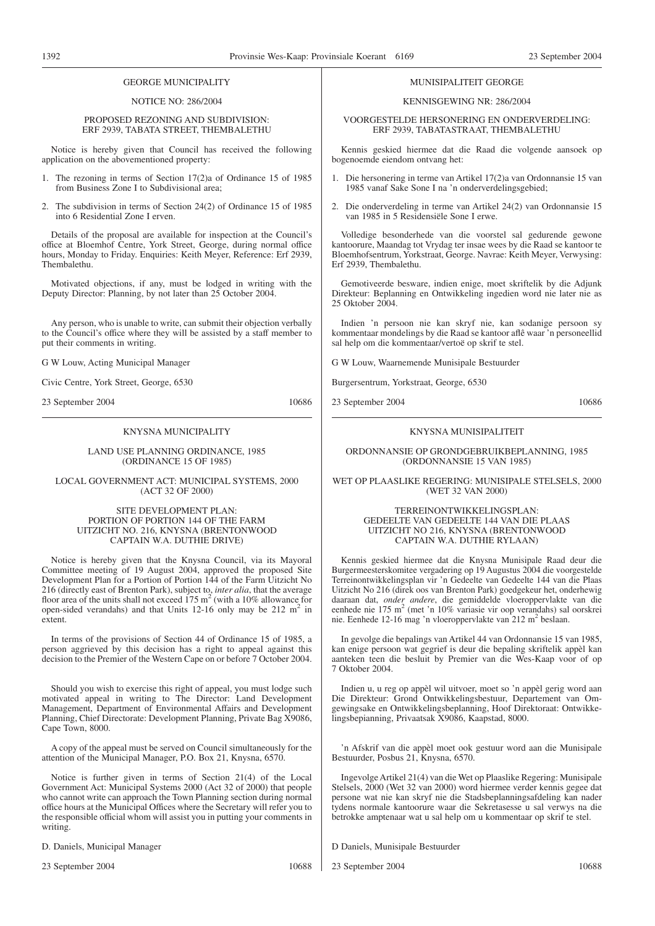#### GEORGE MUNICIPALITY

#### NOTICE NO: 286/2004

#### PROPOSED REZONING AND SUBDIVISION: ERF 2939, TABATA STREET, THEMBALETHU

Notice is hereby given that Council has received the following application on the abovementioned property:

- 1. The rezoning in terms of Section 17(2)a of Ordinance 15 of 1985 from Business Zone I to Subdivisional area;
- 2. The subdivision in terms of Section 24(2) of Ordinance 15 of 1985 into 6 Residential Zone I erven.

Details of the proposal are available for inspection at the Council's office at Bloemhof Centre, York Street, George, during normal office hours, Monday to Friday. Enquiries: Keith Meyer, Reference: Erf 2939, Thembalethu.

Motivated objections, if any, must be lodged in writing with the Deputy Director: Planning, by not later than 25 October 2004.

Any person, who is unable to write, can submit their objection verbally to the Council's office where they will be assisted by a staff member to put their comments in writing.

#### G W Louw, Acting Municipal Manager

Civic Centre, York Street, George, 6530

23 September 2004 10686

#### KNYSNA MUNICIPALITY

#### LAND USE PLANNING ORDINANCE, 1985 (ORDINANCE 15 OF 1985)

#### LOCAL GOVERNMENT ACT: MUNICIPAL SYSTEMS, 2000 (ACT 32 OF 2000)

#### SITE DEVELOPMENT PLAN: PORTION OF PORTION 144 OF THE FARM UITZICHT NO. 216, KNYSNA (BRENTONWOOD CAPTAIN W.A. DUTHIE DRIVE)

Notice is hereby given that the Knysna Council, via its Mayoral Committee meeting of 19 August 2004, approved the proposed Site Development Plan for a Portion of Portion 144 of the Farm Uitzicht No 216 (directly east of Brenton Park), subject to, *inter alia*, that the average floor area of the units shall not exceed 175 m<sup>2</sup> (with a 10% allowance for open-sided verandahs) and that Units  $12-16$  only may be  $212 \text{ m}^2$  in extent.

In terms of the provisions of Section 44 of Ordinance 15 of 1985, a person aggrieved by this decision has a right to appeal against this decision to the Premier of the Western Cape on or before 7 October 2004.

Should you wish to exercise this right of appeal, you must lodge such motivated appeal in writing to The Director: Land Development Management, Department of Environmental Affairs and Development Planning, Chief Directorate: Development Planning, Private Bag X9086, Cape Town, 8000.

A copy of the appeal must be served on Council simultaneously for the attention of the Municipal Manager, P.O. Box 21, Knysna, 6570.

Notice is further given in terms of Section 21(4) of the Local Government Act: Municipal Systems 2000 (Act 32 of 2000) that people who cannot write can approach the Town Planning section during normal office hours at the Municipal Offices where the Secretary will refer you to the responsible official whom will assist you in putting your comments in writing.

D. Daniels, Municipal Manager

23 September 2004 10688

#### MUNISIPALITEIT GEORGE

#### KENNISGEWING NR: 286/2004

VOORGESTELDE HERSONERING EN ONDERVERDELING: ERF 2939, TABATASTRAAT, THEMBALETHU

Kennis geskied hiermee dat die Raad die volgende aansoek op bogenoemde eiendom ontvang het:

- 1. Die hersonering in terme van Artikel 17(2)a van Ordonnansie 15 van 1985 vanaf Sake Sone I na 'n onderverdelingsgebied;
- 2. Die onderverdeling in terme van Artikel 24(2) van Ordonnansie 15 van 1985 in 5 Residensiële Sone I erwe.

Volledige besonderhede van die voorstel sal gedurende gewone kantoorure, Maandag tot Vrydag ter insae wees by die Raad se kantoor te Bloemhofsentrum, Yorkstraat, George. Navrae: Keith Meyer, Verwysing: Erf 2939, Thembalethu.

Gemotiveerde besware, indien enige, moet skriftelik by die Adjunk Direkteur: Beplanning en Ontwikkeling ingedien word nie later nie as 25 Oktober 2004.

Indien 'n persoon nie kan skryf nie, kan sodanige persoon sy kommentaar mondelings by die Raad se kantoor aflê waar 'n personeellid sal help om die kommentaar/vertoë op skrif te stel.

G W Louw, Waarnemende Munisipale Bestuurder

Burgersentrum, Yorkstraat, George, 6530

23 September 2004 10686

#### KNYSNA MUNISIPALITEIT

ORDONNANSIE OP GRONDGEBRUIKBEPLANNING, 1985 (ORDONNANSIE 15 VAN 1985)

WET OP PLAASLIKE REGERING: MUNISIPALE STELSELS, 2000 (WET 32 VAN 2000)

#### TERREINONTWIKKELINGSPLAN: GEDEELTE VAN GEDEELTE 144 VAN DIE PLAAS UITZICHT NO 216, KNYSNA (BRENTONWOOD CAPTAIN W.A. DUTHIE RYLAAN)

Kennis geskied hiermee dat die Knysna Munisipale Raad deur die Burgermeesterskomitee vergadering op 19 Augustus 2004 die voorgestelde Terreinontwikkelingsplan vir 'n Gedeelte van Gedeelte 144 van die Plaas Uitzicht No 216 (direk oos van Brenton Park) goedgekeur het, onderhewig daaraan dat, *onder andere*, die gemiddelde vloeroppervlakte van die eenhede nie 175 m<sup>2</sup> (met 'n 10% variasie vir oop verandahs) sal oorskrei nie. Eenhede 12-16 mag 'n vloeroppervlakte van 212 m<sup>2</sup> beslaan.

In gevolge die bepalings van Artikel 44 van Ordonnansie 15 van 1985, kan enige persoon wat gegrief is deur die bepaling skriftelik appèl kan aanteken teen die besluit by Premier van die Wes-Kaap voor of op 7 Oktober 2004.

Indien u, u reg op appèl wil uitvoer, moet so 'n appèl gerig word aan Die Direkteur: Grond Ontwikkelingsbestuur, Departement van Omgewingsake en Ontwikkelingsbeplanning, Hoof Direktoraat: Ontwikkelingsbepianning, Privaatsak X9086, Kaapstad, 8000.

'n Afskrif van die appèl moet ook gestuur word aan die Munisipale Bestuurder, Posbus 21, Knysna, 6570.

Ingevolge Artikel 21(4) van die Wet op Plaaslike Regering: Munisipale Stelsels, 2000 (Wet 32 van 2000) word hiermee verder kennis gegee dat persone wat nie kan skryf nie die Stadsbeplanningsafdeling kan nader tydens normale kantoorure waar die Sekretasesse u sal verwys na die betrokke amptenaar wat u sal help om u kommentaar op skrif te stel.

D Daniels, Munisipale Bestuurder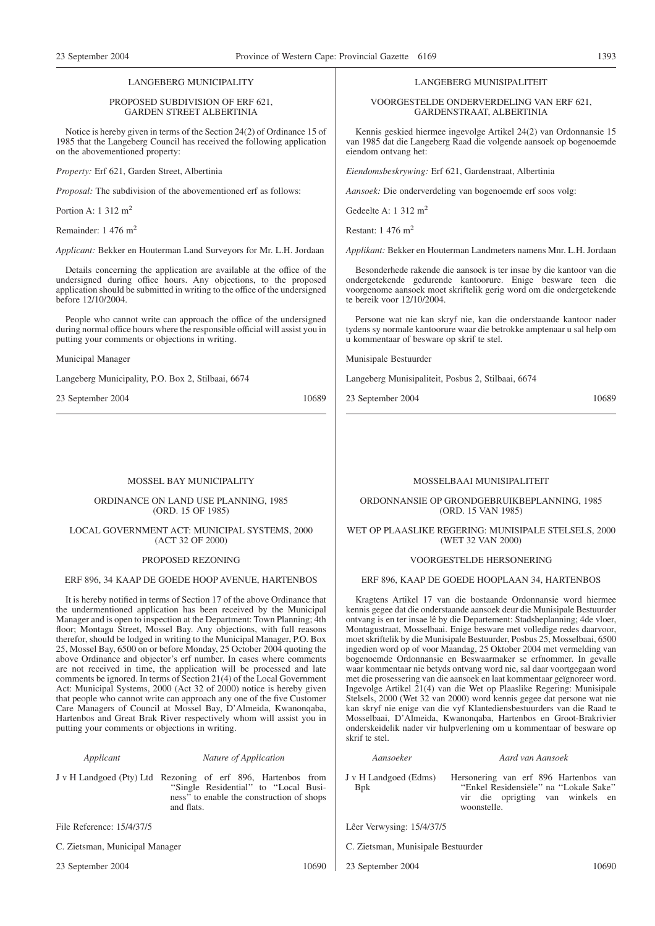#### LANGEBERG MUNICIPALITY

#### PROPOSED SUBDIVISION OF ERF 621, GARDEN STREET ALBERTINIA

Notice is hereby given in terms of the Section 24(2) of Ordinance 15 of 1985 that the Langeberg Council has received the following application on the abovementioned property:

*Property:* Erf 621, Garden Street, Albertinia

*Proposal:* The subdivision of the abovementioned erf as follows:

Portion A: 1 312 m2

Remainder: 1 476 m<sup>2</sup>

*Applicant:* Bekker en Houterman Land Surveyors for Mr. L.H. Jordaan

Details concerning the application are available at the office of the undersigned during office hours. Any objections, to the proposed application should be submitted in writing to the office of the undersigned before 12/10/2004.

People who cannot write can approach the office of the undersigned during normal office hours where the responsible official will assist you in putting your comments or objections in writing.

Municipal Manager

Langeberg Municipality, P.O. Box 2, Stilbaai, 6674

23 September 2004 10689

#### MOSSEL BAY MUNICIPALITY

#### ORDINANCE ON LAND USE PLANNING, 1985 (ORD. 15 OF 1985)

#### LOCAL GOVERNMENT ACT: MUNICIPAL SYSTEMS, 2000 (ACT 32 OF 2000)

#### PROPOSED REZONING

#### ERF 896, 34 KAAP DE GOEDE HOOP AVENUE, HARTENBOS

It is hereby notified in terms of Section 17 of the above Ordinance that the undermentioned application has been received by the Municipal Manager and is open to inspection at the Department: Town Planning; 4th floor; Montagu Street, Mossel Bay. Any objections, with full reasons therefor, should be lodged in writing to the Municipal Manager, P.O. Box 25, Mossel Bay, 6500 on or before Monday, 25 October 2004 quoting the above Ordinance and objector's erf number. In cases where comments are not received in time, the application will be processed and late comments be ignored. In terms of Section 21(4) of the Local Government Act: Municipal Systems, 2000 (Act 32 of 2000) notice is hereby given that people who cannot write can approach any one of the five Customer Care Managers of Council at Mossel Bay, D'Almeida, Kwanonqaba, Hartenbos and Great Brak River respectively whom will assist you in putting your comments or objections in writing.

#### *Applicant Nature of Application*

J v H Landgoed (Pty) Ltd Rezoning of erf 896, Hartenbos from "Single Residential" to "Local Business'' to enable the construction of shops and flats.

File Reference: 15/4/37/5

C. Zietsman, Municipal Manager

23 September 2004 10690

LANGEBERG MUNISIPALITEIT

VOORGESTELDE ONDERVERDELING VAN ERF 621, GARDENSTRAAT, ALBERTINIA

Kennis geskied hiermee ingevolge Artikel 24(2) van Ordonnansie 15 van 1985 dat die Langeberg Raad die volgende aansoek op bogenoemde eiendom ontvang het:

*Eiendomsbeskrywing:* Erf 621, Gardenstraat, Albertinia

*Aansoek:* Die onderverdeling van bogenoemde erf soos volg:

Gedeelte A: 1 312 m<sup>2</sup>

Restant: 1 476 m2

*Applikant:* Bekker en Houterman Landmeters namens Mnr. L.H. Jordaan

Besonderhede rakende die aansoek is ter insae by die kantoor van die ondergetekende gedurende kantoorure. Enige besware teen die voorgenome aansoek moet skriftelik gerig word om die ondergetekende te bereik voor 12/10/2004.

Persone wat nie kan skryf nie, kan die onderstaande kantoor nader tydens sy normale kantoorure waar die betrokke amptenaar u sal help om u kommentaar of besware op skrif te stel.

Munisipale Bestuurder

Langeberg Munisipaliteit, Posbus 2, Stilbaai, 6674

23 September 2004 10689

#### MOSSELBAAI MUNISIPALITEIT

ORDONNANSIE OP GRONDGEBRUIKBEPLANNING, 1985 (ORD. 15 VAN 1985)

#### WET OP PLAASLIKE REGERING: MUNISIPALE STELSELS, 2000 (WET 32 VAN 2000)

#### VOORGESTELDE HERSONERING

#### ERF 896, KAAP DE GOEDE HOOPLAAN 34, HARTENBOS

Kragtens Artikel 17 van die bostaande Ordonnansie word hiermee kennis gegee dat die onderstaande aansoek deur die Munisipale Bestuurder ontvang is en ter insae lê by die Departement: Stadsbeplanning; 4de vloer, Montagustraat, Mosselbaai. Enige besware met volledige redes daarvoor, moet skriftelik by die Munisipale Bestuurder, Posbus 25, Mosselbaai, 6500 ingedien word op of voor Maandag, 25 Oktober 2004 met vermelding van bogenoemde Ordonnansie en Beswaarmaker se erfnommer. In gevalle waar kommentaar nie betyds ontvang word nie, sal daar voortgegaan word met die prosessering van die aansoek en laat kommentaar geïgnoreer word. Ingevolge Artikel 21(4) van die Wet op Plaaslike Regering: Munisipale Stelsels, 2000 (Wet 32 van 2000) word kennis gegee dat persone wat nie kan skryf nie enige van die vyf Klantediensbestuurders van die Raad te Mosselbaai, D'Almeida, Kwanonqaba, Hartenbos en Groot-Brakrivier onderskeidelik nader vir hulpverlening om u kommentaar of besware op skrif te stel.

#### *Aansoeker Aard van Aansoek*

- J v H Landgoed (Edms) Bpk Hersonering van erf 896 Hartenbos van ''Enkel Residensiële'' na ''Lokale Sake'' vir die oprigting van winkels en woonstelle.
- Lêer Verwysing: 15/4/37/5
- C. Zietsman, Munisipale Bestuurder
- 23 September 2004 10690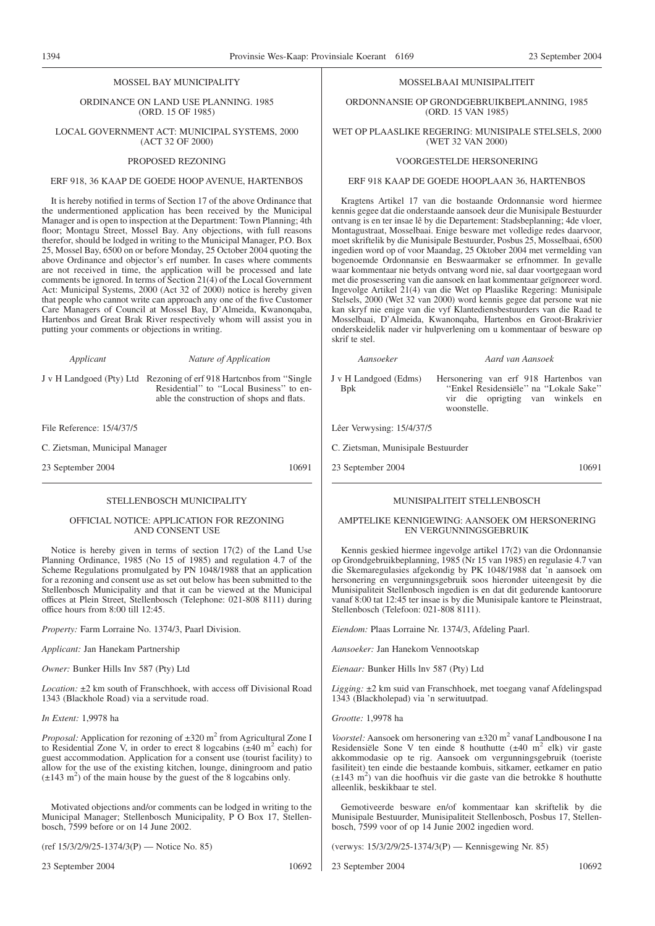1394 Provinsie Wes-Kaap: Provinsiale Koerant 6169 23 September 2004

#### MOSSEL BAY MUNICIPALITY

ORDINANCE ON LAND USE PLANNING. 1985 (ORD. 15 OF 1985)

LOCAL GOVERNMENT ACT: MUNICIPAL SYSTEMS, 2000 (ACT 32 OF 2000)

#### PROPOSED REZONING

#### ERF 918, 36 KAAP DE GOEDE HOOP AVENUE, HARTENBOS

It is hereby notified in terms of Section 17 of the above Ordinance that the undermentioned application has been received by the Municipal Manager and is open to inspection at the Department: Town Planning; 4th floor; Montagu Street, Mossel Bay. Any objections, with full reasons therefor, should be lodged in writing to the Municipal Manager, P.O. Box 25, Mossel Bay, 6500 on or before Monday, 25 October 2004 quoting the above Ordinance and objector's erf number. In cases where comments are not received in time, the application will be processed and late comments be ignored. In terms of Section 21(4) of the Local Government Act: Municipal Systems, 2000 (Act 32 of 2000) notice is hereby given that people who cannot write can approach any one of the five Customer Care Managers of Council at Mossel Bay, D'Almeida, Kwanonqaba, Hartenbos and Great Brak River respectively whom will assist you in putting your comments or objections in writing.

*Applicant Nature of Application* J v H Landgoed (Pty) Ltd Rezoning of erf 918 Hartcnbos from ''Single Residential" to "Local Business" to enable the construction of shops and flats.

File Reference: 15/4/37/5

C. Zietsman, Municipal Manager

23 September 2004 10691

#### STELLENBOSCH MUNICIPALITY

#### OFFICIAL NOTICE: APPLICATION FOR REZONING AND CONSENT USE

Notice is hereby given in terms of section 17(2) of the Land Use Planning Ordinance, 1985 (No 15 of 1985) and regulation 4.7 of the Scheme Regulations promulgated by PN 1048/1988 that an application for a rezoning and consent use as set out below has been submitted to the Stellenbosch Municipality and that it can be viewed at the Municipal offices at Plein Street, Stellenbosch (Telephone: 021-808 8111) during office hours from 8:00 till 12:45.

*Property:* Farm Lorraine No. 1374/3, Paarl Division.

*Applicant:* Jan Hanekam Partnership

*Owner:* Bunker Hills Inv 587 (Pty) Ltd

*Location:* ±2 km south of Franschhoek, with access off Divisional Road 1343 (Blackhole Road) via a servitude road.

*In Extent:* 1,9978 ha

*Proposal:* Application for rezoning of  $\pm 320$  m<sup>2</sup> from Agricultural Zone I to Residential Zone V, in order to erect 8 logcabins  $(\pm 40 \text{ m}^2 \text{ each})$  for guest accommodation. Application for a consent use (tourist facility) to allow for the use of the existing kitchen, lounge, diningroom and patio  $(\pm 143 \text{ m}^2)$  of the main house by the guest of the 8 logcabins only.

Motivated objections and/or comments can be lodged in writing to the Municipal Manager; Stellenbosch Municipality, P O Box 17, Stellenbosch, 7599 before or on 14 June 2002.

(ref 15/3/2/9/25-1374/3(P) — Notice No. 85)

23 September 2004 10692

#### MOSSELBAAI MUNISIPALITEIT

ORDONNANSIE OP GRONDGEBRUIKBEPLANNING, 1985 (ORD. 15 VAN 1985)

WET OP PLAASLIKE REGERING: MUNISIPALE STELSELS, 2000 (WET 32 VAN 2000)

#### VOORGESTELDE HERSONERING

ERF 918 KAAP DE GOEDE HOOPLAAN 36, HARTENBOS

Kragtens Artikel 17 van die bostaande Ordonnansie word hiermee kennis gegee dat die onderstaande aansoek deur die Munisipale Bestuurder ontvang is en ter insae lê by die Departement: Stadsbeplanning; 4de vloer, Montagustraat, Mosselbaai. Enige besware met volledige redes daarvoor, moet skriftelik by die Munisipale Bestuurder, Posbus 25, Mosselbaai, 6500 ingedien word op of voor Maandag, 25 Oktober 2004 met vermelding van bogenoemde Ordonnansie en Beswaarmaker se erfnommer. In gevalle waar kommentaar nie betyds ontvang word nie, sal daar voortgegaan word met die prosessering van die aansoek en laat kommentaar geïgnoreer word. Ingevolge Artikel 21(4) van die Wet op Plaaslike Regering: Munisipale Stelsels, 2000 (Wet 32 van 2000) word kennis gegee dat persone wat nie kan skryf nie enige van die vyf Klantediensbestuurders van die Raad te Mosselbaai, D'Almeida, Kwanonqaba, Hartenbos en Groot-Brakrivier onderskeidelik nader vir hulpverlening om u kommentaar of besware op skrif te stel.

J v H Landgoed (Edms) Bpk Hersonering van erf 918 Hartenbos van ''Enkel Residensiële'' na ''Lokale Sake'' vir die oprigting van winkels en woonstelle.

*Aansoeker Aard van Aansoek*

Lêer Verwysing: 15/4/37/5

C. Zietsman, Munisipale Bestuurder

23 September 2004 10691

## MUNISIPALITEIT STELLENBOSCH

#### AMPTELIKE KENNIGEWING: AANSOEK OM HERSONERING EN VERGUNNINGSGEBRUIK

Kennis geskied hiermee ingevolge artikel 17(2) van die Ordonnansie op Grondgebruikbeplanning, 1985 (Nr 15 van 1985) en regulasie 4.7 van die Skemaregulasies afgekondig by PK 1048/1988 dat 'n aansoek om hersonering en vergunningsgebruik soos hieronder uiteengesit by die Munisipaliteit Stellenbosch ingedien is en dat dit gedurende kantoorure vanaf 8:00 tat 12:45 ter insae is by die Munisipale kantore te Pleinstraat, Stellenbosch (Telefoon: 021-808 8111).

*Eiendom:* Plaas Lorraine Nr. 1374/3, Afdeling Paarl.

*Aansoeker:* Jan Hanekom Vennootskap

*Eienaar:* Bunker Hills lnv 587 (Pty) Ltd

*Ligging:* ±2 km suid van Franschhoek, met toegang vanaf Afdelingspad 1343 (Blackholepad) via 'n serwituutpad.

*Grootte:* 1,9978 ha

*Voorstel:* Aansoek om hersonering van  $\pm 320$  m<sup>2</sup> vanaf Landbousone I na Residensiële Sone V ten einde 8 houthutte  $(\pm 40 \text{ m}^2 \text{ elk})$  vir gaste akkommodasie op te rig. Aansoek om vergunningsgebruik (toeriste fasiliteit) ten einde die bestaande kombuis, sitkamer, eetkamer en patio  $(\pm 143 \text{ m}^2)$  van die hoofhuis vir die gaste van die betrokke 8 houthutte alleenlik, beskikbaar te stel.

Gemotiveerde besware en/of kommentaar kan skriftelik by die Munisipale Bestuurder, Munisipaliteit Stellenbosch, Posbus 17, Stellenbosch, 7599 voor of op 14 Junie 2002 ingedien word.

(verwys: 15/3/2/9/25-1374/3(P) — Kennisgewing Nr. 85)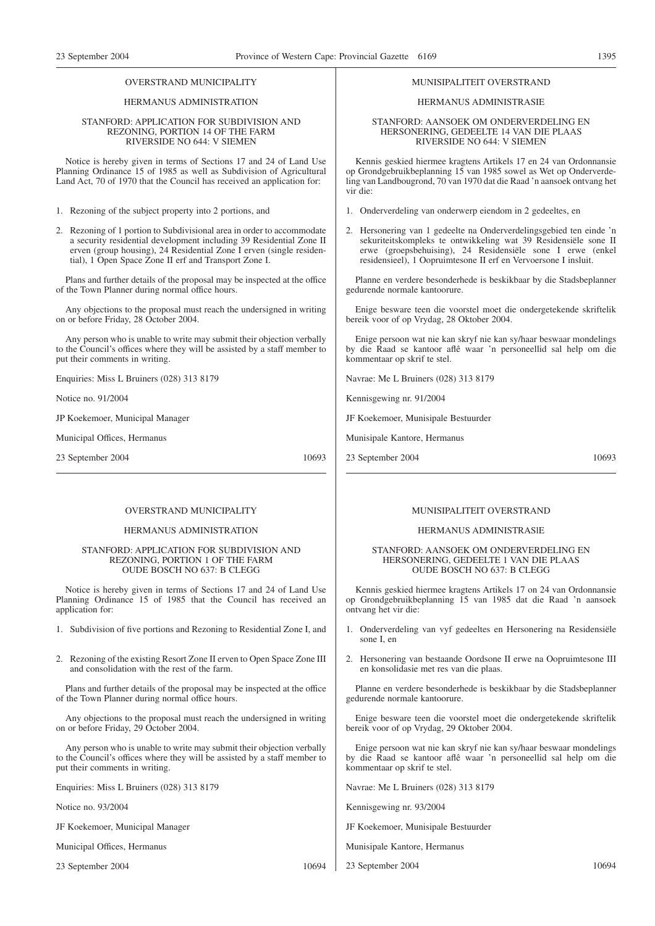#### OVERSTRAND MUNICIPALITY

#### HERMANUS ADMINISTRATION

#### STANFORD: APPLICATION FOR SUBDIVISION AND REZONING, PORTION 14 OF THE FARM RIVERSIDE NO 644: V SIEMEN

Notice is hereby given in terms of Sections 17 and 24 of Land Use Planning Ordinance 15 of 1985 as well as Subdivision of Agricultural Land Act, 70 of 1970 that the Council has received an application for:

1. Rezoning of the subject property into 2 portions, and

2. Rezoning of 1 portion to Subdivisional area in order to accommodate a security residential development including 39 Residential Zone II erven (group housing), 24 Residential Zone I erven (single residential), 1 Open Space Zone II erf and Transport Zone I.

Plans and further details of the proposal may be inspected at the office of the Town Planner during normal office hours.

Any objections to the proposal must reach the undersigned in writing on or before Friday, 28 October 2004.

Any person who is unable to write may submit their objection verbally to the Council's offices where they will be assisted by a staff member to put their comments in writing.

Enquiries: Miss L Bruiners (028) 313 8179

Notice no. 91/2004

JP Koekemoer, Municipal Manager

Municipal Offices, Hermanus

23 September 2004 10693

#### OVERSTRAND MUNICIPALITY

#### HERMANUS ADMINISTRATION

#### STANFORD: APPLICATION FOR SUBDIVISION AND REZONING, PORTION 1 OF THE FARM OUDE BOSCH NO 637: B CLEGG

Notice is hereby given in terms of Sections 17 and 24 of Land Use Planning Ordinance 15 of 1985 that the Council has received an application for:

1. Subdivision of five portions and Rezoning to Residential Zone I, and

2. Rezoning of the existing Resort Zone II erven to Open Space Zone III and consolidation with the rest of the farm.

Plans and further details of the proposal may be inspected at the office of the Town Planner during normal office hours.

Any objections to the proposal must reach the undersigned in writing on or before Friday, 29 October 2004.

Any person who is unable to write may submit their objection verbally to the Council's offices where they will be assisted by a staff member to put their comments in writing.

Enquiries: Miss L Bruiners (028) 313 8179

Notice no. 93/2004

JF Koekemoer, Municipal Manager

Municipal Offices, Hermanus

23 September 2004 10694

#### MUNISIPALITEIT OVERSTRAND

#### HERMANUS ADMINISTRASIE

#### STANFORD: AANSOEK OM ONDERVERDELING EN HERSONERING, GEDEELTE 14 VAN DIE PLAAS RIVERSIDE NO 644: V SIEMEN

Kennis geskied hiermee kragtens Artikels 17 en 24 van Ordonnansie op Grondgebruikbeplanning 15 van 1985 sowel as Wet op Onderverdeling van Landbougrond, 70 van 1970 dat die Raad 'n aansoek ontvang het vir die:

- 1. Onderverdeling van onderwerp eiendom in 2 gedeeltes, en
- 2. Hersonering van 1 gedeelte na Onderverdelingsgebied ten einde 'n sekuriteitskompleks te ontwikkeling wat 39 Residensiële sone II erwe (groepsbehuising), 24 Residensiële sone I erwe (enkel residensieel), 1 Oopruimtesone II erf en Vervoersone I insluit.

Planne en verdere besonderhede is beskikbaar by die Stadsbeplanner gedurende normale kantoorure.

Enige besware teen die voorstel moet die ondergetekende skriftelik bereik voor of op Vrydag, 28 Oktober 2004.

Enige persoon wat nie kan skryf nie kan sy/haar beswaar mondelings by die Raad se kantoor aflê waar 'n personeellid sal help om die kommentaar op skrif te stel.

Navrae: Me L Bruiners (028) 313 8179

Kennisgewing nr. 91/2004

JF Koekemoer, Munisipale Bestuurder

Munisipale Kantore, Hermanus

23 September 2004 10693

#### MUNISIPALITEIT OVERSTRAND

#### HERMANUS ADMINISTRASlE

#### STANFORD: AANSOEK OM ONDERVERDELING EN HERSONERING, GEDEELTE 1 VAN DIE PLAAS OUDE BOSCH NO 637: B CLEGG

Kennis geskied hiermee kragtens Artikels 17 on 24 van Ordonnansie op Grondgebruikbeplanning 15 van 1985 dat die Raad 'n aansoek ontvang het vir die:

- 1. Onderverdeling van vyf gedeeltes en Hersonering na Residensiële sone I, en
- 2. Hersonering van bestaande Oordsone II erwe na Oopruimtesone III en konsolidasie met res van die plaas.

Planne en verdere besonderhede is beskikbaar by die Stadsbeplanner gedurende normale kantoorure.

Enige besware teen die voorstel moet die ondergetekende skriftelik bereik voor of op Vrydag, 29 Oktober 2004.

Enige persoon wat nie kan skryf nie kan sy/haar beswaar mondelings by die Raad se kantoor aflê waar 'n personeellid sal help om die kommentaar op skrif te stel.

Navrae: Me L Bruiners (028) 313 8179

Kennisgewing nr. 93/2004

JF Koekemoer, Munisipale Bestuurder

- Munisipale Kantore, Hermanus
- 23 September 2004 10694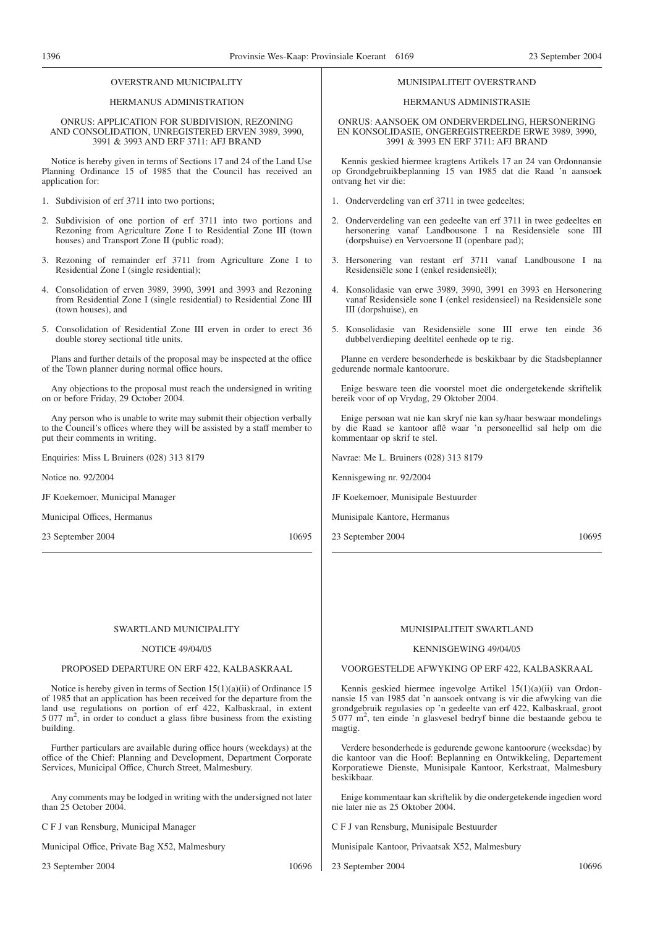#### OVERSTRAND MUNICIPALITY

#### HERMANUS ADMINISTRATION

#### ONRUS: APPLICATION FOR SUBDIVISION, REZONING AND CONSOLIDATION, UNREGISTERED ERVEN 3989, 3990, 3991 & 3993 AND ERF 3711: AFJ BRAND

Notice is hereby given in terms of Sections 17 and 24 of the Land Use Planning Ordinance 15 of 1985 that the Council has received an application for:

- 1. Subdivision of erf 3711 into two portions;
- 2. Subdivision of one portion of erf 3711 into two portions and Rezoning from Agriculture Zone I to Residential Zone III (town houses) and Transport Zone II (public road);
- 3. Rezoning of remainder erf 3711 from Agriculture Zone I to Residential Zone I (single residential);
- 4. Consolidation of erven 3989, 3990, 3991 and 3993 and Rezoning from Residential Zone I (single residential) to Residential Zone III (town houses), and
- 5. Consolidation of Residential Zone III erven in order to erect 36 double storey sectional title units.

Plans and further details of the proposal may be inspected at the office of the Town planner during normal office hours.

Any objections to the proposal must reach the undersigned in writing on or before Friday, 29 October 2004.

Any person who is unable to write may submit their objection verbally to the Council's offices where they will be assisted by a staff member to put their comments in writing.

Enquiries: Miss L Bruiners (028) 313 8179

Notice no. 92/2004

JF Koekemoer, Municipal Manager

Municipal Offices, Hermanus

23 September 2004 10695

#### MUNISIPALITEIT OVERSTRAND

#### HERMANUS ADMINISTRASIE

ONRUS: AANSOEK OM ONDERVERDELING, HERSONERING EN KONSOLIDASIE, ONGEREGISTREERDE ERWE 3989, 3990, 3991 & 3993 EN ERF 3711: AFJ BRAND

Kennis geskied hiermee kragtens Artikels 17 an 24 van Ordonnansie op Grondgebruikbeplanning 15 van 1985 dat die Raad 'n aansoek ontvang het vir die:

- 1. Onderverdeling van erf 3711 in twee gedeeltes;
- 2. Onderverdeling van een gedeelte van erf 3711 in twee gedeeltes en hersonering vanaf Landbousone I na Residensiële sone III (dorpshuise) en Vervoersone II (openbare pad);
- 3. Hersonering van restant erf 3711 vanaf Landbousone I na Residensiële sone I (enkel residensieël);
- 4. Konsolidasie van erwe 3989, 3990, 3991 en 3993 en Hersonering vanaf Residensiële sone I (enkel residensieel) na Residensiële sone III (dorpshuise), en
- 5. Konsolidasie van Residensiële sone III erwe ten einde 36 dubbelverdieping deeltitel eenhede op te rig.

Planne en verdere besonderhede is beskikbaar by die Stadsbeplanner gedurende normale kantoorure.

Enige besware teen die voorstel moet die ondergetekende skriftelik bereik voor of op Vrydag, 29 Oktober 2004.

Enige persoan wat nie kan skryf nie kan sy/haar beswaar mondelings by die Raad se kantoor aflê waar 'n personeellid sal help om die kommentaar op skrif te stel.

Navrae: Me L. Bruiners (028) 313 8179

Kennisgewing nr. 92/2004

JF Koekemoer, Munisipale Bestuurder

Munisipale Kantore, Hermanus

23 September 2004 10695

#### MUNISIPALITEIT SWARTLAND

#### KENNISGEWING 49/04/05

VOORGESTELDE AFWYKING OP ERF 422, KALBASKRAAL

Kennis geskied hiermee ingevolge Artikel 15(1)(a)(ii) van Ordonnansie 15 van 1985 dat 'n aansoek ontvang is vir die afwyking van die grondgebruik regulasies op 'n gedeelte van erf 422, Kalbaskraal, groot 5 077 m2 , ten einde 'n glasvesel bedryf binne die bestaande gebou te magtig.

Verdere besonderhede is gedurende gewone kantoorure (weeksdae) by die kantoor van die Hoof: Beplanning en Ontwikkeling, Departement Korporatiewe Dienste, Munisipale Kantoor, Kerkstraat, Malmesbury beskikbaar.

Enige kommentaar kan skriftelik by die ondergetekende ingedien word nie later nie as 25 Oktober 2004.

C F J van Rensburg, Munisipale Bestuurder

Munisipale Kantoor, Privaatsak X52, Malmesbury

23 September 2004 10696

NOTICE 49/04/05

#### PROPOSED DEPARTURE ON ERF 422, KALBASKRAAL

SWARTLAND MUNICIPALITY

Notice is hereby given in terms of Section 15(1)(a)(ii) of Ordinance 15 of 1985 that an application has been received for the departure from the land use regulations on portion of erf 422, Kalbaskraal, in extent 5 077 m2 , in order to conduct a glass fibre business from the existing building.

Further particulars are available during office hours (weekdays) at the office of the Chief: Planning and Development, Department Corporate Services, Municipal Office, Church Street, Malmesbury.

Any comments may be lodged in writing with the undersigned not later than 25 October 2004.

C F J van Rensburg, Municipal Manager

Municipal Office, Private Bag X52, Malmesbury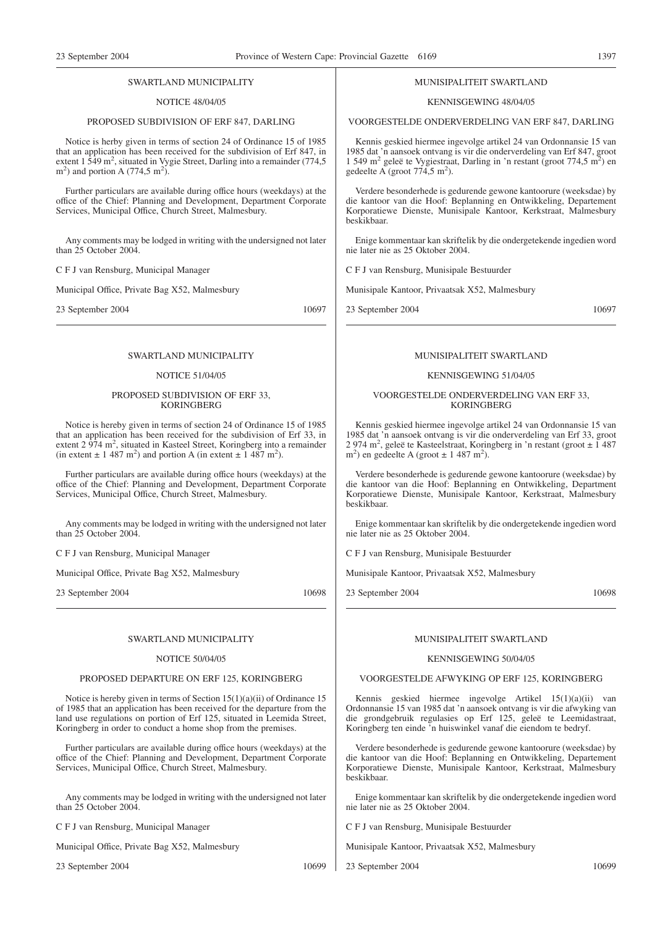#### SWARTLAND MUNICIPALITY

#### NOTICE 48/04/05

#### PROPOSED SUBDIVISION OF ERF 847, DARLING

Notice is herby given in terms of section 24 of Ordinance 15 of 1985 that an application has been received for the subdivision of Erf 847, in extent  $1\overline{549}$  m<sup>2</sup>, situated in Vygie Street, Darling into a remainder (774,5)  $m<sup>2</sup>$ ) and portion A (774,5 m<sup>2</sup>).

Further particulars are available during office hours (weekdays) at the office of the Chief: Planning and Development, Department Corporate Services, Municipal Office, Church Street, Malmesbury.

Any comments may be lodged in writing with the undersigned not later than 25 October 2004.

C F J van Rensburg, Municipal Manager

Municipal Office, Private Bag X52, Malmesbury

23 September 2004 10697

#### SWARTLAND MUNICIPALITY

#### NOTICE 51/04/05

#### PROPOSED SUBDIVISION OF ERF 33, **KORINGBERG**

Notice is hereby given in terms of section 24 of Ordinance 15 of 1985 that an application has been received for the subdivision of Erf 33, in extent 2 974 m<sup>2</sup>, situated in Kasteel Street, Koringberg into a remainder (in extent  $\pm$  1 487 m<sup>2</sup>) and portion A (in extent  $\pm$  1 487 m<sup>2</sup>).

Further particulars are available during office hours (weekdays) at the office of the Chief: Planning and Development, Department Corporate Services, Municipal Office, Church Street, Malmesbury.

Any comments may be lodged in writing with the undersigned not later than 25 October 2004.

C F J van Rensburg, Municipal Manager

Municipal Office, Private Bag X52, Malmesbury

23 September 2004 10698

#### SWARTLAND MUNICIPALITY

#### NOTICE 50/04/05

#### PROPOSED DEPARTURE ON ERF 125, KORINGBERG

Notice is hereby given in terms of Section 15(1)(a)(ii) of Ordinance 15 of 1985 that an application has been received for the departure from the land use regulations on portion of Erf 125, situated in Leemida Street, Koringberg in order to conduct a home shop from the premises.

Further particulars are available during office hours (weekdays) at the office of the Chief: Planning and Development, Department Corporate Services, Municipal Office, Church Street, Malmesbury.

Any comments may be lodged in writing with the undersigned not later than 25 October 2004.

C F J van Rensburg, Municipal Manager

Municipal Office, Private Bag X52, Malmesbury

23 September 2004 10699

#### MUNISIPALITEIT SWARTLAND

#### KENNISGEWING 48/04/05

#### VOORGESTELDE ONDERVERDELING VAN ERF 847, DARLING

Kennis geskied hiermee ingevolge artikel 24 van Ordonnansie 15 van 1985 dat 'n aansoek ontvang is vir die onderverdeling van Erf 847, groot 1 549 m<sup>2</sup> geleë te Vygiestraat, Darling in 'n restant (groot 774,5 m<sup>2</sup>) en gedeelte A (groot  $774,5 \text{ m}^2$ ).

Verdere besonderhede is gedurende gewone kantoorure (weeksdae) by die kantoor van die Hoof: Beplanning en Ontwikkeling, Departement Korporatiewe Dienste, Munisipale Kantoor, Kerkstraat, Malmesbury beskikbaar.

Enige kommentaar kan skriftelik by die ondergetekende ingedien word nie later nie as 25 Oktober 2004.

C F J van Rensburg, Munisipale Bestuurder

Munisipale Kantoor, Privaatsak X52, Malmesbury

23 September 2004 10697

#### MUNISIPALITEIT SWARTLAND

#### KENNISGEWING 51/04/05

#### VOORGESTELDE ONDERVERDELING VAN ERF 33, KORINGBERG

Kennis geskied hiermee ingevolge artikel 24 van Ordonnansie 15 van 1985 dat 'n aansoek ontvang is vir die onderverdeling van Erf 33, groot 2 974 m2 , geleë te Kasteelstraat, Koringberg in 'n restant (groot ± 1 487  $m<sup>2</sup>$ ) en gedeelte A (groot ± 1 487 m<sup>2</sup>).

Verdere besonderhede is gedurende gewone kantoorure (weeksdae) by die kantoor van die Hoof: Beplanning en Ontwikkeling, Department Korporatiewe Dienste, Munisipale Kantoor, Kerkstraat, Malmesbury beskikbaar.

Enige kommentaar kan skriftelik by die ondergetekende ingedien word nie later nie as 25 Oktober 2004.

C F J van Rensburg, Munisipale Bestuurder

Munisipale Kantoor, Privaatsak X52, Malmesbury

23 September 2004 10698

#### MUNISIPALITEIT SWARTLAND

#### KENNISGEWING 50/04/05

#### VOORGESTELDE AFWYKING OP ERF 125, KORINGBERG

Kennis geskied hiermee ingevolge Artikel 15(1)(a)(ii) van Ordonnansie 15 van 1985 dat 'n aansoek ontvang is vir die afwyking van die grondgebruik regulasies op Erf 125, geleë te Leemidastraat, Koringberg ten einde 'n huiswinkel vanaf die eiendom te bedryf.

Verdere besonderhede is gedurende gewone kantoorure (weeksdae) by die kantoor van die Hoof: Beplanning en Ontwikkeling, Departement Korporatiewe Dienste, Munisipale Kantoor, Kerkstraat, Malmesbury beskikbaar.

Enige kommentaar kan skriftelik by die ondergetekende ingedien word nie later nie as 25 Oktober 2004.

C F J van Rensburg, Munisipale Bestuurder

Munisipale Kantoor, Privaatsak X52, Malmesbury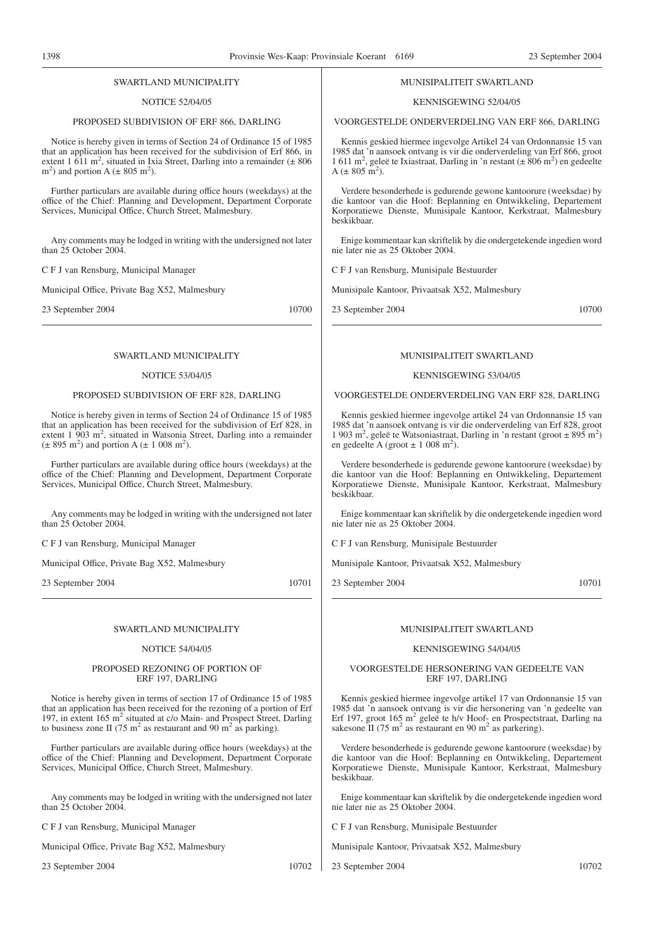#### SWARTLAND MUNICIPALITY

#### NOTICE 52/04/05

#### PROPOSED SUBDIVISION OF ERF 866, DARLING

Notice is hereby given in terms of Section 24 of Ordinance 15 of 1985 that an application has been received for the subdivision of Erf 866, in extent 1 611 m<sup>2</sup>, situated in Ixia Street, Darling into a remainder  $(\pm 806$  $m<sup>2</sup>$ ) and portion A ( $\pm$  805 m<sup>2</sup>).

Further particulars are available during office hours (weekdays) at the office of the Chief: Planning and Development, Department Corporate Services, Municipal Office, Church Street, Malmesbury.

Any comments may be lodged in writing with the undersigned not later than 25 October 2004.

C F J van Rensburg, Municipal Manager

Municipal Office, Private Bag X52, Malmesbury

23 September 2004 10700

#### SWARTLAND MUNICIPALITY

#### NOTICE 53/04/05

#### PROPOSED SUBDIVISION OF ERF 828, DARLING

Notice is hereby given in terms of Section 24 of Ordinance 15 of 1985 that an application has been received for the subdivision of Erf 828, in extent 1 903 m<sup>2</sup>, situated in Watsonia Street, Darling into a remainder  $(\pm 895 \text{ m}^2)$  and portion A  $(\pm 1008 \text{ m}^2)$ .

Further particulars are available during office hours (weekdays) at the office of the Chief: Planning and Development, Department Corporate Services, Municipal Office, Church Street, Malmesbury.

Any comments may be lodged in writing with the undersigned not later than 25 October 2004.

C F J van Rensburg, Municipal Manager

Municipal Office, Private Bag X52, Malmesbury

23 September 2004 10701

#### SWARTLAND MUNICIPALITY

#### NOTICE 54/04/05

#### PROPOSED REZONING OF PORTION OF ERF 197, DARLING

Notice is hereby given in terms of section 17 of Ordinance 15 of 1985 that an application has been received for the rezoning of a portion of Erf 197, in extent 165 m2 situated at c/o Main- and Prospect Street, Darling to business zone II (75 m<sup>2</sup> as restaurant and 90 m<sup>2</sup> as parking).

Further particulars are available during office hours (weekdays) at the office of the Chief: Planning and Development, Department Corporate Services, Municipal Office, Church Street, Malmesbury.

Any comments may be lodged in writing with the undersigned not later than 25 October 2004.

C F J van Rensburg, Municipal Manager

Municipal Office, Private Bag X52, Malmesbury

23 September 2004 10702

#### MUNISIPALITEIT SWARTLAND

#### KENNISGEWING 52/04/05

VOORGESTELDE ONDERVERDELING VAN ERF 866, DARLING

Kennis geskied hiermee ingevolge Artikel 24 van Ordonnansie 15 van 1985 dat 'n aansoek ontvang is vir die onderverdeling van Erf 866, groot  $1611 \text{ m}^2$ , geleë te Ixiastraat, Darling in 'n restant ( $\pm 806 \text{ m}^2$ ) en gedeelte  $A (\pm 805 \text{ m}^2).$ 

Verdere besonderhede is gedurende gewone kantoorure (weeksdae) by die kantoor van die Hoof: Beplanning en Ontwikkeling, Departement Korporatiewe Dienste, Munisipale Kantoor, Kerkstraat, Malmesbury beskikbaar.

Enige kommentaar kan skriftelik by die ondergetekende ingedien word nie later nie as 25 Oktober 2004.

C F J van Rensburg, Munisipale Bestuurder

Munisipale Kantoor, Privaatsak X52, Malmesbury

23 September 2004 10700

#### MUNISIPALITEIT SWARTLAND

#### KENNISGEWING 53/04/05

VOORGESTELDE ONDERVERDELING VAN ERF 828, DARLING

Kennis geskied hiermee ingevolge artikel 24 van Ordonnansie 15 van 1985 dat 'n aansoek ontvang is vir die onderverdeling van Erf 828, groot 1 903 m<sup>2</sup>, geleë te Watsoniastraat, Darling in 'n restant (groot  $\pm 895$  m<sup>2</sup>) en gedeelte A (groot  $\pm$  1 008 m<sup>2</sup>).

Verdere besonderhede is gedurende gewone kantoorure (weeksdae) by die kantoor van die Hoof: Beplanning en Ontwikkeling, Departement Korporatiewe Dienste, Munisipale Kantoor, Kerkstraat, Malmesbury beskikbaar.

Enige kommentaar kan skriftelik by die ondergetekende ingedien word nie later nie as 25 Oktober 2004.

C F J van Rensburg, Munisipale Bestuurder

Munisipale Kantoor, Privaatsak X52, Malmesbury

23 September 2004 10701

#### MUNISIPALITEIT SWARTLAND

#### KENNISGEWING 54/04/05

#### VOORGESTELDE HERSONERING VAN GEDEELTE VAN ERF 197, DARLING

Kennis geskied hiermee ingevolge artikel 17 van Ordonnansie 15 van 1985 dat 'n aansoek ontvang is vir die hersonering van 'n gedeelte van Erf 197, groot 165 m<sup>2</sup> geleë te h/v Hoof- en Prospectstraat, Darling na sakesone II (75 m<sup>2</sup> as restaurant en 90 m<sup>2</sup> as parkering).

Verdere besonderhede is gedurende gewone kantoorure (weeksdae) by die kantoor van die Hoof: Beplanning en Ontwikkeling, Departement Korporatiewe Dienste, Munisipale Kantoor, Kerkstraat, Malmesbury beskikbaar.

Enige kommentaar kan skriftelik by die ondergetekende ingedien word nie later nie as 25 Oktober 2004.

C F J van Rensburg, Munisipale Bestuurder

Munisipale Kantoor, Privaatsak X52, Malmesbury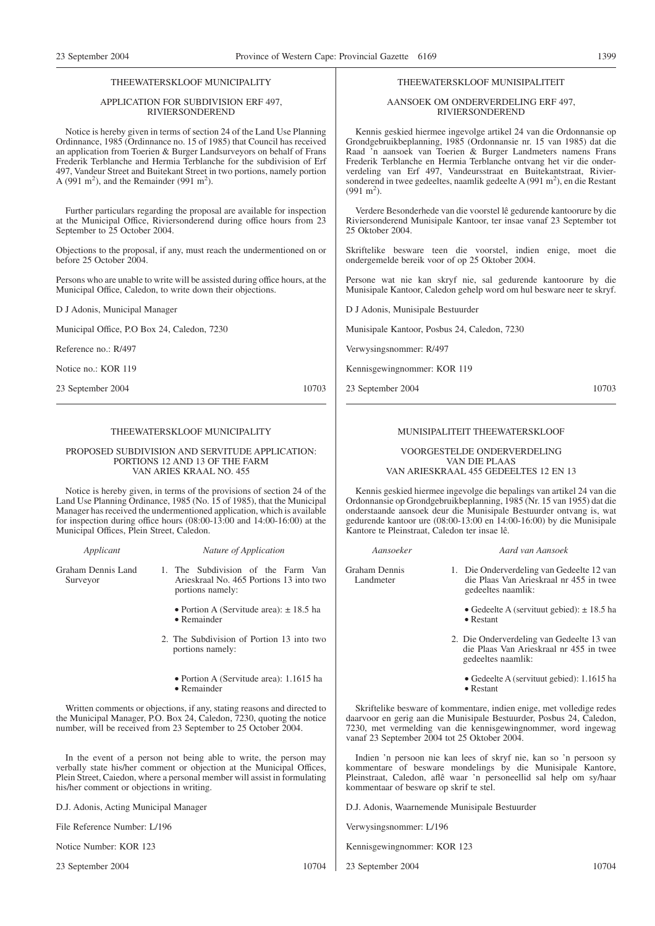#### THEEWATERSKLOOF MUNICIPALITY

#### APPLICATION FOR SUBDIVISION ERF 497, RIVIERSONDEREND

Notice is hereby given in terms of section 24 of the Land Use Planning Ordinnance, 1985 (Ordinnance no. 15 of 1985) that Council has received an application from Toerien & Burger Landsurveyors on behalf of Frans Frederik Terblanche and Hermia Terblanche for the subdivision of Erf 497, Vandeur Street and Buitekant Street in two portions, namely portion A (991 m<sup>2</sup>), and the Remainder (991 m<sup>2</sup>).

Further particulars regarding the proposal are available for inspection at the Municipal Office, Riviersonderend during office hours from 23 September to 25 October 2004.

Objections to the proposal, if any, must reach the undermentioned on or before 25 October 2004.

Persons who are unable to write will be assisted during office hours, at the Municipal Office, Caledon, to write down their objections.

D J Adonis, Municipal Manager

Municipal Office, P.O Box 24, Caledon, 7230

Reference no.: R/497

Notice no.: KOR 119

23 September 2004 10703

#### THEEWATERSKLOOF MUNICIPALITY

#### PROPOSED SUBDIVISION AND SERVITUDE APPLICATION: PORTIONS 12 AND 13 OF THE FARM VAN ARIES KRAAL NO. 455

Notice is hereby given, in terms of the provisions of section 24 of the Land Use Planning Ordinance, 1985 (No. 15 of 1985), that the Municipal Manager has received the undermentioned application, which is available for inspection during office hours (08:00-13:00 and 14:00-16:00) at the Municipal Offices, Plein Street, Caledon.

*Applicant Nature of Application*

Graham Dennis Land Surveyor

1. The Subdivision of the Farm Van Arieskraal No. 465 Portions 13 into two portions namely:

• Portion A (Servitude area):  $\pm$  18.5 ha • Remainder

- 2. The Subdivision of Portion 13 into two portions namely:
	- Portion A (Servitude area): 1.1615 ha • Remainder

Written comments or objections, if any, stating reasons and directed to the Municipal Manager, P.O. Box 24, Caledon, 7230, quoting the notice number, will be received from 23 September to 25 October 2004.

In the event of a person not being able to write, the person may verbally state his/her comment or objection at the Municipal Offices, Plein Street, Caiedon, where a personal member will assist in formulating his/her comment or objections in writing.

D.J. Adonis, Acting Municipal Manager

File Reference Number: L/196

Notice Number: KOR 123

23 September 2004 10704

#### THEEWATERSKLOOF MUNISIPALITEIT

#### AANSOEK OM ONDERVERDELING ERF 497, RIVIERSONDEREND

Kennis geskied hiermee ingevolge artikel 24 van die Ordonnansie op Grondgebruikbeplanning, 1985 (Ordonnansie nr. 15 van 1985) dat die Raad 'n aansoek van Toerien & Burger Landmeters namens Frans Frederik Terblanche en Hermia Terblanche ontvang het vir die onderverdeling van Erf 497, Vandeursstraat en Buitekantstraat, Riviersonderend in twee gedeeltes, naamlik gedeelte A (991 m<sup>2</sup>), en die Restant  $(991 \text{ m}^2)$ .

Verdere Besonderhede van die voorstel lê gedurende kantoorure by die Riviersonderend Munisipale Kantoor, ter insae vanaf 23 September tot 25 Oktober 2004.

Skriftelike besware teen die voorstel, indien enige, moet die ondergemelde bereik voor of op 25 Oktober 2004.

Persone wat nie kan skryf nie, sal gedurende kantoorure by die Munisipale Kantoor, Caledon gehelp word om hul besware neer te skryf.

D J Adonis, Munisipale Bestuurder

Munisipale Kantoor, Posbus 24, Caledon, 7230

Verwysingsnommer: R/497

Kennisgewingnommer: KOR 119

23 September 2004 10703

## MUNISIPALITEIT THEEWATERSKLOOF

VOORGESTELDE ONDERVERDELING VAN DIE PLAAS VAN ARIESKRAAL 455 GEDEELTES 12 EN 13

Kennis geskied hiermee ingevolge die bepalings van artikel 24 van die Ordonnansie op Grondgebruikbeplanning, 1985 (Nr. 15 van 1955) dat die onderstaande aansoek deur die Munisipale Bestuurder ontvang is, wat gedurende kantoor ure (08:00-13:00 en 14:00-16:00) by die Munisipale Kantore te Pleinstraat, Caledon ter insae lê.

*Aansoeker Aard van Aansoek*

Graham Dennis Landmeter

1. Die Onderverdeling van Gedeelte 12 van

- die Plaas Van Arieskraal nr 455 in twee gedeeltes naamlik:
	- Gedeelte A (servituut gebied):  $\pm$  18.5 ha • Restant
- 2. Die Onderverdeling van Gedeelte 13 van die Plaas Van Arieskraal nr 455 in twee gedeeltes naamlik:
	- Gedeelte A (servituut gebied): 1.1615 ha • Restant

Skriftelike besware of kommentare, indien enige, met volledige redes daarvoor en gerig aan die Munisipale Bestuurder, Posbus 24, Caledon, 7230, met vermelding van die kennisgewingnommer, word ingewag vanaf 23 September 2004 tot 25 Oktober 2004.

Indien 'n persoon nie kan lees of skryf nie, kan so 'n persoon sy kommentare of besware mondelings by die Munisipale Kantore, Pleinstraat, Caledon, aflê waar 'n personeellid sal help om sy/haar kommentaar of besware op skrif te stel.

D.J. Adonis, Waarnemende Munisipale Bestuurder

Verwysingsnommer: L/196

Kennisgewingnommer: KOR 123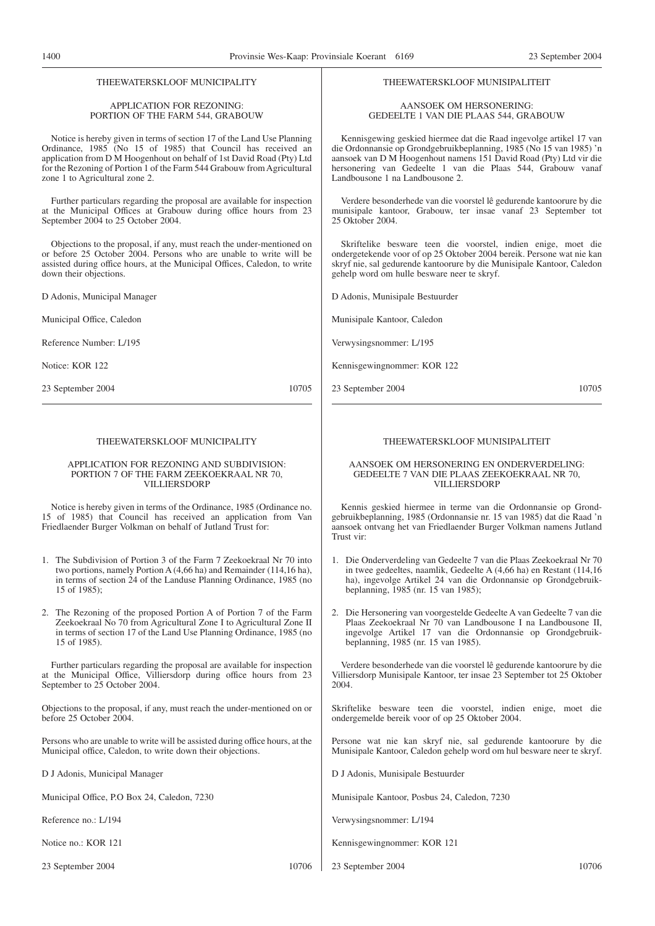#### THEEWATERSKLOOF MUNICIPALITY

#### APPLICATION FOR REZONING: PORTION OF THE FARM 544, GRABOUW

Notice is hereby given in terms of section 17 of the Land Use Planning Ordinance, 1985 (No 15 of 1985) that Council has received an application from D M Hoogenhout on behalf of 1st David Road (Pty) Ltd for the Rezoning of Portion 1 of the Farm 544 Grabouw from Agricultural zone 1 to Agricultural zone 2.

Further particulars regarding the proposal are available for inspection at the Municipal Offices at Grabouw during office hours from 23 September 2004 to 25 October 2004.

Objections to the proposal, if any, must reach the under-mentioned on or before 25 October 2004. Persons who are unable to write will be assisted during office hours, at the Municipal Offices, Caledon, to write down their objections.

D Adonis, Municipal Manager

Municipal Office, Caledon

Reference Number: L/195

Notice: KOR 122

23 September 2004 10705

#### THEEWATERSKLOOF MUNICIPALITY

#### APPLICATION FOR REZONING AND SUBDIVISION: PORTION 7 OF THE FARM ZEEKOEKRAAL NR 70, VILLIERSDORP

Notice is hereby given in terms of the Ordinance, 1985 (Ordinance no. 15 of 1985) that Council has received an application from Van Friedlaender Burger Volkman on behalf of Jutland Trust for:

- 1. The Subdivision of Portion 3 of the Farm 7 Zeekoekraal Nr 70 into two portions, namely Portion A (4,66 ha) and Remainder (114,16 ha), in terms of section 24 of the Landuse Planning Ordinance, 1985 (no 15 of 1985);
- 2. The Rezoning of the proposed Portion A of Portion 7 of the Farm Zeekoekraal No 70 from Agricultural Zone I to Agricultural Zone II in terms of section 17 of the Land Use Planning Ordinance, 1985 (no 15 of 1985).

Further particulars regarding the proposal are available for inspection at the Municipal Office, Villiersdorp during office hours from 23 September to 25 October 2004.

Objections to the proposal, if any, must reach the under-mentioned on or before 25 October 2004.

Persons who are unable to write will be assisted during office hours, at the Municipal office, Caledon, to write down their objections.

D J Adonis, Municipal Manager

Municipal Office, P.O Box 24, Caledon, 7230

Reference no.: L/194

Notice no.: KOR 121

23 September 2004 10706

#### THEEWATERSKLOOF MUNISIPALITEIT

AANSOEK OM HERSONERING: GEDEELTE 1 VAN DIE PLAAS 544, GRABOUW

Kennisgewing geskied hiermee dat die Raad ingevolge artikel 17 van die Ordonnansie op Grondgebruikbeplanning, 1985 (No 15 van 1985) 'n aansoek van D M Hoogenhout namens 151 David Road (Pty) Ltd vir die hersonering van Gedeelte 1 van die Plaas 544, Grabouw vanaf Landbousone 1 na Landbousone 2.

Verdere besonderhede van die voorstel lê gedurende kantoorure by die munisipale kantoor, Grabouw, ter insae vanaf 23 September tot 25 Oktober 2004.

Skriftelike besware teen die voorstel, indien enige, moet die ondergetekende voor of op 25 Oktober 2004 bereik. Persone wat nie kan skryf nie, sal gedurende kantoorure by die Munisipale Kantoor, Caledon gehelp word om hulle besware neer te skryf.

D Adonis, Munisipale Bestuurder

Munisipale Kantoor, Caledon

Verwysingsnommer: L/195

Kennisgewingnommer: KOR 122

23 September 2004 10705

#### THEEWATERSKLOOF MUNISIPALITEIT

#### AANSOEK OM HERSONERING EN ONDERVERDELING: GEDEELTE 7 VAN DIE PLAAS ZEEKOEKRAAL NR 70, VILLIERSDORP

Kennis geskied hiermee in terme van die Ordonnansie op Grondgebruikbeplanning, 1985 (Ordonnansie nr. 15 van 1985) dat die Raad 'n aansoek ontvang het van Friedlaender Burger Volkman namens Jutland Trust vir:

- 1. Die Onderverdeling van Gedeelte 7 van die Plaas Zeekoekraal Nr 70 in twee gedeeltes, naamlik, Gedeelte A (4,66 ha) en Restant (114,16 ha), ingevolge Artikel 24 van die Ordonnansie op Grondgebruikbeplanning, 1985 (nr. 15 van 1985);
- 2. Die Hersonering van voorgestelde Gedeelte A van Gedeelte 7 van die Plaas Zeekoekraal Nr 70 van Landbousone I na Landbousone II, ingevolge Artikel 17 van die Ordonnansie op Grondgebruikbeplanning, 1985 (nr. 15 van 1985).

Verdere besonderhede van die voorstel lê gedurende kantoorure by die Villiersdorp Munisipale Kantoor, ter insae 23 September tot 25 Oktober 2004.

Skriftelike besware teen die voorstel, indien enige, moet die ondergemelde bereik voor of op 25 Oktober 2004.

Persone wat nie kan skryf nie, sal gedurende kantoorure by die Munisipale Kantoor, Caledon gehelp word om hul besware neer te skryf.

D J Adonis, Munisipale Bestuurder

Munisipale Kantoor, Posbus 24, Caledon, 7230

Verwysingsnommer: L/194

- Kennisgewingnommer: KOR 121
- 23 September 2004 10706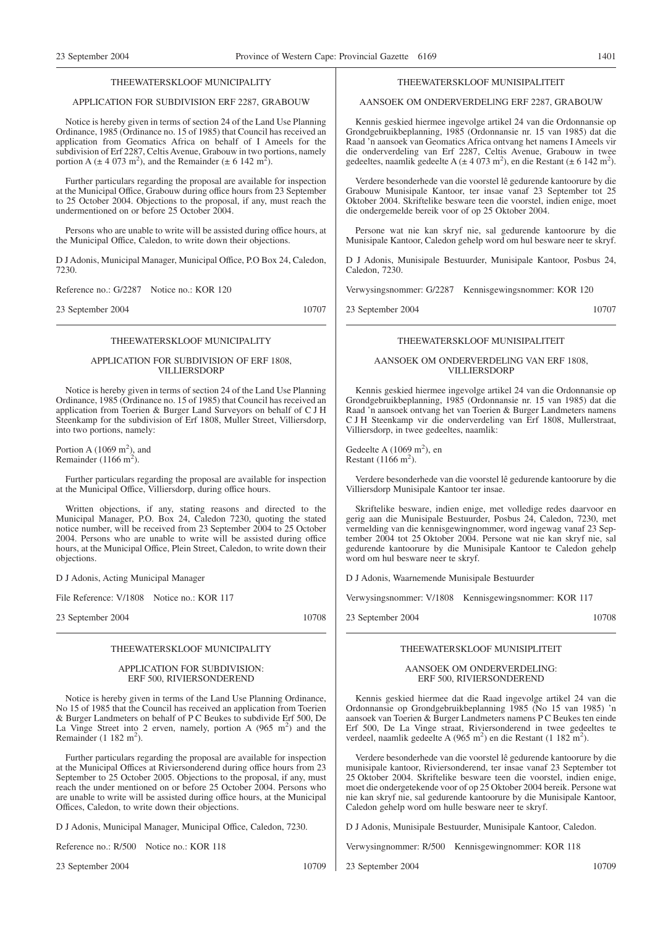#### THEEWATERSKLOOF MUNICIPALITY

#### APPLICATION FOR SUBDIVISION ERF 2287, GRABOUW

Notice is hereby given in terms of section 24 of the Land Use Planning Ordinance, 1985 (Ordinance no. 15 of 1985) that Council has received an application from Geomatics Africa on behalf of I Ameels for the subdivision of Erf 2287, Celtis Avenue, Grabouw in two portions, namely portion A ( $\pm$  4 073 m<sup>2</sup>), and the Remainder ( $\pm$  6 142 m<sup>2</sup>).

Further particulars regarding the proposal are available for inspection at the Municipal Office, Grabouw during office hours from 23 September to 25 October 2004. Objections to the proposal, if any, must reach the undermentioned on or before 25 October 2004.

Persons who are unable to write will be assisted during office hours, at the Municipal Office, Caledon, to write down their objections.

D J Adonis, Municipal Manager, Municipal Office, P.O Box 24, Caledon, 7230.

Reference no.: G/2287 Notice no.: KOR 120

23 September 2004 10707

#### THEEWATERSKLOOF MUNICIPALITY

#### APPLICATION FOR SUBDIVISION OF ERF 1808, VILLIERSDORP

Notice is hereby given in terms of section 24 of the Land Use Planning Ordinance, 1985 (Ordinance no. 15 of 1985) that Council has received an application from Toerien & Burger Land Surveyors on behalf of C J H Steenkamp for the subdivision of Erf 1808, Muller Street, Villiersdorp, into two portions, namely:

Portion A  $(1069 \text{ m}^2)$ , and Remainder (1166 m<sup>2</sup>).

Further particulars regarding the proposal are available for inspection at the Municipal Office, Villiersdorp, during office hours.

Written objections, if any, stating reasons and directed to the Municipal Manager, P.O. Box 24, Caledon 7230, quoting the stated notice number, will be received from 23 September 2004 to 25 October 2004. Persons who are unable to write will be assisted during office hours, at the Municipal Office, Plein Street, Caledon, to write down their objections.

D J Adonis, Acting Municipal Manager

File Reference: V/1808 Notice no.: KOR 117

23 September 2004 10708

#### THEEWATERSKLOOF MUNICIPALITY

#### APPLICATION FOR SUBDIVISION: ERF 500, RIVIERSONDEREND

Notice is hereby given in terms of the Land Use Planning Ordinance, No 15 of 1985 that the Council has received an application from Toerien & Burger Landmeters on behalf of P C Beukes to subdivide Erf 500, De La Vinge Street into 2 erven, namely, portion A  $(965 \text{ m}^2)$  and the Remainder  $(1 \ 182 \ m^2)$ .

Further particulars regarding the proposal are available for inspection at the Municipal Offices at Riviersonderend during office hours from 23 September to 25 October 2005. Objections to the proposal, if any, must reach the under mentioned on or before 25 October 2004. Persons who are unable to write will be assisted during office hours, at the Municipal Offices, Caledon, to write down their objections.

D J Adonis, Municipal Manager, Municipal Office, Caledon, 7230.

Reference no.: R/500 Notice no.: KOR 118

23 September 2004 10709

#### THEEWATERSKLOOF MUNISIPALITEIT

#### AANSOEK OM ONDERVERDELlNG ERF 2287, GRABOUW

Kennis geskied hiermee ingevolge artikel 24 van die Ordonnansie op Grondgebruikbeplanning, 1985 (Ordonnansie nr. 15 van 1985) dat die Raad 'n aansoek van Geomatics Africa ontvang het namens I Ameels vir die onderverdeling van Erf 2287, Celtis Avenue, Grabouw in twee gedeeltes, naamlik gedeelte A ( $\pm$  4 073 m<sup>2</sup>), en die Restant ( $\pm$  6 142 m<sup>2</sup>).

Verdere besonderhede van die voorstel lê gedurende kantoorure by die Grabouw Munisipale Kantoor, ter insae vanaf 23 September tot 25 Oktober 2004. Skriftelike besware teen die voorstel, indien enige, moet die ondergemelde bereik voor of op 25 Oktober 2004.

Persone wat nie kan skryf nie, sal gedurende kantoorure by die Munisipale Kantoor, Caledon gehelp word om hul besware neer te skryf.

D J Adonis, Munisipale Bestuurder, Munisipale Kantoor, Posbus 24, Caledon, 7230.

Verwysingsnommer: G/2287 Kennisgewingsnommer: KOR 120

23 September 2004 10707

## THEEWATERSKLOOF MUNISIPALITEIT

#### AANSOEK OM ONDERVERDELlNG VAN ERF 1808, VILLIERSDORP

Kennis geskied hiermee ingevolge artikel 24 van die Ordonnansie op Grondgebruikbeplanning, 1985 (Ordonnansie nr. 15 van 1985) dat die Raad 'n aansoek ontvang het van Toerien & Burger Landmeters namens C J H Steenkamp vir die onderverdeling van Erf 1808, Mullerstraat, Villiersdorp, in twee gedeeltes, naamlik:

Gedeelte A  $(1069 \text{ m}^2)$ , en Restant  $(1166 \text{ m}^2)$ .

Verdere besonderhede van die voorstel lê gedurende kantoorure by die Villiersdorp Munisipale Kantoor ter insae.

Skriftelike besware, indien enige, met volledige redes daarvoor en gerig aan die Munisipale Bestuurder, Posbus 24, Caledon, 7230, met vermelding van die kennisgewingnommer, word ingewag vanaf 23 September 2004 tot 25 Oktober 2004. Persone wat nie kan skryf nie, sal gedurende kantoorure by die Munisipale Kantoor te Caledon gehelp word om hul besware neer te skryf.

D J Adonis, Waarnemende Munisipale Bestuurder

Verwysingsnommer: V/1808 Kennisgewingsnommer: KOR 117

23 September 2004 10708

#### THEEWATERSKLOOF MUNISIPLITEIT

#### AANSOEK OM ONDERVERDELING: ERF 500, RIVIERSONDEREND

Kennis geskied hiermee dat die Raad ingevolge artikel 24 van die Ordonnansie op Grondgebruikbeplanning 1985 (No 15 van 1985) 'n aansoek van Toerien & Burger Landmeters namens P C Beukes ten einde Erf 500, De La Vinge straat, Riviersonderend in twee gedeeltes te verdeel, naamlik gedeelte A (965 m<sup>2</sup>) en die Restant (1 182 m<sup>2</sup>).

Verdere besonderhede van die voorstel lê gedurende kantoorure by die munisipale kantoor, Riviersonderend, ter insae vanaf 23 September tot 25 Oktober 2004. Skriftelike besware teen die voorstel, indien enige, moet die ondergetekende voor of op 25 Oktober 2004 bereik. Persone wat nie kan skryf nie, sal gedurende kantoorure by die Munisipale Kantoor, Caledon gehelp word om hulle besware neer te skryf.

D J Adonis, Munisipale Bestuurder, Munisipale Kantoor, Caledon.

Verwysingnommer: R/500 Kennisgewingnommer: KOR 118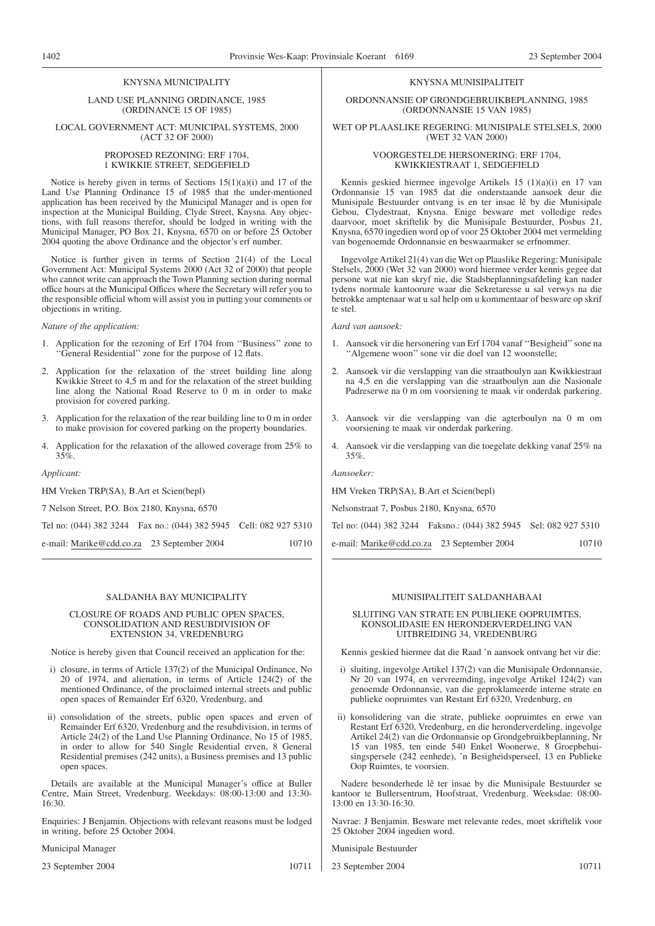#### KNYSNA MUNICIPALITY

LAND USE PLANNING ORDINANCE, 1985 (ORDINANCE 15 OF 1985)

LOCAL GOVERNMENT ACT: MUNICIPAL SYSTEMS, 2000 (ACT 32 OF 2000)

#### PROPOSED REZONING: ERF 1704, 1 KWIKKIE STREET, SEDGEFIELD

Notice is hereby given in terms of Sections  $15(1)(a)(i)$  and 17 of the Land Use Planning Ordinance 15 of 1985 that the under-mentioned application has been received by the Municipal Manager and is open for inspection at the Municipal Building, Clyde Street, Knysna. Any objections, with full reasons therefor, should be lodged in writing with the Municipal Manager, PO Box 21, Knysna, 6570 on or before 25 October 2004 quoting the above Ordinance and the objector's erf number.

Notice is further given in terms of Section 21(4) of the Local Government Act: Municipal Systems 2000 (Act 32 of 2000) that people who cannot write can approach the Town Planning section during normal office hours at the Municipal Offices where the Secretary will refer you to the responsible official whom will assist you in putting your comments or objections in writing.

*Nature of the application:*

- 1. Application for the rezoning of Erf 1704 from ''Business'' zone to ''General Residential'' zone for the purpose of 12 flats.
- 2. Application for the relaxation of the street building line along Kwikkie Street to 4,5 m and for the relaxation of the street building line along the National Road Reserve to 0 m in order to make provision for covered parking.
- 3. Application for the relaxation of the rear building line to 0 m in order to make provision for covered parking on the property boundaries.
- 4. Application for the relaxation of the allowed coverage from 25% to 35%.

*Applicant:*

HM Vreken TRP(SA), B.Art et Scien(bepl)

7 Nelson Street, P.O. Box 2180, Knysna, 6570

Tel no: (044) 382 3244 Fax no.: (044) 382 5945 Cell: 082 927 5310

| e-mail: Marike@cdd.co.za 23 September 2004 |  | 10710 |
|--------------------------------------------|--|-------|
|--------------------------------------------|--|-------|

#### SALDANHA BAY MUNICIPALITY

#### CLOSURE OF ROADS AND PUBLIC OPEN SPACES, CONSOLIDATION AND RESUBDIVISION OF EXTENSION 34, VREDENBURG

Notice is hereby given that Council received an application for the:

- i) closure, in terms of Article 137(2) of the Municipal Ordinance, No 20 of 1974, and alienation, in terms of Article 124(2) of the mentioned Ordinance, of the proclaimed internal streets and public open spaces of Remainder Erf 6320, Vredenburg, and
- ii) consolidation of the streets, public open spaces and erven of Remainder Erf 6320, Vredenburg and the resubdivision, in terms of Article 24(2) of the Land Use Planning Ordinance, No 15 of 1985, in order to allow for 540 Single Residential erven, 8 General Residential premises (242 units), a Business premises and 13 public open spaces.

Details are available at the Municipal Manager's office at Buller Centre, Main Street, Vredenburg. Weekdays: 08:00-13:00 and 13:30- 16:30.

Enquiries: J Benjamin. Objections with relevant reasons must be lodged in writing, before 25 October 2004.

Municipal Manager

23 September 2004 10711

#### KNYSNA MUNISIPALITEIT

#### ORDONNANSIE OP GRONDGEBRUIKBEPLANNING, 1985 (ORDONNANSIE 15 VAN 1985)

#### WET OP PLAASLIKE REGERING: MUNISIPALE STELSELS, 2000 (WET 32 VAN 2000)

#### VOORGESTELDE HERSONERING: ERF 1704, KWIKKIESTRAAT 1, SEDGEFIELD

Kennis geskied hiermee ingevolge Artikels 15 (1)(a)(i) en 17 van Ordonnansie 15 van 1985 dat die onderstaande aansoek deur die Munisipale Bestuurder ontvang is en ter insae lê by die Munisipale Gebou, Clydestraat, Knysna. Enige besware met volledige redes daarvoor, moet skriftelik by die Munisipale Bestuurder, Posbus 21, Knysna, 6570 ingedien word op of voor 25 Oktober 2004 met vermelding van bogenoemde Ordonnansie en beswaarmaker se erfnommer.

Ingevolge Artikel 21(4) van die Wet op Plaaslike Regering: Munisipale Stelsels, 2000 (Wet 32 van 2000) word hiermee verder kennis gegee dat persone wat nie kan skryf nie, die Stadsbeplanningsafdeling kan nader tydens normale kantoorure waar die Sekretaresse u sal verwys na die betrokke amptenaar wat u sal help om u kommentaar of besware op skrif te stel.

*Aard van aansoek:*

- 1. Aansoek vir die hersonering van Erf 1704 vanaf ''Besigheid'' sone na ''Algemene woon'' sone vir die doel van 12 woonstelle;
- 2. Aansoek vir die verslapping van die straatboulyn aan Kwikkiestraat na 4,5 en die verslapping van die straatboulyn aan die Nasionale Padreserwe na 0 m om voorsiening te maak vir onderdak parkering.
- 3. Aansoek vir die verslapping van die agterboulyn na 0 m om voorsiening te maak vir onderdak parkering.
- 4. Aansoek vir die verslapping van die toegelate dekking vanaf 25% na 35%.

*Aansoeker:*

HM Vreken TRP(SA), B.Art et Scien(bepl)

Nelsonstraat 7, Posbus 2180, Knysna, 6570

Tel no: (044) 382 3244 Faksno.: (044) 382 5945 Sel: 082 927 5310

e-mail: Marike@cdd.co.za 23 September 2004 10710

## MUNISIPALITEIT SALDANHABAAI

SLUITING VAN STRATE EN PUBLIEKE OOPRUIMTES, KONSOLIDASIE EN HERONDERVERDELING VAN UITBREIDING 34, VREDENBURG

Kennis geskied hiermee dat die Raad 'n aansoek ontvang het vir die:

- i) sluiting, ingevolge Artikel 137(2) van die Munisipale Ordonnansie, Nr 20 van 1974, en vervreemding, ingevolge Artikel 124(2) van genoemde Ordonnansie, van die geproklameerde interne strate en publieke oopruimtes van Restant Erf 6320, Vredenburg, en
- ii) konsolidering van die strate, publieke oopruimtes en erwe van Restant Erf 6320, Vredenburg, en die heronderverdeling, ingevolge Artikel 24(2) van die Ordonnansie op Grondgebruikbeplanning, Nr 15 van 1985, ten einde 540 Enkel Woonerwe, 8 Groepbehuisingspersele (242 eenhede), 'n Besigheidsperseel, 13 en Publieke Oop Ruimtes, te voorsien.

Nadere besonderhede lê ter insae by die Munisipale Bestuurder se kantoor te Bullersentrum, Hoofstraat, Vredenburg. Weeksdae: 08:00- 13:00 en 13:30-16:30.

Navrae: J Benjamin. Besware met relevante redes, moet skriftelik voor 25 Oktober 2004 ingedien word.

Munisipale Bestuurder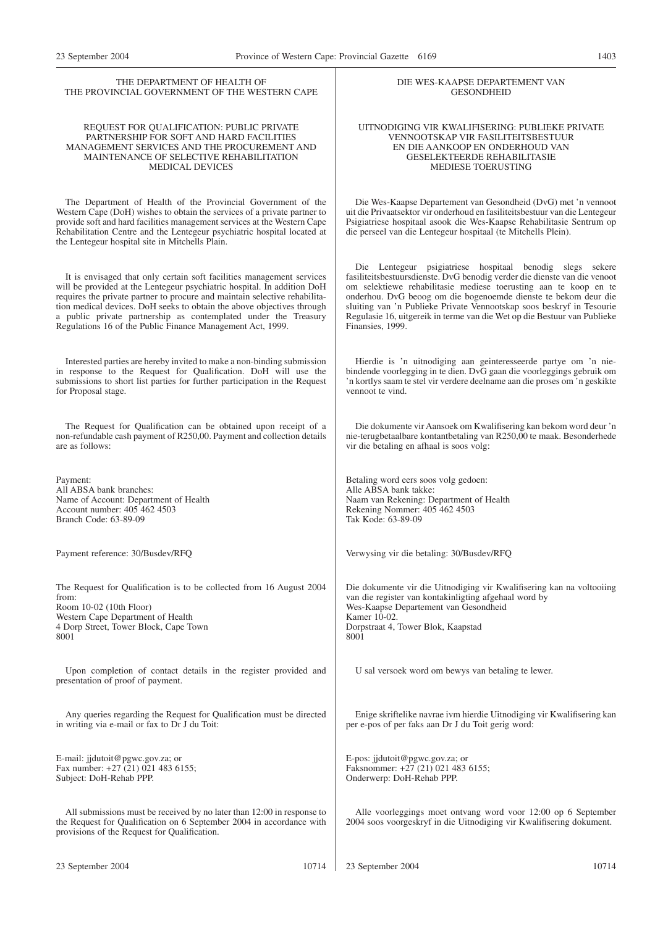| THE DEPARTMENT OF HEALTH OF                                                                                                                                                                                                                                                                                                                                                                                                               | DIE WES-KAAPSE DEPARTEMENT VAN                                                                                                                                                                                                                                                                                                                                                                                                                         |
|-------------------------------------------------------------------------------------------------------------------------------------------------------------------------------------------------------------------------------------------------------------------------------------------------------------------------------------------------------------------------------------------------------------------------------------------|--------------------------------------------------------------------------------------------------------------------------------------------------------------------------------------------------------------------------------------------------------------------------------------------------------------------------------------------------------------------------------------------------------------------------------------------------------|
| THE PROVINCIAL GOVERNMENT OF THE WESTERN CAPE                                                                                                                                                                                                                                                                                                                                                                                             | <b>GESONDHEID</b>                                                                                                                                                                                                                                                                                                                                                                                                                                      |
| REQUEST FOR QUALIFICATION: PUBLIC PRIVATE                                                                                                                                                                                                                                                                                                                                                                                                 | UITNODIGING VIR KWALIFISERING: PUBLIEKE PRIVATE                                                                                                                                                                                                                                                                                                                                                                                                        |
| PARTNERSHIP FOR SOFT AND HARD FACILITIES                                                                                                                                                                                                                                                                                                                                                                                                  | VENNOOTSKAP VIR FASILITEITSBESTUUR                                                                                                                                                                                                                                                                                                                                                                                                                     |
| MANAGEMENT SERVICES AND THE PROCUREMENT AND                                                                                                                                                                                                                                                                                                                                                                                               | EN DIE AANKOOP EN ONDERHOUD VAN                                                                                                                                                                                                                                                                                                                                                                                                                        |
| MAINTENANCE OF SELECTIVE REHABILITATION                                                                                                                                                                                                                                                                                                                                                                                                   | <b>GESELEKTEERDE REHABILITASIE</b>                                                                                                                                                                                                                                                                                                                                                                                                                     |
| <b>MEDICAL DEVICES</b>                                                                                                                                                                                                                                                                                                                                                                                                                    | <b>MEDIESE TOERUSTING</b>                                                                                                                                                                                                                                                                                                                                                                                                                              |
| The Department of Health of the Provincial Government of the<br>Western Cape (DoH) wishes to obtain the services of a private partner to<br>provide soft and hard facilities management services at the Western Cape<br>Rehabilitation Centre and the Lentegeur psychiatric hospital located at<br>the Lentegeur hospital site in Mitchells Plain.                                                                                        | Die Wes-Kaapse Departement van Gesondheid (DvG) met 'n vennoot<br>uit die Privaatsektor vir onderhoud en fasiliteitsbestuur van die Lentegeur<br>Psigiatriese hospitaal asook die Wes-Kaapse Rehabilitasie Sentrum op<br>die perseel van die Lentegeur hospitaal (te Mitchells Plein).                                                                                                                                                                 |
| It is envisaged that only certain soft facilities management services<br>will be provided at the Lentegeur psychiatric hospital. In addition DoH<br>requires the private partner to procure and maintain selective rehabilita-<br>tion medical devices. DoH seeks to obtain the above objectives through<br>a public private partnership as contemplated under the Treasury<br>Regulations 16 of the Public Finance Management Act, 1999. | Die Lentegeur psigiatriese hospitaal benodig slegs sekere<br>fasiliteitsbestuursdienste. DvG benodig verder die dienste van die venoot<br>om selektiewe rehabilitasie mediese toerusting aan te koop en te<br>onderhou. DvG beoog om die bogenoemde dienste te bekom deur die<br>sluiting van 'n Publieke Private Vennootskap soos beskryf in Tesourie<br>Regulasie 16, uitgereik in terme van die Wet op die Bestuur van Publieke<br>Finansies, 1999. |
| Interested parties are hereby invited to make a non-binding submission                                                                                                                                                                                                                                                                                                                                                                    | Hierdie is 'n uitnodiging aan geinteresseerde partye om 'n nie-                                                                                                                                                                                                                                                                                                                                                                                        |
| in response to the Request for Qualification. DoH will use the                                                                                                                                                                                                                                                                                                                                                                            | bindende voorlegging in te dien. DvG gaan die voorleggings gebruik om                                                                                                                                                                                                                                                                                                                                                                                  |
| submissions to short list parties for further participation in the Request                                                                                                                                                                                                                                                                                                                                                                | 'n kortlys saam te stel vir verdere deelname aan die proses om 'n geskikte                                                                                                                                                                                                                                                                                                                                                                             |
| for Proposal stage.                                                                                                                                                                                                                                                                                                                                                                                                                       | vennoot te vind.                                                                                                                                                                                                                                                                                                                                                                                                                                       |
| The Request for Qualification can be obtained upon receipt of a                                                                                                                                                                                                                                                                                                                                                                           | Die dokumente vir Aansoek om Kwalifisering kan bekom word deur 'n                                                                                                                                                                                                                                                                                                                                                                                      |
| non-refundable cash payment of R250,00. Payment and collection details                                                                                                                                                                                                                                                                                                                                                                    | nie-terugbetaalbare kontantbetaling van R250,00 te maak. Besonderhede                                                                                                                                                                                                                                                                                                                                                                                  |
| are as follows:                                                                                                                                                                                                                                                                                                                                                                                                                           | vir die betaling en afhaal is soos volg:                                                                                                                                                                                                                                                                                                                                                                                                               |
| Payment:                                                                                                                                                                                                                                                                                                                                                                                                                                  | Betaling word eers soos volg gedoen:                                                                                                                                                                                                                                                                                                                                                                                                                   |
| All ABSA bank branches:                                                                                                                                                                                                                                                                                                                                                                                                                   | Alle ABSA bank takke:                                                                                                                                                                                                                                                                                                                                                                                                                                  |
| Name of Account: Department of Health                                                                                                                                                                                                                                                                                                                                                                                                     | Naam van Rekening: Department of Health                                                                                                                                                                                                                                                                                                                                                                                                                |
| Account number: 405 462 4503                                                                                                                                                                                                                                                                                                                                                                                                              | Rekening Nommer: 405 462 4503                                                                                                                                                                                                                                                                                                                                                                                                                          |
| Branch Code: 63-89-09                                                                                                                                                                                                                                                                                                                                                                                                                     | Tak Kode: 63-89-09                                                                                                                                                                                                                                                                                                                                                                                                                                     |
| Payment reference: 30/Busdev/RFQ                                                                                                                                                                                                                                                                                                                                                                                                          | Verwysing vir die betaling: 30/Busdev/RFQ                                                                                                                                                                                                                                                                                                                                                                                                              |
| The Request for Qualification is to be collected from 16 August 2004                                                                                                                                                                                                                                                                                                                                                                      | Die dokumente vir die Uitnodiging vir Kwalifisering kan na voltooiing                                                                                                                                                                                                                                                                                                                                                                                  |
| from:                                                                                                                                                                                                                                                                                                                                                                                                                                     | van die register van kontakinligting afgehaal word by                                                                                                                                                                                                                                                                                                                                                                                                  |
| Room 10-02 (10th Floor)                                                                                                                                                                                                                                                                                                                                                                                                                   | Wes-Kaapse Departement van Gesondheid                                                                                                                                                                                                                                                                                                                                                                                                                  |
| Western Cape Department of Health                                                                                                                                                                                                                                                                                                                                                                                                         | Kamer 10-02.                                                                                                                                                                                                                                                                                                                                                                                                                                           |
| 4 Dorp Street, Tower Block, Cape Town                                                                                                                                                                                                                                                                                                                                                                                                     | Dorpstraat 4, Tower Blok, Kaapstad                                                                                                                                                                                                                                                                                                                                                                                                                     |
| 8001                                                                                                                                                                                                                                                                                                                                                                                                                                      | 8001                                                                                                                                                                                                                                                                                                                                                                                                                                                   |
| Upon completion of contact details in the register provided and<br>presentation of proof of payment.                                                                                                                                                                                                                                                                                                                                      | U sal versoek word om bewys van betaling te lewer.                                                                                                                                                                                                                                                                                                                                                                                                     |
| Any queries regarding the Request for Qualification must be directed                                                                                                                                                                                                                                                                                                                                                                      | Enige skriftelike navrae ivm hierdie Uitnodiging vir Kwalifisering kan                                                                                                                                                                                                                                                                                                                                                                                 |
| in writing via e-mail or fax to Dr J du Toit:                                                                                                                                                                                                                                                                                                                                                                                             | per e-pos of per faks aan Dr J du Toit gerig word:                                                                                                                                                                                                                                                                                                                                                                                                     |
| E-mail: jjdutoit@pgwc.gov.za; or                                                                                                                                                                                                                                                                                                                                                                                                          | E-pos: jjdutoit@pgwc.gov.za; or                                                                                                                                                                                                                                                                                                                                                                                                                        |
| Fax number: +27 (21) 021 483 6155;                                                                                                                                                                                                                                                                                                                                                                                                        | Faksnommer: +27 (21) 021 483 6155;                                                                                                                                                                                                                                                                                                                                                                                                                     |
| Subject: DoH-Rehab PPP.                                                                                                                                                                                                                                                                                                                                                                                                                   | Onderwerp: DoH-Rehab PPP.                                                                                                                                                                                                                                                                                                                                                                                                                              |
| All submissions must be received by no later than 12:00 in response to<br>the Request for Qualification on 6 September 2004 in accordance with<br>provisions of the Request for Qualification.                                                                                                                                                                                                                                            | Alle voorleggings moet ontvang word voor 12:00 op 6 September<br>2004 soos voorgeskryf in die Uitnodiging vir Kwalifisering dokument.                                                                                                                                                                                                                                                                                                                  |
| 23 September 2004                                                                                                                                                                                                                                                                                                                                                                                                                         | 23 September 2004                                                                                                                                                                                                                                                                                                                                                                                                                                      |
| 10714                                                                                                                                                                                                                                                                                                                                                                                                                                     | 10714                                                                                                                                                                                                                                                                                                                                                                                                                                                  |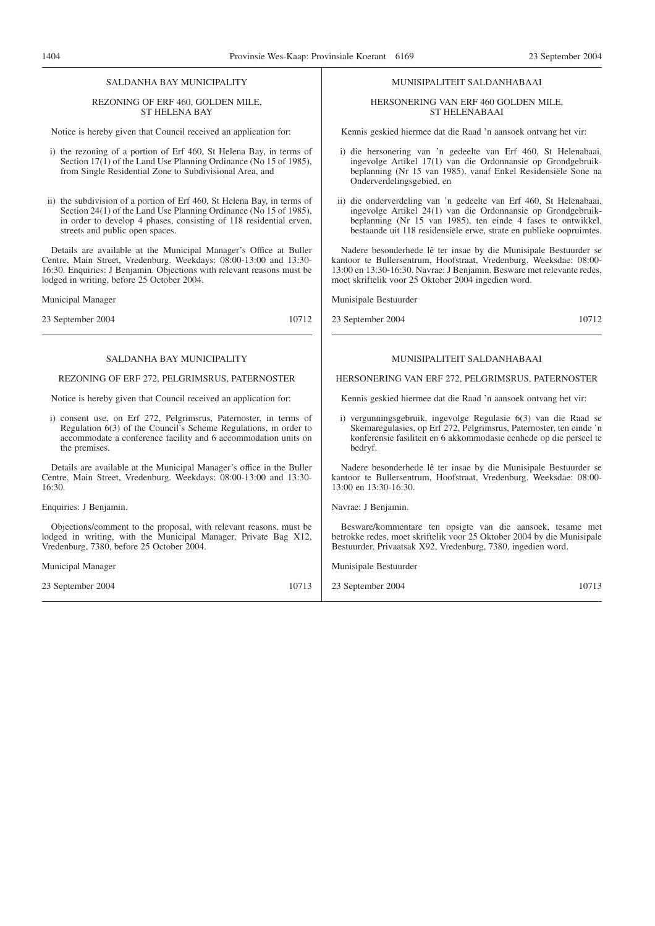#### SALDANHA BAY MUNICIPALITY

#### REZONING OF ERF 460, GOLDEN MILE, ST HELENA BAY

Notice is hereby given that Council received an application for:

- i) the rezoning of a portion of Erf 460, St Helena Bay, in terms of Section 17(1) of the Land Use Planning Ordinance (No 15 of 1985), from Single Residential Zone to Subdivisional Area, and
- ii) the subdivision of a portion of Erf 460, St Helena Bay, in terms of Section 24(1) of the Land Use Planning Ordinance (No 15 of 1985), in order to develop 4 phases, consisting of 118 residential erven, streets and public open spaces.

Details are available at the Municipal Manager's Office at Buller Centre, Main Street, Vredenburg. Weekdays: 08:00-13:00 and 13:30- 16:30. Enquiries: J Benjamin. Objections with relevant reasons must be lodged in writing, before 25 October 2004.

Municipal Manager

23 September 2004 10712

#### SALDANHA BAY MUNICIPALITY

#### REZONING OF ERF 272, PELGRIMSRUS, PATERNOSTER

Notice is hereby given that Council received an application for:

i) consent use, on Erf 272, Pelgrimsrus, Paternoster, in terms of Regulation 6(3) of the Council's Scheme Regulations, in order to accommodate a conference facility and 6 accommodation units on the premises.

Details are available at the Municipal Manager's office in the Buller Centre, Main Street, Vredenburg. Weekdays: 08:00-13:00 and 13:30- 16:30.

Enquiries: J Benjamin.

Objections/comment to the proposal, with relevant reasons, must be lodged in writing, with the Municipal Manager, Private Bag X12, Vredenburg, 7380, before 25 October 2004.

Municipal Manager

23 September 2004 10713

#### MUNISIPALITEIT SALDANHABAAI

#### HERSONERING VAN ERF 460 GOLDEN MILE, ST HELENABAAI

Kennis geskied hiermee dat die Raad 'n aansoek ontvang het vir:

- i) die hersonering van 'n gedeelte van Erf 460, St Helenabaai, ingevolge Artikel 17(1) van die Ordonnansie op Grondgebruikbeplanning (Nr 15 van 1985), vanaf Enkel Residensiële Sone na Onderverdelingsgebied, en
- ii) die onderverdeling van 'n gedeelte van Erf 460, St Helenabaai, ingevolge Artikel 24(1) van die Ordonnansie op Grondgebruikbeplanning (Nr 15 van 1985), ten einde 4 fases te ontwikkel, bestaande uit 118 residensiële erwe, strate en publieke oopruimtes.

Nadere besonderhede lê ter insae by die Munisipale Bestuurder se kantoor te Bullersentrum, Hoofstraat, Vredenburg. Weeksdae: 08:00- 13:00 en 13:30-16:30. Navrae: J Benjamin. Besware met relevante redes, moet skriftelik voor 25 Oktober 2004 ingedien word.

Munisipale Bestuurder

23 September 2004 10712

#### MUNISIPALITEIT SALDANHABAAI

#### HERSONERING VAN ERF 272, PELGRIMSRUS, PATERNOSTER

Kennis geskied hiermee dat die Raad 'n aansoek ontvang het vir:

i) vergunningsgebruik, ingevolge Regulasie 6(3) van die Raad se Skemaregulasies, op Erf 272, Pelgrimsrus, Paternoster, ten einde 'n konferensie fasiliteit en 6 akkommodasie eenhede op die perseel te bedryf.

Nadere besonderhede lê ter insae by die Munisipale Bestuurder se kantoor te Bullersentrum, Hoofstraat, Vredenburg. Weeksdae: 08:00- 13:00 en 13:30-16:30.

Navrae: J Benjamin.

Besware/kommentare ten opsigte van die aansoek, tesame met betrokke redes, moet skriftelik voor 25 Oktober 2004 by die Munisipale Bestuurder, Privaatsak X92, Vredenburg, 7380, ingedien word.

Munisipale Bestuurder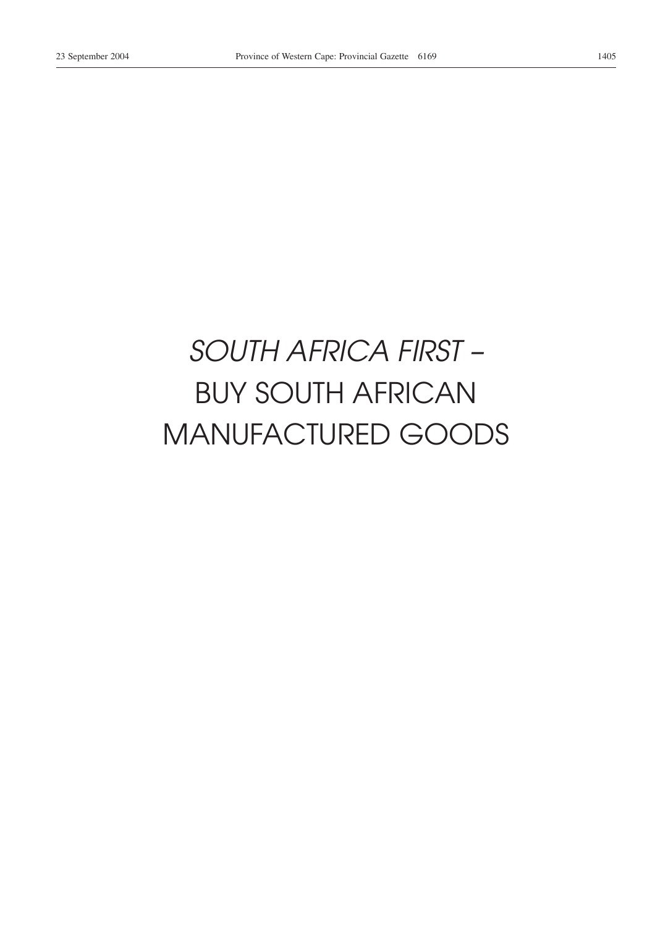# *SOUTH AFRICA FIRST –* BUY SOUTH AFRICAN MANUFACTURED GOODS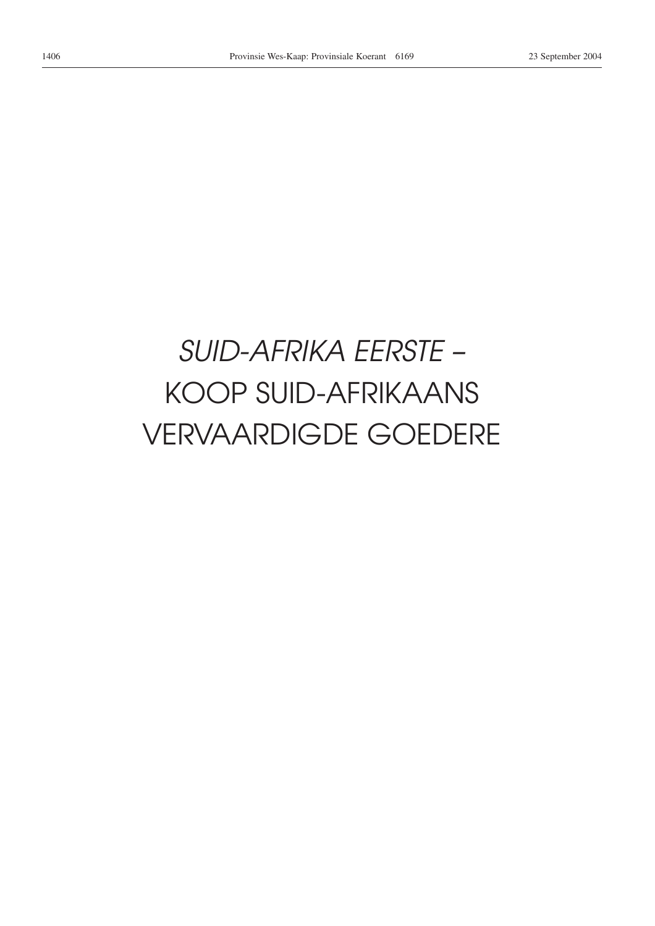# *SUID-AFRIKA EERSTE –* KOOP SUID-AFRIKAANS VERVAARDIGDE GOEDERE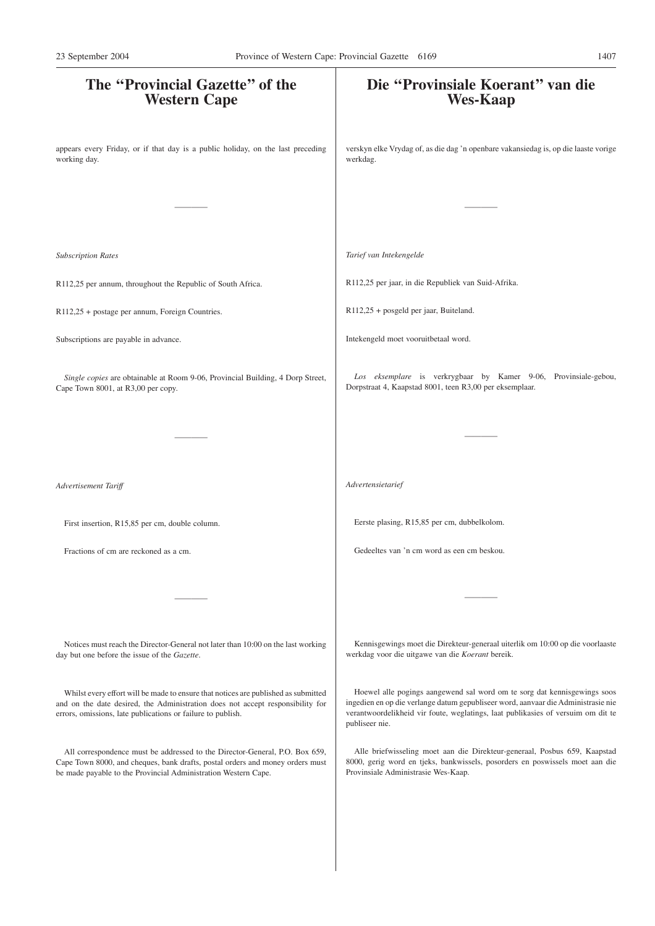| verskyn elke Vrydag of, as die dag 'n openbare vakansiedag is, op die laaste vorige<br>werkdag.<br>Tarief van Intekengelde<br>R112,25 per jaar, in die Republiek van Suid-Afrika.<br>R112,25 + posgeld per jaar, Buiteland.<br>Intekengeld moet vooruitbetaal word.<br>Los eksemplare is verkrygbaar by Kamer 9-06, Provinsiale-gebou,<br>Single copies are obtainable at Room 9-06, Provincial Building, 4 Dorp Street,<br>Dorpstraat 4, Kaapstad 8001, teen R3,00 per eksemplaar.<br>Advertensietarief<br>Eerste plasing, R15,85 per cm, dubbelkolom.<br>First insertion, R15,85 per cm, double column.<br>Gedeeltes van 'n cm word as een cm beskou.<br>Fractions of cm are reckoned as a cm.<br>Kennisgewings moet die Direkteur-generaal uiterlik om 10:00 op die voorlaaste<br>Notices must reach the Director-General not later than 10:00 on the last working<br>werkdag voor die uitgawe van die Koerant bereik.<br>Hoewel alle pogings aangewend sal word om te sorg dat kennisgewings soos<br>Whilst every effort will be made to ensure that notices are published as submitted<br>ingedien en op die verlange datum gepubliseer word, aanvaar die Administrasie nie<br>verantwoordelikheid vir foute, weglatings, laat publikasies of versuim om dit te<br>publiseer nie.<br>Alle briefwisseling moet aan die Direkteur-generaal, Posbus 659, Kaapstad<br>All correspondence must be addressed to the Director-General, P.O. Box 659,<br>8000, gerig word en tjeks, bankwissels, posorders en poswissels moet aan die<br>Provinsiale Administrasie Wes-Kaap. | The "Provincial Gazette" of the<br><b>Western Cape</b>                                                                                          | Die "Provinsiale Koerant" van die<br><b>Wes-Kaap</b> |
|---------------------------------------------------------------------------------------------------------------------------------------------------------------------------------------------------------------------------------------------------------------------------------------------------------------------------------------------------------------------------------------------------------------------------------------------------------------------------------------------------------------------------------------------------------------------------------------------------------------------------------------------------------------------------------------------------------------------------------------------------------------------------------------------------------------------------------------------------------------------------------------------------------------------------------------------------------------------------------------------------------------------------------------------------------------------------------------------------------------------------------------------------------------------------------------------------------------------------------------------------------------------------------------------------------------------------------------------------------------------------------------------------------------------------------------------------------------------------------------------------------------------------------------------------------------------------|-------------------------------------------------------------------------------------------------------------------------------------------------|------------------------------------------------------|
|                                                                                                                                                                                                                                                                                                                                                                                                                                                                                                                                                                                                                                                                                                                                                                                                                                                                                                                                                                                                                                                                                                                                                                                                                                                                                                                                                                                                                                                                                                                                                                           | appears every Friday, or if that day is a public holiday, on the last preceding<br>working day.                                                 |                                                      |
|                                                                                                                                                                                                                                                                                                                                                                                                                                                                                                                                                                                                                                                                                                                                                                                                                                                                                                                                                                                                                                                                                                                                                                                                                                                                                                                                                                                                                                                                                                                                                                           |                                                                                                                                                 |                                                      |
|                                                                                                                                                                                                                                                                                                                                                                                                                                                                                                                                                                                                                                                                                                                                                                                                                                                                                                                                                                                                                                                                                                                                                                                                                                                                                                                                                                                                                                                                                                                                                                           | <b>Subscription Rates</b>                                                                                                                       |                                                      |
|                                                                                                                                                                                                                                                                                                                                                                                                                                                                                                                                                                                                                                                                                                                                                                                                                                                                                                                                                                                                                                                                                                                                                                                                                                                                                                                                                                                                                                                                                                                                                                           | R112,25 per annum, throughout the Republic of South Africa.                                                                                     |                                                      |
|                                                                                                                                                                                                                                                                                                                                                                                                                                                                                                                                                                                                                                                                                                                                                                                                                                                                                                                                                                                                                                                                                                                                                                                                                                                                                                                                                                                                                                                                                                                                                                           | R112,25 + postage per annum, Foreign Countries.                                                                                                 |                                                      |
|                                                                                                                                                                                                                                                                                                                                                                                                                                                                                                                                                                                                                                                                                                                                                                                                                                                                                                                                                                                                                                                                                                                                                                                                                                                                                                                                                                                                                                                                                                                                                                           | Subscriptions are payable in advance.                                                                                                           |                                                      |
|                                                                                                                                                                                                                                                                                                                                                                                                                                                                                                                                                                                                                                                                                                                                                                                                                                                                                                                                                                                                                                                                                                                                                                                                                                                                                                                                                                                                                                                                                                                                                                           | Cape Town 8001, at R3,00 per copy.                                                                                                              |                                                      |
|                                                                                                                                                                                                                                                                                                                                                                                                                                                                                                                                                                                                                                                                                                                                                                                                                                                                                                                                                                                                                                                                                                                                                                                                                                                                                                                                                                                                                                                                                                                                                                           |                                                                                                                                                 |                                                      |
|                                                                                                                                                                                                                                                                                                                                                                                                                                                                                                                                                                                                                                                                                                                                                                                                                                                                                                                                                                                                                                                                                                                                                                                                                                                                                                                                                                                                                                                                                                                                                                           | Advertisement Tariff                                                                                                                            |                                                      |
|                                                                                                                                                                                                                                                                                                                                                                                                                                                                                                                                                                                                                                                                                                                                                                                                                                                                                                                                                                                                                                                                                                                                                                                                                                                                                                                                                                                                                                                                                                                                                                           |                                                                                                                                                 |                                                      |
|                                                                                                                                                                                                                                                                                                                                                                                                                                                                                                                                                                                                                                                                                                                                                                                                                                                                                                                                                                                                                                                                                                                                                                                                                                                                                                                                                                                                                                                                                                                                                                           |                                                                                                                                                 |                                                      |
|                                                                                                                                                                                                                                                                                                                                                                                                                                                                                                                                                                                                                                                                                                                                                                                                                                                                                                                                                                                                                                                                                                                                                                                                                                                                                                                                                                                                                                                                                                                                                                           |                                                                                                                                                 |                                                      |
|                                                                                                                                                                                                                                                                                                                                                                                                                                                                                                                                                                                                                                                                                                                                                                                                                                                                                                                                                                                                                                                                                                                                                                                                                                                                                                                                                                                                                                                                                                                                                                           | day but one before the issue of the Gazette.                                                                                                    |                                                      |
|                                                                                                                                                                                                                                                                                                                                                                                                                                                                                                                                                                                                                                                                                                                                                                                                                                                                                                                                                                                                                                                                                                                                                                                                                                                                                                                                                                                                                                                                                                                                                                           | and on the date desired, the Administration does not accept responsibility for<br>errors, omissions, late publications or failure to publish.   |                                                      |
|                                                                                                                                                                                                                                                                                                                                                                                                                                                                                                                                                                                                                                                                                                                                                                                                                                                                                                                                                                                                                                                                                                                                                                                                                                                                                                                                                                                                                                                                                                                                                                           | Cape Town 8000, and cheques, bank drafts, postal orders and money orders must<br>be made payable to the Provincial Administration Western Cape. |                                                      |
|                                                                                                                                                                                                                                                                                                                                                                                                                                                                                                                                                                                                                                                                                                                                                                                                                                                                                                                                                                                                                                                                                                                                                                                                                                                                                                                                                                                                                                                                                                                                                                           |                                                                                                                                                 |                                                      |